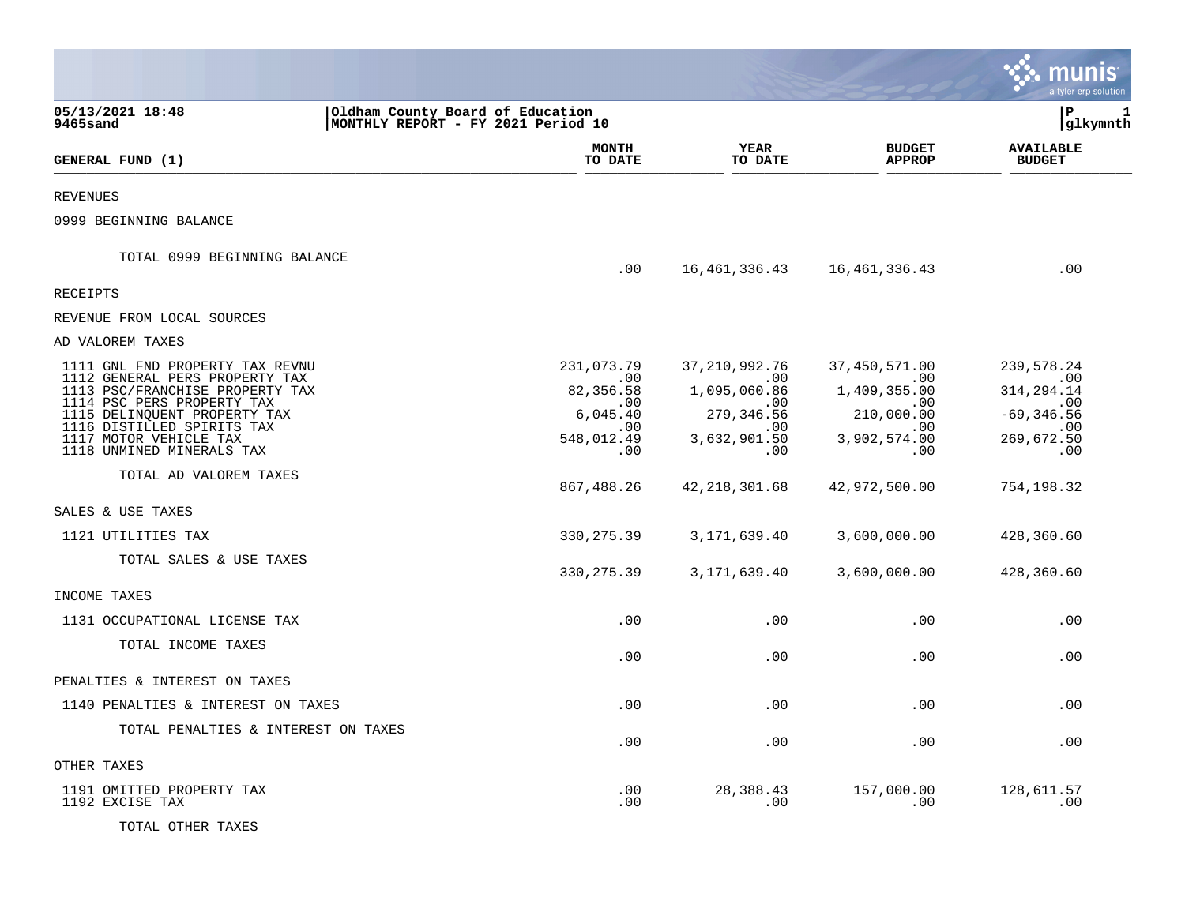|                                                                   |                                                                        |                         |                                | a tyler erp solution              |
|-------------------------------------------------------------------|------------------------------------------------------------------------|-------------------------|--------------------------------|-----------------------------------|
| 05/13/2021 18:48<br>9465sand                                      | Oldham County Board of Education<br>MONTHLY REPORT - FY 2021 Period 10 |                         |                                | $\mathbf{P}$<br>1<br>glkymnth     |
| GENERAL FUND (1)                                                  | <b>MONTH</b><br>TO DATE                                                | YEAR<br>TO DATE         | <b>BUDGET</b><br><b>APPROP</b> | <b>AVAILABLE</b><br><b>BUDGET</b> |
|                                                                   |                                                                        |                         |                                |                                   |
| <b>REVENUES</b>                                                   |                                                                        |                         |                                |                                   |
| 0999 BEGINNING BALANCE                                            |                                                                        |                         |                                |                                   |
| TOTAL 0999 BEGINNING BALANCE                                      | .00                                                                    | 16,461,336.43           | 16,461,336.43                  | .00                               |
| <b>RECEIPTS</b>                                                   |                                                                        |                         |                                |                                   |
| REVENUE FROM LOCAL SOURCES                                        |                                                                        |                         |                                |                                   |
| AD VALOREM TAXES                                                  |                                                                        |                         |                                |                                   |
| 1111 GNL FND PROPERTY TAX REVNU<br>1112 GENERAL PERS PROPERTY TAX | 231,073.79<br>.00                                                      | 37, 210, 992. 76<br>.00 | 37,450,571.00<br>.00           | 239,578.24<br>$\sim 00$           |
| 1113 PSC/FRANCHISE PROPERTY TAX<br>1114 PSC PERS PROPERTY TAX     | 82,356.58<br>.00                                                       | 1,095,060.86<br>.00.    | 1,409,355.00<br>.00            | 314, 294. 14<br>.00               |
| 1115 DELINQUENT PROPERTY TAX<br>1116 DISTILLED SPIRITS TAX        | 6,045.40<br>.00                                                        | 279,346.56<br>.00       | 210,000.00<br>.00              | $-69, 346.56$<br>.00              |
| 1117 MOTOR VEHICLE TAX<br>1118 UNMINED MINERALS TAX               | 548,012.49<br>.00                                                      | 3,632,901.50<br>.00     | 3,902,574.00<br>.00            | 269,672.50<br>.00                 |
| TOTAL AD VALOREM TAXES                                            | 867,488.26                                                             | 42, 218, 301.68         | 42,972,500.00                  | 754,198.32                        |
| SALES & USE TAXES                                                 |                                                                        |                         |                                |                                   |
| 1121 UTILITIES TAX                                                | 330, 275.39                                                            | 3,171,639.40            | 3,600,000.00                   | 428,360.60                        |
| TOTAL SALES & USE TAXES                                           | 330, 275.39                                                            | 3,171,639.40            | 3,600,000.00                   | 428,360.60                        |
| INCOME TAXES                                                      |                                                                        |                         |                                |                                   |
| 1131 OCCUPATIONAL LICENSE TAX                                     | .00                                                                    | .00                     | .00                            | .00                               |
| TOTAL INCOME TAXES                                                | .00                                                                    | .00                     | .00                            | .00                               |
| PENALTIES & INTEREST ON TAXES                                     |                                                                        |                         |                                |                                   |
| 1140 PENALTIES & INTEREST ON TAXES                                | .00                                                                    | .00                     | .00                            | .00                               |
| TOTAL PENALTIES & INTEREST ON TAXES                               | .00                                                                    | .00                     | .00                            | .00                               |
| OTHER TAXES                                                       |                                                                        |                         |                                |                                   |
| 1191 OMITTED PROPERTY TAX<br>1192 EXCISE TAX                      | .00<br>.00                                                             | 28,388.43<br>.00        | 157,000.00<br>.00              | 128,611.57<br>.00                 |
| TOTAL OTHER TAXES                                                 |                                                                        |                         |                                |                                   |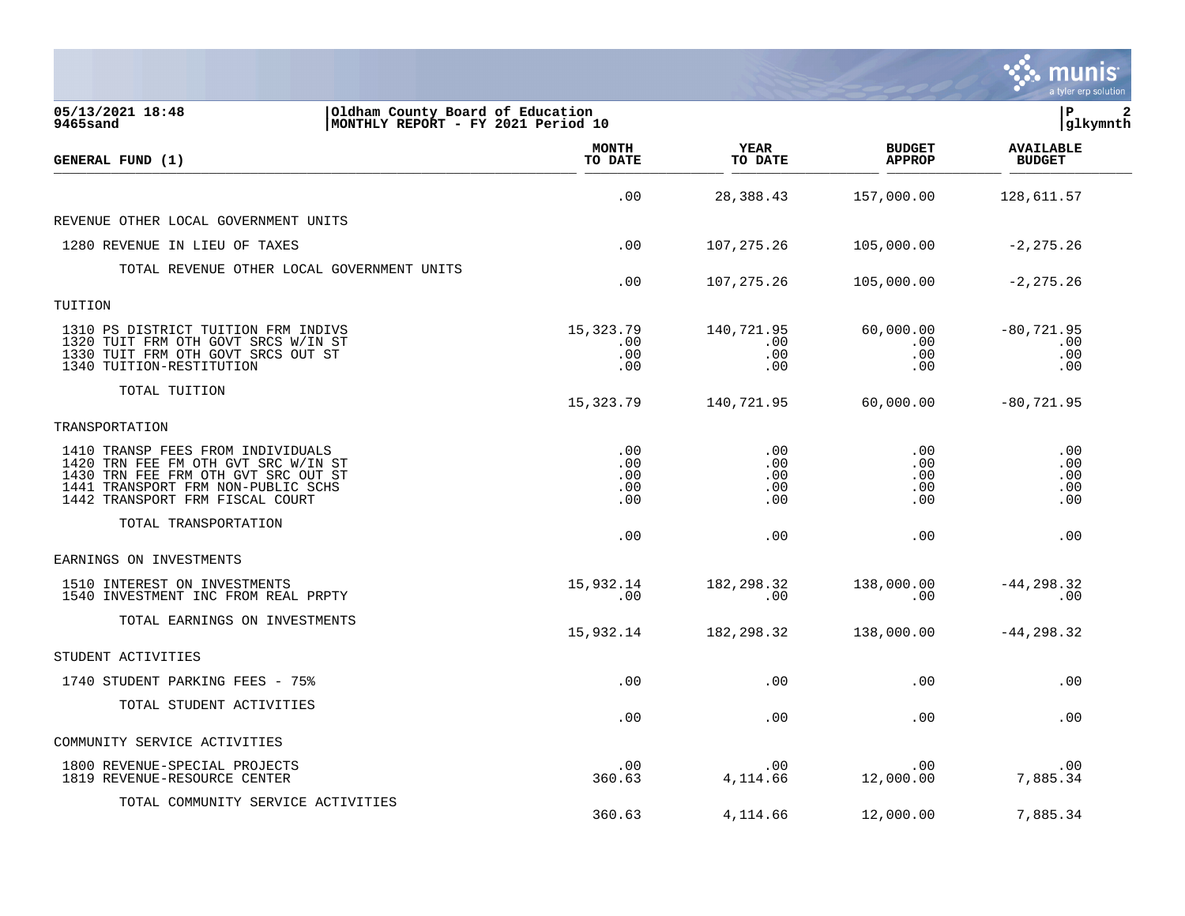|                                                                                                                                                                                          |                                 |                                 |                                 | a tyler erp solution               |
|------------------------------------------------------------------------------------------------------------------------------------------------------------------------------------------|---------------------------------|---------------------------------|---------------------------------|------------------------------------|
| 05/13/2021 18:48<br>Oldham County Board of Education<br>MONTHLY REPORT - FY 2021 Period 10<br>9465sand                                                                                   |                                 |                                 |                                 | l P<br> glkymnth                   |
| GENERAL FUND (1)                                                                                                                                                                         | <b>MONTH</b><br>TO DATE         | <b>YEAR</b><br>TO DATE          | <b>BUDGET</b><br><b>APPROP</b>  | <b>AVAILABLE</b><br><b>BUDGET</b>  |
|                                                                                                                                                                                          | .00                             | 28,388.43                       | 157,000.00                      | 128,611.57                         |
| REVENUE OTHER LOCAL GOVERNMENT UNITS                                                                                                                                                     |                                 |                                 |                                 |                                    |
| 1280 REVENUE IN LIEU OF TAXES                                                                                                                                                            | .00                             | 107,275.26                      | 105,000.00                      | $-2, 275.26$                       |
| TOTAL REVENUE OTHER LOCAL GOVERNMENT UNITS                                                                                                                                               | .00                             | 107,275.26                      | 105,000.00                      | $-2, 275.26$                       |
| TUITION                                                                                                                                                                                  |                                 |                                 |                                 |                                    |
| 1310 PS DISTRICT TUITION FRM INDIVS<br>1320 TUIT FRM OTH GOVT SRCS W/IN ST<br>1330 TUIT FRM OTH GOVT SRCS OUT ST<br>1340 TUITION-RESTITUTION                                             | 15,323.79<br>.00<br>.00<br>.00  | 140,721.95<br>.00<br>.00<br>.00 | 60,000.00<br>.00<br>.00<br>.00  | $-80, 721.95$<br>.00<br>.00<br>.00 |
| TOTAL TUITION                                                                                                                                                                            | 15,323.79                       | 140,721.95                      | 60,000.00                       | $-80, 721.95$                      |
| TRANSPORTATION                                                                                                                                                                           |                                 |                                 |                                 |                                    |
| 1410 TRANSP FEES FROM INDIVIDUALS<br>1420 TRN FEE FM OTH GVT SRC W/IN ST<br>1430 TRN FEE FRM OTH GVT SRC OUT ST<br>1441 TRANSPORT FRM NON-PUBLIC SCHS<br>1442 TRANSPORT FRM FISCAL COURT | .00<br>.00<br>.00<br>.00<br>.00 | .00<br>.00<br>.00<br>.00<br>.00 | .00<br>.00<br>.00<br>.00<br>.00 | .00<br>.00<br>.00<br>.00<br>.00    |
| TOTAL TRANSPORTATION                                                                                                                                                                     | .00                             | .00                             | .00                             | .00                                |
| EARNINGS ON INVESTMENTS                                                                                                                                                                  |                                 |                                 |                                 |                                    |
| 1510 INTEREST ON INVESTMENTS<br>1540 INVESTMENT INC FROM REAL PRPTY                                                                                                                      | 15,932.14<br>.00                | 182, 298.32<br>.00              | 138,000.00<br>.00               | $-44, 298.32$<br>.00               |
| TOTAL EARNINGS ON INVESTMENTS                                                                                                                                                            | 15,932.14                       | 182, 298.32                     | 138,000.00                      | $-44, 298.32$                      |
| STUDENT ACTIVITIES                                                                                                                                                                       |                                 |                                 |                                 |                                    |
| 1740 STUDENT PARKING FEES - 75%                                                                                                                                                          | .00                             | .00                             | .00                             | .00                                |
| TOTAL STUDENT ACTIVITIES                                                                                                                                                                 | .00                             | .00                             | .00                             | .00                                |
| COMMUNITY SERVICE ACTIVITIES                                                                                                                                                             |                                 |                                 |                                 |                                    |
| 1800 REVENUE-SPECIAL PROJECTS<br>1819 REVENUE-RESOURCE CENTER                                                                                                                            | .00<br>360.63                   | .00<br>4,114.66                 | .00<br>12,000.00                | .00<br>7,885.34                    |
| TOTAL COMMUNITY SERVICE ACTIVITIES                                                                                                                                                       | 360.63                          | 4,114.66                        | 12,000.00                       | 7,885.34                           |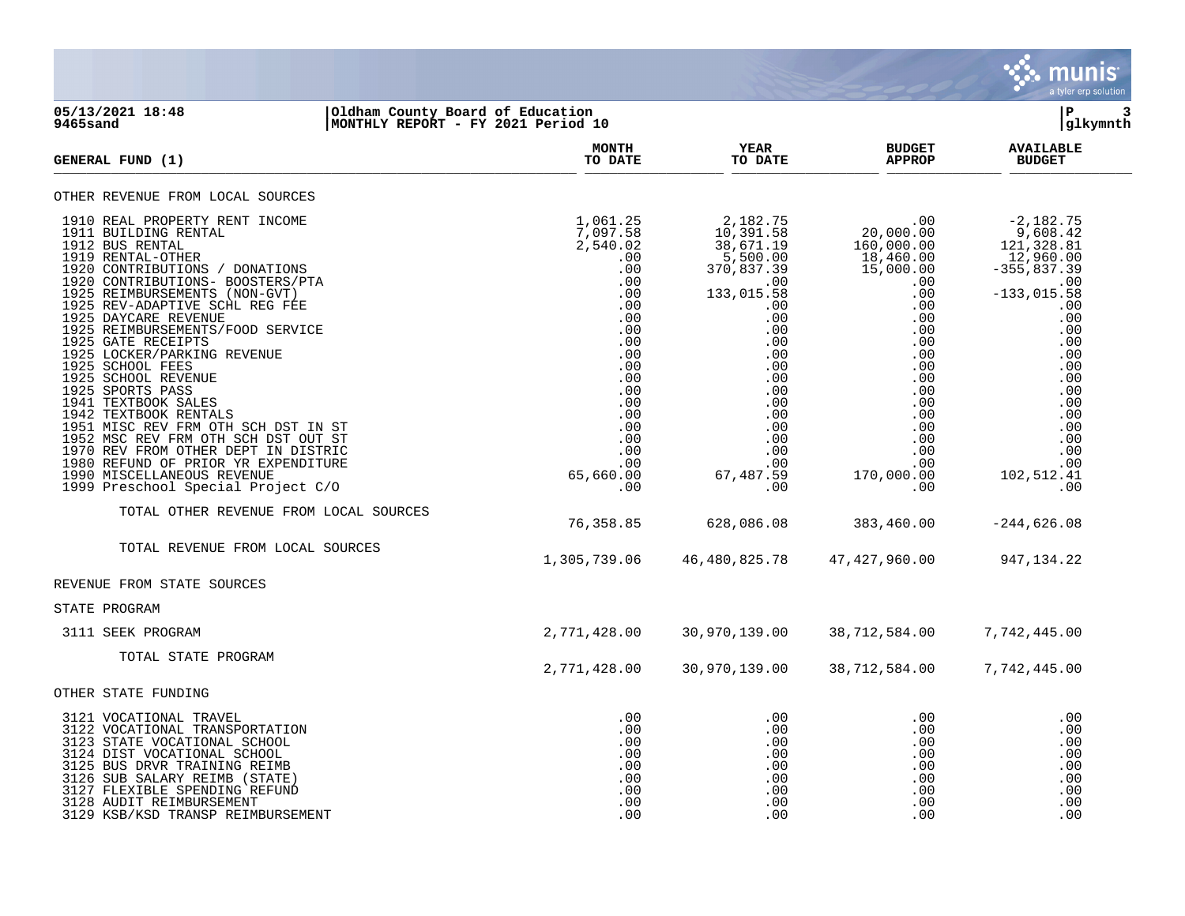

## **05/13/2021 18:48 |Oldham County Board of Education |P 3 9465sand |MONTHLY REPORT - FY 2021 Period 10 |glkymnth**

| <b>GENERAL FUND (1)</b>                                                                                                                                                                                                                                                                                                                                                                                                                                                                                                                                                                                                                                                                                 | <b>MONTH</b><br>TO DATE                                                                                                                                                            | YEAR<br>TO DATE                                                                                                                                                                                           | <b>BUDGET</b><br><b>APPROP</b>                                                                                                                                                                                         | <b>AVAILABLE</b><br><b>BUDGET</b>                                                                                                                                                                               |
|---------------------------------------------------------------------------------------------------------------------------------------------------------------------------------------------------------------------------------------------------------------------------------------------------------------------------------------------------------------------------------------------------------------------------------------------------------------------------------------------------------------------------------------------------------------------------------------------------------------------------------------------------------------------------------------------------------|------------------------------------------------------------------------------------------------------------------------------------------------------------------------------------|-----------------------------------------------------------------------------------------------------------------------------------------------------------------------------------------------------------|------------------------------------------------------------------------------------------------------------------------------------------------------------------------------------------------------------------------|-----------------------------------------------------------------------------------------------------------------------------------------------------------------------------------------------------------------|
| OTHER REVENUE FROM LOCAL SOURCES                                                                                                                                                                                                                                                                                                                                                                                                                                                                                                                                                                                                                                                                        |                                                                                                                                                                                    |                                                                                                                                                                                                           |                                                                                                                                                                                                                        |                                                                                                                                                                                                                 |
| 1910 REAL PROPERTY RENT INCOME<br>1911 BUILDING RENTAL<br>1912 BUS RENTAL<br>1919 RENTAL-OTHER<br>1920 CONTRIBUTIONS / DONATIONS<br>1920 CONTRIBUTIONS- BOOSTERS/PTA<br>1925 REIMBURSEMENTS (NON-GVT)<br>1925 REV-ADAPTIVE SCHL REG FEE<br>1925 DAYCARE REVENUE<br>1925 REIMBURSEMENTS/FOOD SERVICE<br>1925 GATE RECEIPTS<br>1925 LOCKER/PARKING REVENUE<br>1925 SCHOOL FEES<br>1925 SCHOOL REVENUE<br>1925 SPORTS PASS<br>1941 TEXTBOOK SALES<br>1942 TEXTBOOK RENTALS<br>1951 MISC REV FRM OTH SCH DST IN ST<br>1952 MSC REV FRM OTH SCH DST OUT ST<br>1970 REV FROM OTHER DEPT IN DISTRIC<br>1980 REFUND OF PRIOR YR EXPENDITURE<br>1990 MISCELLANEOUS REVENUE<br>1999 Preschool Special Project C/O | 1,061.25<br>7,097.58<br>2,540.02<br>.00<br>.00<br>.00<br>.00<br>.00<br>.00<br>.00<br>.00<br>.00<br>.00<br>.00<br>.00<br>.00<br>.00<br>.00<br>.00<br>.00<br>.00<br>65,660.00<br>.00 | 2,182.75<br>10,391.58<br>38,671.19<br>$5,500.00$<br>370,837.39<br>.00<br>133,015.58<br>.00<br>.00<br>.00<br>.00<br>.00<br>.00<br>.00<br>.00<br>.00<br>.00<br>.00<br>.00<br>.00<br>.00<br>67,487.59<br>.00 | .00<br>$20,000.00$<br>$160,000.00$<br>$18,460.00$<br>$15,000.00$<br>.00<br>.00<br>.00<br>.00<br>.00<br>.00<br>$.00 \ \,$<br>.00<br>.00<br>.00<br>$.00 \,$<br>.00<br>.00<br>.00<br>$.00 \,$<br>.00<br>170,000.00<br>.00 | $-2,182.75$<br>9,608.42<br>121,328.81<br>12,960.00<br>355,837.39<br>.00<br>$-133,015.58$<br>.00<br>.00<br>.00<br>.00<br>.00<br>.00<br>.00<br>.00<br>.00<br>.00<br>.00<br>.00<br>.00<br>.00<br>102,512.41<br>.00 |
| TOTAL OTHER REVENUE FROM LOCAL SOURCES                                                                                                                                                                                                                                                                                                                                                                                                                                                                                                                                                                                                                                                                  | 76,358.85                                                                                                                                                                          | 628,086.08                                                                                                                                                                                                | 383,460.00                                                                                                                                                                                                             | $-244,626.08$                                                                                                                                                                                                   |
| TOTAL REVENUE FROM LOCAL SOURCES                                                                                                                                                                                                                                                                                                                                                                                                                                                                                                                                                                                                                                                                        | 1,305,739.06                                                                                                                                                                       | 46,480,825.78                                                                                                                                                                                             | 47, 427, 960.00                                                                                                                                                                                                        | 947,134.22                                                                                                                                                                                                      |
| REVENUE FROM STATE SOURCES                                                                                                                                                                                                                                                                                                                                                                                                                                                                                                                                                                                                                                                                              |                                                                                                                                                                                    |                                                                                                                                                                                                           |                                                                                                                                                                                                                        |                                                                                                                                                                                                                 |
| STATE PROGRAM                                                                                                                                                                                                                                                                                                                                                                                                                                                                                                                                                                                                                                                                                           |                                                                                                                                                                                    |                                                                                                                                                                                                           |                                                                                                                                                                                                                        |                                                                                                                                                                                                                 |
| 3111 SEEK PROGRAM                                                                                                                                                                                                                                                                                                                                                                                                                                                                                                                                                                                                                                                                                       | 2,771,428.00                                                                                                                                                                       | 30,970,139.00                                                                                                                                                                                             | 38,712,584.00                                                                                                                                                                                                          | 7,742,445.00                                                                                                                                                                                                    |
| TOTAL STATE PROGRAM                                                                                                                                                                                                                                                                                                                                                                                                                                                                                                                                                                                                                                                                                     | 2,771,428.00                                                                                                                                                                       | 30,970,139.00                                                                                                                                                                                             | 38,712,584.00                                                                                                                                                                                                          | 7,742,445.00                                                                                                                                                                                                    |
| OTHER STATE FUNDING                                                                                                                                                                                                                                                                                                                                                                                                                                                                                                                                                                                                                                                                                     |                                                                                                                                                                                    |                                                                                                                                                                                                           |                                                                                                                                                                                                                        |                                                                                                                                                                                                                 |
| 3121 VOCATIONAL TRAVEL<br>3122 VOCATIONAL TRANSPORTATION<br>3123 STATE VOCATIONAL SCHOOL<br>3124 DIST VOCATIONAL SCHOOL<br>3125 BUS DRVR TRAINING REIMB<br>3126 SUB SALARY REIMB (STATE)<br>3127 FLEXIBLE SPENDING REFUND<br>3128 AUDIT REIMBURSEMENT<br>3129 KSB/KSD TRANSP REIMBURSEMENT                                                                                                                                                                                                                                                                                                                                                                                                              | .00<br>.00<br>.00<br>.00<br>.00<br>.00<br>.00<br>.00<br>.00                                                                                                                        | .00<br>.00<br>.00<br>$.00 \,$<br>.00<br>.00<br>.00<br>.00<br>.00                                                                                                                                          | $.00 \,$<br>.00<br>.00<br>$.00 \,$<br>.00<br>.00<br>.00<br>.00<br>.00                                                                                                                                                  | .00<br>.00<br>.00<br>.00<br>.00<br>.00<br>.00<br>.00<br>.00                                                                                                                                                     |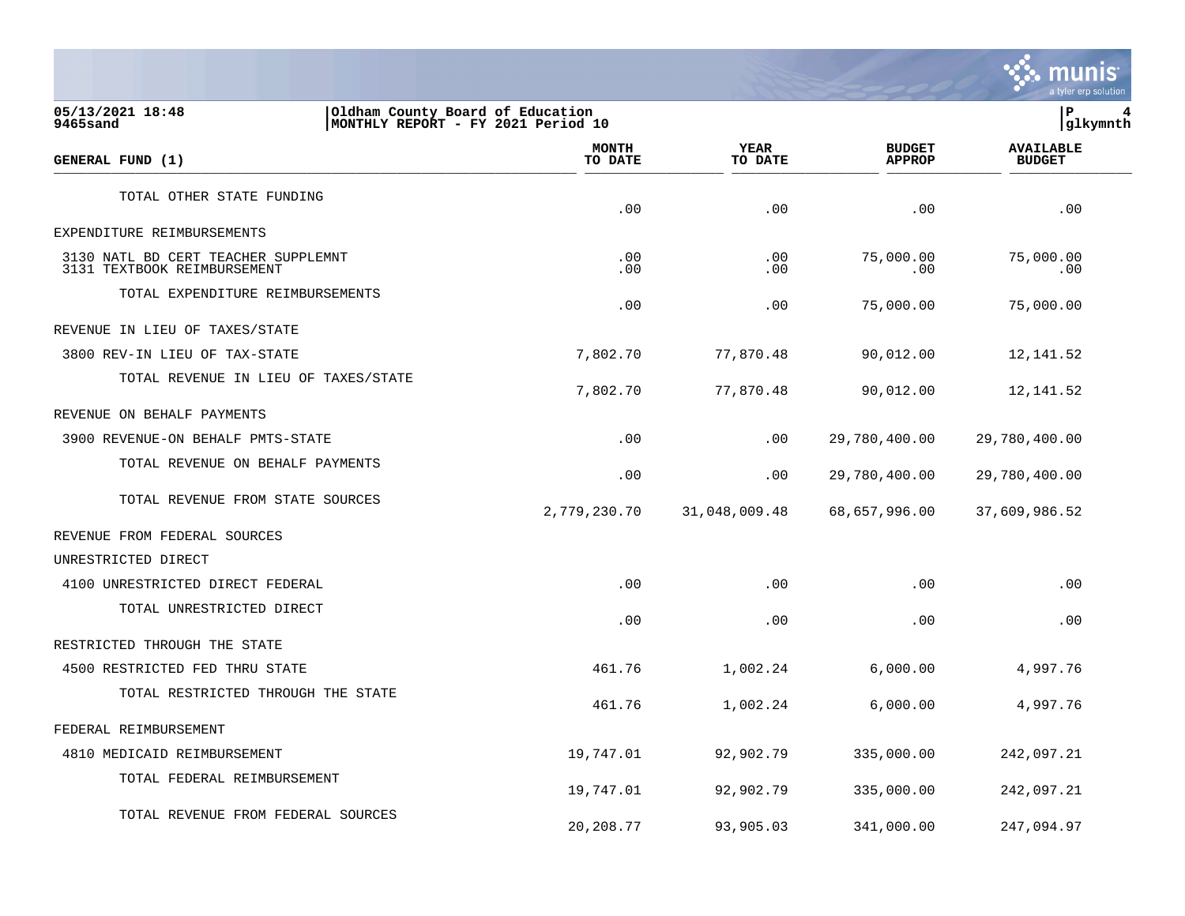

| 05/13/2021 18:48<br>9465sand                                       | Oldham County Board of Education<br>MONTHLY REPORT - FY 2021 Period 10 |                        |                                |                                   |  |
|--------------------------------------------------------------------|------------------------------------------------------------------------|------------------------|--------------------------------|-----------------------------------|--|
| GENERAL FUND (1)                                                   | <b>MONTH</b><br>TO DATE                                                | <b>YEAR</b><br>TO DATE | <b>BUDGET</b><br><b>APPROP</b> | <b>AVAILABLE</b><br><b>BUDGET</b> |  |
| TOTAL OTHER STATE FUNDING                                          | .00                                                                    | .00                    | .00                            | .00                               |  |
| EXPENDITURE REIMBURSEMENTS                                         |                                                                        |                        |                                |                                   |  |
| 3130 NATL BD CERT TEACHER SUPPLEMNT<br>3131 TEXTBOOK REIMBURSEMENT | .00<br>.00                                                             | .00<br>.00             | 75,000.00<br>.00               | 75,000.00<br>.00                  |  |
| TOTAL EXPENDITURE REIMBURSEMENTS                                   | .00                                                                    | .00                    | 75,000.00                      | 75,000.00                         |  |
| REVENUE IN LIEU OF TAXES/STATE                                     |                                                                        |                        |                                |                                   |  |
| 3800 REV-IN LIEU OF TAX-STATE                                      | 7,802.70                                                               | 77,870.48              | 90,012.00                      | 12, 141.52                        |  |
| TOTAL REVENUE IN LIEU OF TAXES/STATE                               | 7,802.70                                                               | 77,870.48              | 90,012.00                      | 12,141.52                         |  |
| REVENUE ON BEHALF PAYMENTS                                         |                                                                        |                        |                                |                                   |  |
| 3900 REVENUE-ON BEHALF PMTS-STATE                                  | .00                                                                    | .00                    | 29,780,400.00                  | 29,780,400.00                     |  |
| TOTAL REVENUE ON BEHALF PAYMENTS                                   | .00                                                                    | .00                    | 29,780,400.00                  | 29,780,400.00                     |  |
| TOTAL REVENUE FROM STATE SOURCES                                   | 2,779,230.70                                                           | 31,048,009.48          | 68,657,996.00                  | 37,609,986.52                     |  |
| REVENUE FROM FEDERAL SOURCES                                       |                                                                        |                        |                                |                                   |  |
| UNRESTRICTED DIRECT                                                |                                                                        |                        |                                |                                   |  |
| 4100 UNRESTRICTED DIRECT FEDERAL                                   | .00                                                                    | .00                    | .00                            | .00                               |  |
| TOTAL UNRESTRICTED DIRECT                                          | .00                                                                    | .00                    | .00                            | .00                               |  |
| RESTRICTED THROUGH THE STATE                                       |                                                                        |                        |                                |                                   |  |
| 4500 RESTRICTED FED THRU STATE                                     | 461.76                                                                 | 1,002.24               | 6,000.00                       | 4,997.76                          |  |
| TOTAL RESTRICTED THROUGH THE STATE                                 | 461.76                                                                 | 1,002.24               | 6,000.00                       | 4,997.76                          |  |
| FEDERAL REIMBURSEMENT                                              |                                                                        |                        |                                |                                   |  |
| 4810 MEDICAID REIMBURSEMENT                                        | 19,747.01                                                              | 92,902.79              | 335,000.00                     | 242,097.21                        |  |
| TOTAL FEDERAL REIMBURSEMENT                                        | 19,747.01                                                              | 92,902.79              | 335,000.00                     | 242,097.21                        |  |
| TOTAL REVENUE FROM FEDERAL SOURCES                                 | 20,208.77                                                              | 93,905.03              | 341,000.00                     | 247,094.97                        |  |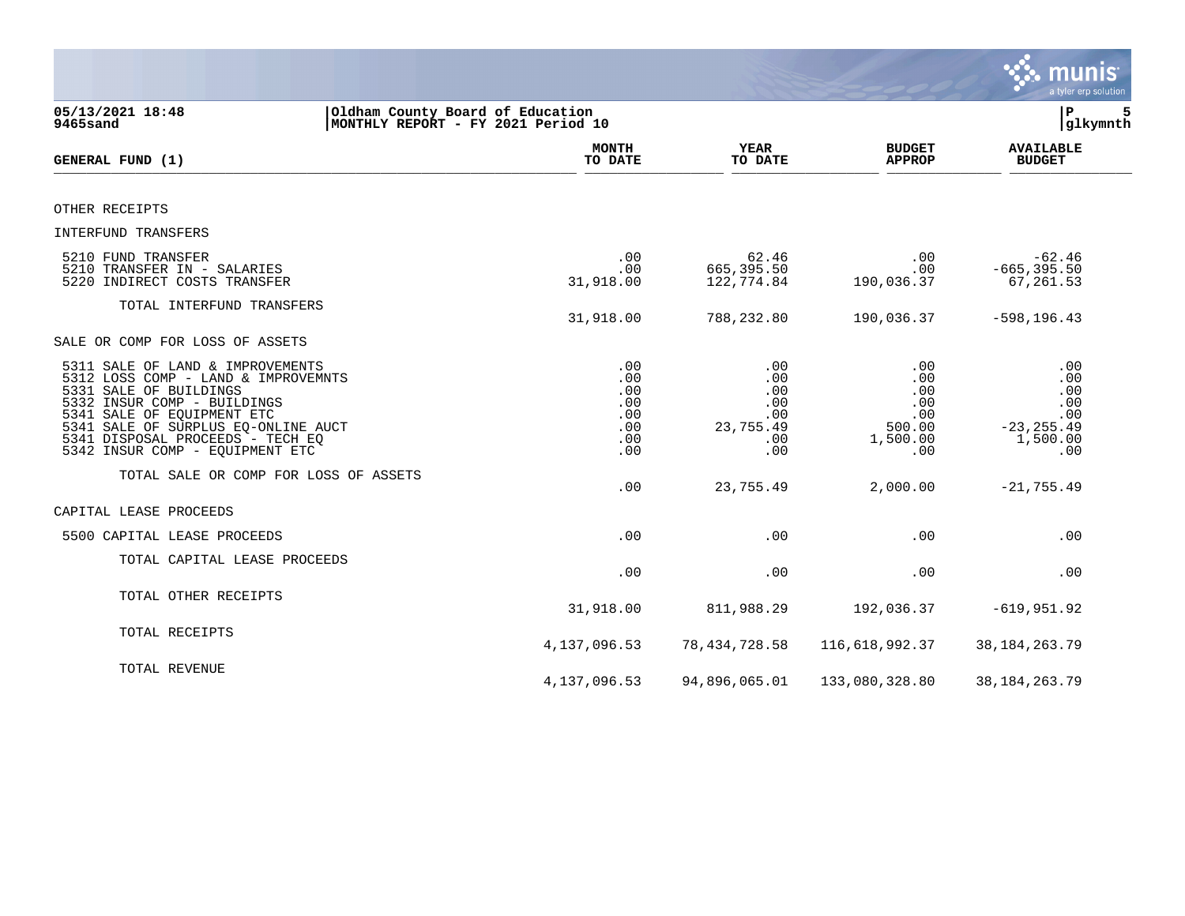|                                                                                                                                                                                                                                                                              |                                                                        |                                                            |                                                              | munis<br>a tyler erp solution                                       |
|------------------------------------------------------------------------------------------------------------------------------------------------------------------------------------------------------------------------------------------------------------------------------|------------------------------------------------------------------------|------------------------------------------------------------|--------------------------------------------------------------|---------------------------------------------------------------------|
| 05/13/2021 18:48<br>9465sand                                                                                                                                                                                                                                                 | Oldham County Board of Education<br>MONTHLY REPORT - FY 2021 Period 10 |                                                            |                                                              | 5<br>ΙP<br>glkymnth                                                 |
| GENERAL FUND (1)                                                                                                                                                                                                                                                             | <b>MONTH</b><br>TO DATE                                                | <b>YEAR</b><br>TO DATE                                     | <b>BUDGET</b><br><b>APPROP</b>                               | <b>AVAILABLE</b><br><b>BUDGET</b>                                   |
| OTHER RECEIPTS                                                                                                                                                                                                                                                               |                                                                        |                                                            |                                                              |                                                                     |
| INTERFUND TRANSFERS                                                                                                                                                                                                                                                          |                                                                        |                                                            |                                                              |                                                                     |
| 5210 FUND TRANSFER<br>5210 TRANSFER IN - SALARIES<br>5220 INDIRECT COSTS TRANSFER                                                                                                                                                                                            | .00<br>.00<br>31,918.00                                                | 62.46<br>665,395.50<br>122,774.84                          | $.00 \,$<br>.00<br>190,036.37                                | $-62.46$<br>$-665, 395.50$<br>67,261.53                             |
| TOTAL INTERFUND TRANSFERS                                                                                                                                                                                                                                                    | 31,918.00                                                              | 788,232.80                                                 | 190,036.37                                                   | $-598, 196.43$                                                      |
| SALE OR COMP FOR LOSS OF ASSETS                                                                                                                                                                                                                                              |                                                                        |                                                            |                                                              |                                                                     |
| 5311 SALE OF LAND & IMPROVEMENTS<br>5312 LOSS COMP - LAND & IMPROVEMNTS<br>5331 SALE OF BUILDINGS<br>5332 INSUR COMP - BUILDINGS<br>5341 SALE OF EQUIPMENT ETC<br>5341 SALE OF SURPLUS EQ-ONLINE AUCT<br>5341 DISPOSAL PROCEEDS - TECH EQ<br>5342 INSUR COMP - EQUIPMENT ETC | .00<br>.00<br>.00<br>.00<br>.00<br>.00<br>.00<br>.00                   | .00<br>.00<br>.00<br>.00<br>.00<br>23,755.49<br>.00<br>.00 | .00<br>.00<br>.00<br>.00<br>.00<br>500.00<br>1,500.00<br>.00 | .00<br>.00<br>.00<br>.00<br>.00<br>$-23, 255.49$<br>1,500.00<br>.00 |
| TOTAL SALE OR COMP FOR LOSS OF ASSETS                                                                                                                                                                                                                                        | .00                                                                    | 23,755.49                                                  | 2,000.00                                                     | $-21, 755.49$                                                       |
| CAPITAL LEASE PROCEEDS                                                                                                                                                                                                                                                       |                                                                        |                                                            |                                                              |                                                                     |
| 5500 CAPITAL LEASE PROCEEDS                                                                                                                                                                                                                                                  | .00                                                                    | .00                                                        | .00                                                          | .00                                                                 |
| TOTAL CAPITAL LEASE PROCEEDS                                                                                                                                                                                                                                                 | .00                                                                    | .00                                                        | .00                                                          | .00                                                                 |
| TOTAL OTHER RECEIPTS                                                                                                                                                                                                                                                         | 31,918.00                                                              | 811,988.29                                                 | 192,036.37                                                   | $-619, 951.92$                                                      |
| TOTAL RECEIPTS                                                                                                                                                                                                                                                               | 4, 137, 096.53                                                         | 78, 434, 728.58                                            | 116,618,992.37                                               | 38, 184, 263. 79                                                    |
| TOTAL REVENUE                                                                                                                                                                                                                                                                | 4,137,096.53                                                           | 94,896,065.01                                              | 133,080,328.80                                               | 38, 184, 263. 79                                                    |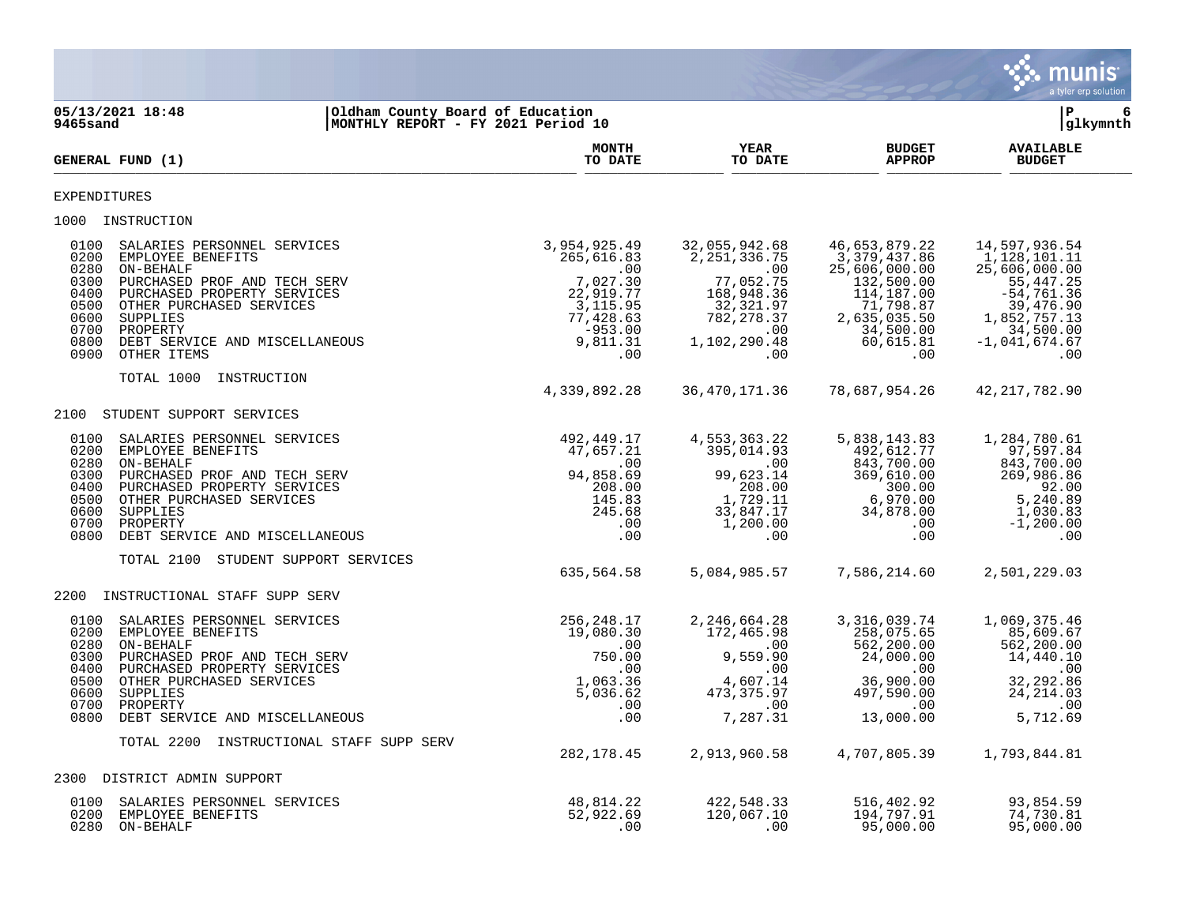|                                                                                                                                                                                                                                                                                                                   |                                                                                                                     |                                                                                                                                        |                                                                                                                                          | <b>munis</b><br>a tyler erp solution                                                                                                             |
|-------------------------------------------------------------------------------------------------------------------------------------------------------------------------------------------------------------------------------------------------------------------------------------------------------------------|---------------------------------------------------------------------------------------------------------------------|----------------------------------------------------------------------------------------------------------------------------------------|------------------------------------------------------------------------------------------------------------------------------------------|--------------------------------------------------------------------------------------------------------------------------------------------------|
| 05/13/2021 18:48<br>9465sand                                                                                                                                                                                                                                                                                      | Oldham County Board of Education<br>MONTHLY REPORT - FY 2021 Period 10                                              |                                                                                                                                        |                                                                                                                                          | $\mathbf{P}$<br>6<br>glkymnth                                                                                                                    |
| GENERAL FUND (1)                                                                                                                                                                                                                                                                                                  | <b>MONTH</b><br>TO DATE                                                                                             | <b>YEAR</b><br>TO DATE                                                                                                                 | <b>BUDGET</b><br><b>APPROP</b>                                                                                                           | <b>AVAILABLE</b><br><b>BUDGET</b>                                                                                                                |
| EXPENDITURES                                                                                                                                                                                                                                                                                                      |                                                                                                                     |                                                                                                                                        |                                                                                                                                          |                                                                                                                                                  |
| 1000 INSTRUCTION                                                                                                                                                                                                                                                                                                  |                                                                                                                     |                                                                                                                                        |                                                                                                                                          |                                                                                                                                                  |
| 0100<br>SALARIES PERSONNEL SERVICES<br>0200<br>EMPLOYEE BENEFITS<br>0280<br>ON-BEHALF<br>0300<br>PURCHASED PROF AND TECH SERV<br>PURCHASED PROPERTY SERVICES<br>0400<br>0500<br>OTHER PURCHASED SERVICES<br>0600<br>SUPPLIES<br>0700<br>PROPERTY<br>0800<br>DEBT SERVICE AND MISCELLANEOUS<br>0900<br>OTHER ITEMS | 3,954,925.49<br>265,616.83<br>.00<br>7,027.30<br>22,919.77<br>3,115.95<br>77,428.63<br>$-953.00$<br>9,811.31<br>.00 | 32,055,942.68<br>2, 251, 336.75<br>$\sim 00$<br>77,052.75<br>168,948.36<br>32,321.97<br>782, 278.37<br>$.00 \,$<br>1,102,290.48<br>.00 | 46,653,879.22<br>3,379,437.86<br>25,606,000.00<br>132,500.00<br>114,187.00<br>71,798.87<br>2,635,035.50<br>34,500.00<br>60,615.81<br>.00 | 14,597,936.54<br>1,128,101.11<br>25,606,000.00<br>55, 447.25<br>$-54,761.36$<br>39,476.90<br>1,852,757.13<br>34,500.00<br>$-1,041,674.67$<br>.00 |
| TOTAL 1000<br>INSTRUCTION                                                                                                                                                                                                                                                                                         | 4,339,892.28                                                                                                        | 36, 470, 171.36                                                                                                                        | 78,687,954.26                                                                                                                            | 42, 217, 782.90                                                                                                                                  |
| 2100<br>STUDENT SUPPORT SERVICES                                                                                                                                                                                                                                                                                  |                                                                                                                     |                                                                                                                                        |                                                                                                                                          |                                                                                                                                                  |
| 0100<br>SALARIES PERSONNEL SERVICES<br>EMPLOYEE BENEFITS<br>0200<br>0280<br>ON-BEHALF<br>0300<br>PURCHASED PROF AND TECH SERV<br>0400<br>PURCHASED PROPERTY SERVICES<br>0500<br>OTHER PURCHASED SERVICES<br>0600<br>SUPPLIES<br>0700<br>PROPERTY<br>0800<br>DEBT SERVICE AND MISCELLANEOUS                        | 492,449.17<br>47,657.21<br>$\overline{\phantom{0}}$ .00<br>94,858.69<br>208.00<br>145.83<br>245.68<br>.00<br>.00    | 4,553,363.22<br>395,014.93<br>$\sim$ 00<br>99,623.14<br>208.00<br>1,729.11<br>33,847.17<br>1,200.00<br>$.00 \ \,$                      | 5,838,143.83<br>492,612.77<br>843,700.00<br>369,610.00<br>300.00<br>6,970.00<br>34,878.00<br>$.00 \,$<br>.00                             | 1,284,780.61<br>97,597.84<br>843,700.00<br>269,986.86<br>92.00<br>5,240.89<br>1,030.83<br>$-1, 200.00$<br>.00                                    |
| TOTAL 2100 STUDENT SUPPORT SERVICES                                                                                                                                                                                                                                                                               | 635,564.58                                                                                                          | 5,084,985.57                                                                                                                           | 7,586,214.60                                                                                                                             | 2,501,229.03                                                                                                                                     |
| INSTRUCTIONAL STAFF SUPP SERV<br>2200                                                                                                                                                                                                                                                                             |                                                                                                                     |                                                                                                                                        |                                                                                                                                          |                                                                                                                                                  |
| 0100<br>SALARIES PERSONNEL SERVICES<br>0200<br>EMPLOYEE BENEFITS<br>0280<br>ON-BEHALF<br>0300<br>PURCHASED PROF AND TECH SERV<br>0400<br>PURCHASED PROPERTY SERVICES<br>0500<br>OTHER PURCHASED SERVICES<br>0600<br>SUPPLIES<br>0700<br>PROPERTY                                                                  | 256,248.17<br>19,080.30<br>.00<br>750.00<br>.00<br>1,063.36<br>5,036.62<br>.00                                      | 2, 246, 664. 28<br>172,465.98<br>.00<br>9,559.90<br>.00<br>4,607.14<br>473, 375.97<br>.00                                              | 3,316,039.74<br>258,075.65<br>562,200.00<br>24,000.00<br>$.00 \ \rm$<br>36,900.00<br>497,590.00<br>.00                                   | 1,069,375.46<br>85,609.67<br>562,200.00<br>14,440.10<br>.00<br>32,292.86<br>24, 214.03<br>.00                                                    |
| 0800 DEBT SERVICE AND MISCELLANEOUS                                                                                                                                                                                                                                                                               | .00                                                                                                                 | 7,287.31                                                                                                                               | 13,000.00                                                                                                                                | 5,712.69                                                                                                                                         |
| TOTAL 2200 INSTRUCTIONAL STAFF SUPP SERV                                                                                                                                                                                                                                                                          | 282, 178.45                                                                                                         | 2,913,960.58                                                                                                                           | 4,707,805.39                                                                                                                             | 1,793,844.81                                                                                                                                     |
| DISTRICT ADMIN SUPPORT<br>2300                                                                                                                                                                                                                                                                                    |                                                                                                                     |                                                                                                                                        |                                                                                                                                          |                                                                                                                                                  |
| 0100<br>SALARIES PERSONNEL SERVICES<br>EMPLOYEE BENEFITS<br>0200<br>0280 ON-BEHALF                                                                                                                                                                                                                                | 48,814.22<br>52,922.69<br>.00                                                                                       | 422,548.33<br>120,067.10<br>.00                                                                                                        | 516,402.92<br>194,797.91<br>95,000.00                                                                                                    | 93,854.59<br>74,730.81<br>95,000.00                                                                                                              |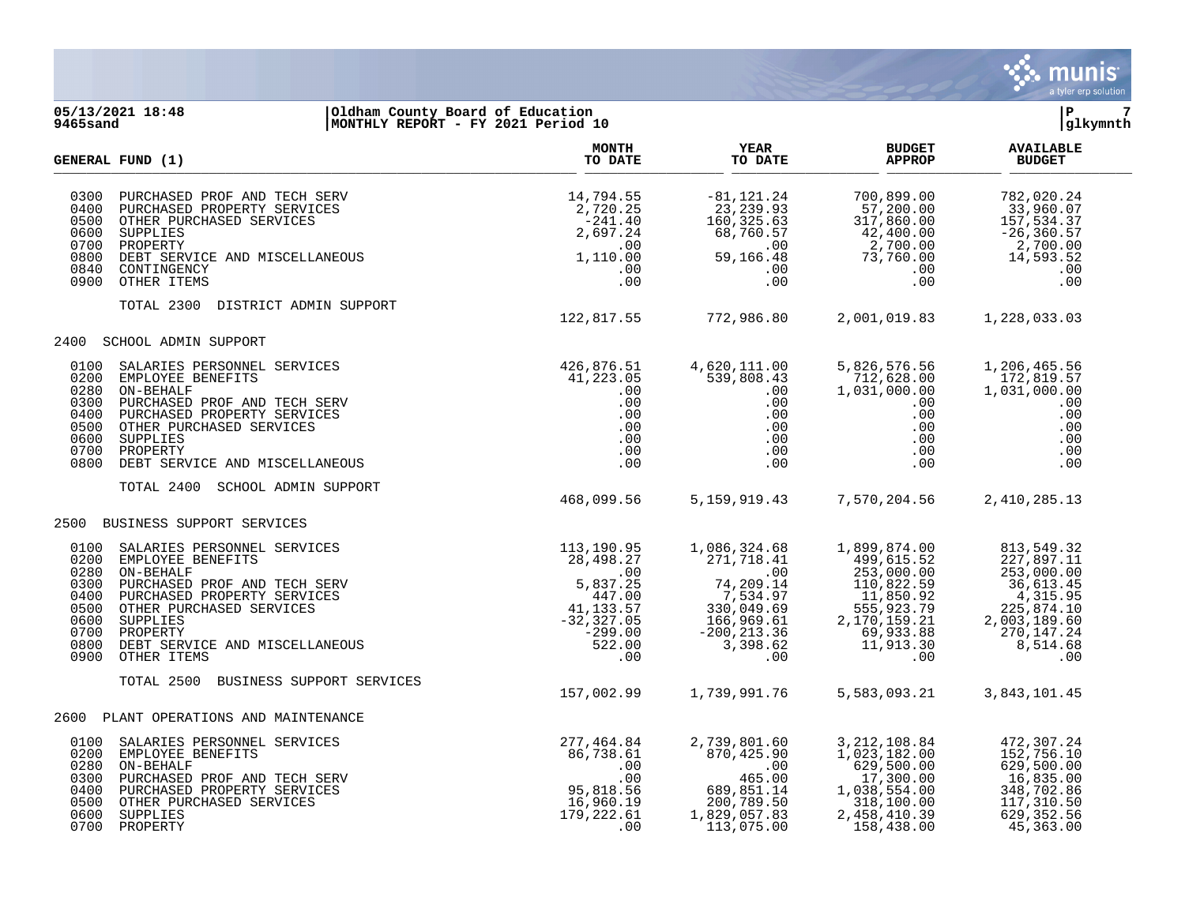

## **05/13/2021 18:48 |Oldham County Board of Education |P 7 9465sand |MONTHLY REPORT - FY 2021 Period 10 |glkymnth**

|                                                                      | GENERAL FUND (1)                                                                                                                                                                                                                                                                                                                                                                                                                                                     | <b>MONTH</b><br>TO DATE                                                              | YEAR<br>TO DATE                                                                                                                                                                                                                                                                    | <b>BUDGET</b><br><b>APPROP</b>                                                                                            | <b>AVAILABLE</b><br><b>BUDGET</b>                                                                                                |  |
|----------------------------------------------------------------------|----------------------------------------------------------------------------------------------------------------------------------------------------------------------------------------------------------------------------------------------------------------------------------------------------------------------------------------------------------------------------------------------------------------------------------------------------------------------|--------------------------------------------------------------------------------------|------------------------------------------------------------------------------------------------------------------------------------------------------------------------------------------------------------------------------------------------------------------------------------|---------------------------------------------------------------------------------------------------------------------------|----------------------------------------------------------------------------------------------------------------------------------|--|
| 0300<br>0500<br>0800                                                 | PURCHASED PROF AND TECH SERV<br>PURCHASED PROPERTY SERVICES<br>OTHER PURCHASED SERVICES<br>SUPPLIES<br>PROPERTY<br>DEBT SERVICE AND MISCELLANEOUS<br>CONTINGENCY<br>CONTINGENCY<br>0400 PURCHASED PROPERTY SERVICES<br>0600 SUPPLIES<br>0700 PROPERTY<br>0840 CONTINGENCY<br>0900 OTHER ITEMS                                                                                                                                                                        | 14,794.55<br>2,720.25<br>$-241.40$<br>2,697.24<br>.00<br>1,110.00<br>.00<br>.00      | $\begin{array}{r} -81,121.24 \ 23,239.93 \ 160,325.63 \ 68,760.57 \ 59,166.48 \ 00 \ 00 \ 00 \end{array}$                                                                                                                                                                          | 2,700.00<br>73,760.00<br>.00<br>.00                                                                                       | 782,020.24<br>33,960.07<br>157,534.37<br>$-26, 360.57$<br>2,700.00<br>14,593.52<br>.00<br>.00                                    |  |
|                                                                      | TOTAL 2300<br>DISTRICT ADMIN SUPPORT                                                                                                                                                                                                                                                                                                                                                                                                                                 | 122,817.55 772,986.80                                                                |                                                                                                                                                                                                                                                                                    |                                                                                                                           | 2,001,019.83 1,228,033.03                                                                                                        |  |
| 2400                                                                 | <b>SCHOOL ADMIN SUPPORT</b>                                                                                                                                                                                                                                                                                                                                                                                                                                          |                                                                                      |                                                                                                                                                                                                                                                                                    |                                                                                                                           |                                                                                                                                  |  |
| 0100<br>0200<br>0280<br>0300<br>0400<br>0500<br>0600<br>0800         | $\begin{tabular}{llllllll} \multicolumn{4}{c}{\textbf{SALARIES } } & \textbf{EERSONNEL} & \textbf{SERVICES} & & & & & 426,876.51 \\ \multicolumn{4}{c}{EMPLOYE} & \textbf{EENEFITS} & & & & 41,223.05 \\ \multicolumn{4}{c}{ON-BEHALE} & & & & .00 \\ \multicolumn{4}{c}{DURCHASED} & \textbf{PROPERTY } SERVICES & & & .00 \\ \multicolumn{4}{c}{OTHER} & \textbf{PURCHASED} & \textbf{SERVICES} & & .00 \\ \multicolumn{4}{c}{OTER} & & & .00 \\$<br>0700 PROPERTY |                                                                                      | 4,620,111.00<br>539,808.43<br>.00<br>.00<br>$\begin{array}{c} .00\ 0.00\ 0.00\ 0.00\ 0.00\ 0.00\ \end{array}$                                                                                                                                                                      | 5,826,576.56<br>712,628.00<br>$\begin{array}{r} \n712 \\ 1,031,00 \\ 00 \\ 00 \\ 00 \\ 00 \\ 00 \\ 00\n\end{array}$       | 1,206,465.56<br>172,819.57<br>1,031,000.00<br>.00<br>.00<br>.00<br>.00<br>.00<br>.00                                             |  |
|                                                                      | TOTAL 2400<br>SCHOOL ADMIN SUPPORT                                                                                                                                                                                                                                                                                                                                                                                                                                   | 468,099.56                                                                           |                                                                                                                                                                                                                                                                                    | 5, 159, 919. 43 7, 570, 204. 56                                                                                           | 2,410,285.13                                                                                                                     |  |
| 2500                                                                 | BUSINESS SUPPORT SERVICES                                                                                                                                                                                                                                                                                                                                                                                                                                            |                                                                                      |                                                                                                                                                                                                                                                                                    |                                                                                                                           |                                                                                                                                  |  |
| 0100<br>0200<br>0280<br>0300<br>0400<br>0500<br>0600<br>0700<br>0800 | SOLINESS SUFFUL DENVICES<br>EMPLOYEE BENEFITS<br>ON-BEHALF<br>DERIALE PROF AND TECH SERV<br>PURCHASED PROF AND TECH SERV<br>DERIALE PURCHASED PROF AND TECH SERV<br>5,837.25<br>PURCHASED PROPERTY SERVICES<br>OTHER PURCHASED SERVICES<br>PROPE<br>0900 OTHER ITEMS                                                                                                                                                                                                 | .00                                                                                  | 1,086,324.68<br>$\begin{array}{cccc} 1,899,874.00 \ 271,718.41 & 499,615.52 \ 0.00 & 253,000.00 \ 74,209.14 & 110,822.59 \ 7,534.97 & 11,850.92 \ 330,049.69 & 555,923.79 \ 166,969.61 & 2,170,159.21 \ -200,213.36 & 69,933.88 \ 3,398.62 & 11,913.30 \ 0 & 0 & 0 & 0 & 0 & 0 & $ | 1,899,874.00                                                                                                              | 813,549.32<br>227,897.11<br>253,000.00<br>36,613.45<br>4, 315.95<br>225,874.10<br>2,003,189.60<br>270, 147.24<br>8,514.68<br>.00 |  |
|                                                                      | BUSINESS SUPPORT SERVICES<br>TOTAL 2500                                                                                                                                                                                                                                                                                                                                                                                                                              | 157,002.99                                                                           | 1,739,991.76                                                                                                                                                                                                                                                                       | 5,583,093.21                                                                                                              | 3,843,101.45                                                                                                                     |  |
| 2600                                                                 | PLANT OPERATIONS AND MAINTENANCE                                                                                                                                                                                                                                                                                                                                                                                                                                     |                                                                                      |                                                                                                                                                                                                                                                                                    |                                                                                                                           |                                                                                                                                  |  |
|                                                                      | 0100 SALARIES PERSONNEL SERVICES<br>0200 EMPLOYEE BENEFITS<br>0280 ON-BEHALF<br>0300 PURCHASED PROF AND TECH SERV<br>0400 PURCHASED PROPERTY SERVICES<br>0500 SUPPLIES<br>0600 SUPPLIES<br>0700 BROPERTY<br>0700 PROPERTY                                                                                                                                                                                                                                            | 277,464.84<br>86,738.61<br>.00<br>.00<br>95,818.56<br>16,960.19<br>179,222.61<br>.00 | 2,739,801.60<br>$870,425.90$ .00<br>465.00<br>465.00<br>689,851.14<br>200,789.50<br>1,829,057.83<br>322,057.83<br>113,075.00                                                                                                                                                       | 3, 212, 108.84<br>1, 023, 182.00<br>$629,500.00$<br>17,300.00<br>1,038,554.00<br>318,100.00<br>2,458,410.39<br>158,438.00 | 472,307.24<br>152,756.10<br>629,500.00<br>16,835.00<br>348,702.86<br>117,310.50<br>629, 352.56<br>45,363.00                      |  |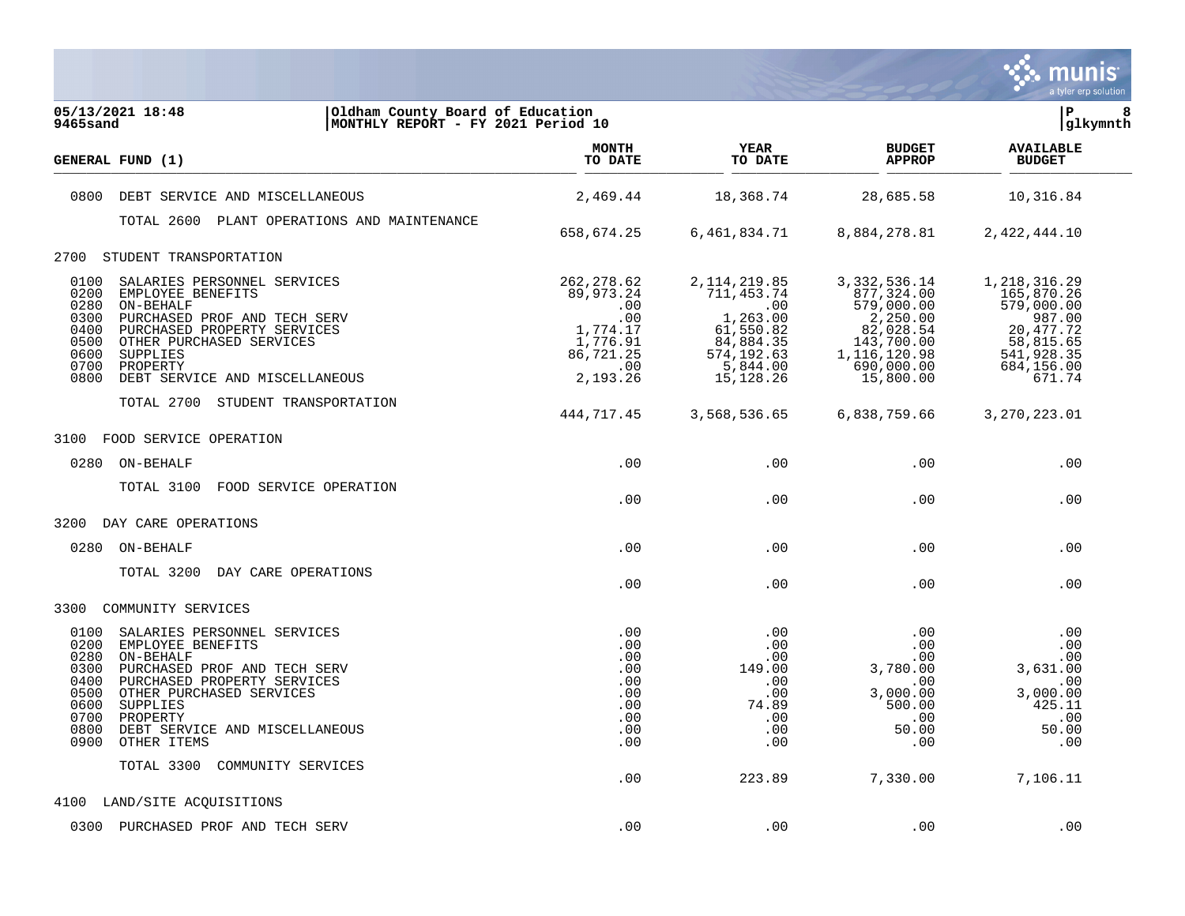

| 05/13/2021 18:48<br>9465sand                                                                                                                                                      | Oldham County Board of Education<br>MONTHLY REPORT - FY 2021 Period 10                                                                                            |                                                                                                |                                                                                                                   |                                                                                                                              | l P<br> glkymnth                                                                                                    | 8 |
|-----------------------------------------------------------------------------------------------------------------------------------------------------------------------------------|-------------------------------------------------------------------------------------------------------------------------------------------------------------------|------------------------------------------------------------------------------------------------|-------------------------------------------------------------------------------------------------------------------|------------------------------------------------------------------------------------------------------------------------------|---------------------------------------------------------------------------------------------------------------------|---|
| GENERAL FUND (1)                                                                                                                                                                  |                                                                                                                                                                   | <b>MONTH</b><br>TO DATE                                                                        | <b>YEAR</b><br>TO DATE                                                                                            | <b>BUDGET</b><br><b>APPROP</b>                                                                                               | <b>AVAILABLE</b><br><b>BUDGET</b>                                                                                   |   |
| 0800                                                                                                                                                                              | DEBT SERVICE AND MISCELLANEOUS                                                                                                                                    | 2,469.44                                                                                       | 18,368.74                                                                                                         | 28,685.58                                                                                                                    | 10,316.84                                                                                                           |   |
|                                                                                                                                                                                   | TOTAL 2600 PLANT OPERATIONS AND MAINTENANCE                                                                                                                       | 658,674.25                                                                                     | 6,461,834.71                                                                                                      | 8,884,278.81                                                                                                                 | 2,422,444.10                                                                                                        |   |
| STUDENT TRANSPORTATION<br>2700                                                                                                                                                    |                                                                                                                                                                   |                                                                                                |                                                                                                                   |                                                                                                                              |                                                                                                                     |   |
| 0100<br>0200<br>EMPLOYEE BENEFITS<br>0280<br>ON-BEHALF<br>0300<br>0400<br>0500<br>OTHER PURCHASED SERVICES<br>0600<br>SUPPLIES<br>0700<br>PROPERTY<br>0800                        | SALARIES PERSONNEL SERVICES<br>PURCHASED PROF AND TECH SERV<br>PURCHASED PROPERTY SERVICES<br>DEBT SERVICE AND MISCELLANEOUS<br>TOTAL 2700 STUDENT TRANSPORTATION | 262, 278.62<br>89,973.24<br>.00<br>.00<br>1,774.17<br>1,776.91<br>86,721.25<br>.00<br>2,193.26 | 2, 114, 219.85<br>711, 453.74<br>.00<br>1,263.00<br>61,550.82<br>84,884.35<br>574,192.63<br>5,844.00<br>15,128.26 | 3, 332, 536.14<br>877,324.00<br>579,000.00<br>2,250.00<br>82,028.54<br>143,700.00<br>1,116,120.98<br>690,000.00<br>15,800.00 | 1,218,316.29<br>165,870.26<br>579,000.00<br>987.00<br>20, 477.72<br>58,815.65<br>541,928.35<br>684,156.00<br>671.74 |   |
|                                                                                                                                                                                   |                                                                                                                                                                   | 444,717.45                                                                                     | 3,568,536.65                                                                                                      | 6,838,759.66                                                                                                                 | 3, 270, 223.01                                                                                                      |   |
| 3100<br>FOOD SERVICE OPERATION                                                                                                                                                    |                                                                                                                                                                   |                                                                                                |                                                                                                                   |                                                                                                                              |                                                                                                                     |   |
| 0280 ON-BEHALF                                                                                                                                                                    |                                                                                                                                                                   | .00                                                                                            | .00                                                                                                               | .00                                                                                                                          | .00                                                                                                                 |   |
| TOTAL 3100                                                                                                                                                                        | FOOD SERVICE OPERATION                                                                                                                                            | .00                                                                                            | .00                                                                                                               | .00                                                                                                                          | .00                                                                                                                 |   |
| 3200 DAY CARE OPERATIONS                                                                                                                                                          |                                                                                                                                                                   |                                                                                                |                                                                                                                   |                                                                                                                              |                                                                                                                     |   |
| 0280 ON-BEHALF                                                                                                                                                                    |                                                                                                                                                                   | .00                                                                                            | .00                                                                                                               | .00                                                                                                                          | .00                                                                                                                 |   |
| TOTAL 3200                                                                                                                                                                        | DAY CARE OPERATIONS                                                                                                                                               | .00                                                                                            | .00                                                                                                               | .00                                                                                                                          | .00                                                                                                                 |   |
| 3300<br>COMMUNITY SERVICES                                                                                                                                                        |                                                                                                                                                                   |                                                                                                |                                                                                                                   |                                                                                                                              |                                                                                                                     |   |
| 0100<br>0200<br>EMPLOYEE BENEFITS<br>0280<br>ON-BEHALF<br>0300<br>0400<br>0500<br>OTHER PURCHASED SERVICES<br>0600<br>SUPPLIES<br>0700<br>PROPERTY<br>0800<br>0900<br>OTHER ITEMS | SALARIES PERSONNEL SERVICES<br>PURCHASED PROF AND TECH SERV<br>PURCHASED PROPERTY SERVICES<br>DEBT SERVICE AND MISCELLANEOUS                                      | $.00 \,$<br>.00<br>.00<br>.00<br>.00<br>.00<br>.00<br>.00<br>.00<br>.00                        | $.00 \,$<br>.00<br>.00<br>149.00<br>$.00 \,$<br>$.00 \,$<br>74.89<br>.00<br>.00<br>.00                            | $.00 \,$<br>.00<br>.00<br>3,780.00<br>$.00 \,$<br>3,000.00<br>500.00<br>.00<br>50.00<br>.00                                  | .00<br>.00<br>.00<br>3,631.00<br>.00<br>3,000.00<br>425.11<br>.00<br>50.00<br>.00                                   |   |
| TOTAL 3300                                                                                                                                                                        | COMMUNITY SERVICES                                                                                                                                                | .00                                                                                            | 223.89                                                                                                            | 7,330.00                                                                                                                     | 7,106.11                                                                                                            |   |
| 4100 LAND/SITE ACQUISITIONS                                                                                                                                                       |                                                                                                                                                                   |                                                                                                |                                                                                                                   |                                                                                                                              |                                                                                                                     |   |
| 0300 PURCHASED PROF AND TECH SERV                                                                                                                                                 |                                                                                                                                                                   | .00                                                                                            | .00                                                                                                               | .00                                                                                                                          | .00                                                                                                                 |   |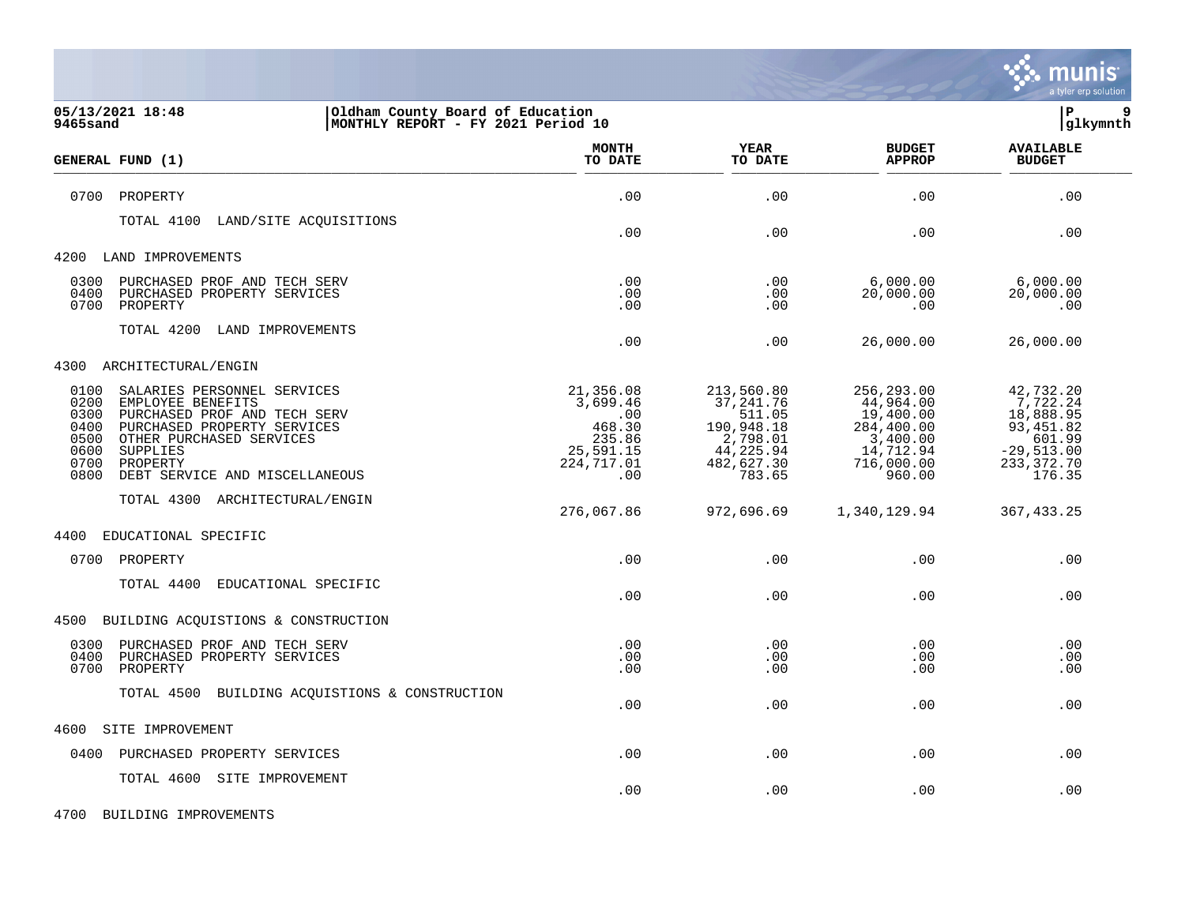

| 05/13/2021 18:48<br>Oldham County Board of Education<br>MONTHLY REPORT - FY 2021 Period 10<br>9465sand                                                                                                                                                                |                                                                                    |                                                                                                   |                                                                                                     | lР<br>9<br> glkymnth                                                                               |
|-----------------------------------------------------------------------------------------------------------------------------------------------------------------------------------------------------------------------------------------------------------------------|------------------------------------------------------------------------------------|---------------------------------------------------------------------------------------------------|-----------------------------------------------------------------------------------------------------|----------------------------------------------------------------------------------------------------|
| GENERAL FUND (1)                                                                                                                                                                                                                                                      | <b>MONTH</b><br>TO DATE                                                            | <b>YEAR</b><br>TO DATE                                                                            | <b>BUDGET</b><br><b>APPROP</b>                                                                      | <b>AVAILABLE</b><br><b>BUDGET</b>                                                                  |
| 0700<br>PROPERTY                                                                                                                                                                                                                                                      | .00                                                                                | .00                                                                                               | .00                                                                                                 | .00                                                                                                |
| LAND/SITE ACQUISITIONS<br>TOTAL 4100                                                                                                                                                                                                                                  | .00                                                                                | .00                                                                                               | .00                                                                                                 | .00                                                                                                |
| 4200<br>LAND IMPROVEMENTS                                                                                                                                                                                                                                             |                                                                                    |                                                                                                   |                                                                                                     |                                                                                                    |
| 0300<br>PURCHASED PROF AND TECH SERV<br>0400<br>PURCHASED PROPERTY SERVICES<br>0700<br>PROPERTY                                                                                                                                                                       | .00<br>.00<br>.00                                                                  | .00<br>.00<br>.00                                                                                 | 6,000.00<br>20,000.00<br>.00                                                                        | 6,000.00<br>20,000.00<br>.00                                                                       |
| TOTAL 4200<br>LAND IMPROVEMENTS                                                                                                                                                                                                                                       | .00                                                                                | .00                                                                                               | 26,000.00                                                                                           | 26,000.00                                                                                          |
| 4300<br>ARCHITECTURAL/ENGIN                                                                                                                                                                                                                                           |                                                                                    |                                                                                                   |                                                                                                     |                                                                                                    |
| 0100<br>SALARIES PERSONNEL SERVICES<br>0200<br>EMPLOYEE BENEFITS<br>0300<br>PURCHASED PROF AND TECH SERV<br>0400<br>PURCHASED PROPERTY SERVICES<br>0500<br>OTHER PURCHASED SERVICES<br>0600<br>SUPPLIES<br>0700<br>PROPERTY<br>0800<br>DEBT SERVICE AND MISCELLANEOUS | 21,356.08<br>3,699.46<br>.00<br>468.30<br>235.86<br>25,591.15<br>224,717.01<br>.00 | 213,560.80<br>37, 241.76<br>511.05<br>190,948.18<br>2,798.01<br>44,225.94<br>482,627.30<br>783.65 | 256,293.00<br>44,964.00<br>19,400.00<br>284,400.00<br>3,400.00<br>14,712.94<br>716,000.00<br>960.00 | 42,732.20<br>7,722.24<br>18,888.95<br>93, 451.82<br>601.99<br>$-29,513.00$<br>233,372.70<br>176.35 |
| TOTAL 4300 ARCHITECTURAL/ENGIN                                                                                                                                                                                                                                        | 276,067.86                                                                         | 972,696.69                                                                                        | 1,340,129.94                                                                                        | 367, 433.25                                                                                        |
| 4400<br>EDUCATIONAL SPECIFIC                                                                                                                                                                                                                                          |                                                                                    |                                                                                                   |                                                                                                     |                                                                                                    |
| 0700 PROPERTY                                                                                                                                                                                                                                                         | .00                                                                                | .00                                                                                               | .00                                                                                                 | .00                                                                                                |
| TOTAL 4400<br>EDUCATIONAL SPECIFIC                                                                                                                                                                                                                                    | .00                                                                                | .00                                                                                               | .00                                                                                                 | .00                                                                                                |
| BUILDING ACQUISTIONS & CONSTRUCTION<br>4500                                                                                                                                                                                                                           |                                                                                    |                                                                                                   |                                                                                                     |                                                                                                    |
| PURCHASED PROF AND TECH SERV<br>0300<br>0400<br>PURCHASED PROPERTY SERVICES<br>0700<br>PROPERTY                                                                                                                                                                       | .00<br>.00<br>.00                                                                  | .00<br>.00<br>.00                                                                                 | .00<br>.00<br>.00                                                                                   | .00<br>.00<br>.00                                                                                  |
| TOTAL 4500 BUILDING ACQUISTIONS & CONSTRUCTION                                                                                                                                                                                                                        | .00                                                                                | .00                                                                                               | .00                                                                                                 | .00                                                                                                |
| 4600<br>SITE IMPROVEMENT                                                                                                                                                                                                                                              |                                                                                    |                                                                                                   |                                                                                                     |                                                                                                    |
| PURCHASED PROPERTY SERVICES<br>0400                                                                                                                                                                                                                                   | .00                                                                                | .00                                                                                               | .00                                                                                                 | .00                                                                                                |
| TOTAL 4600 SITE IMPROVEMENT                                                                                                                                                                                                                                           | .00                                                                                | .00                                                                                               | .00                                                                                                 | .00                                                                                                |

4700 BUILDING IMPROVEMENTS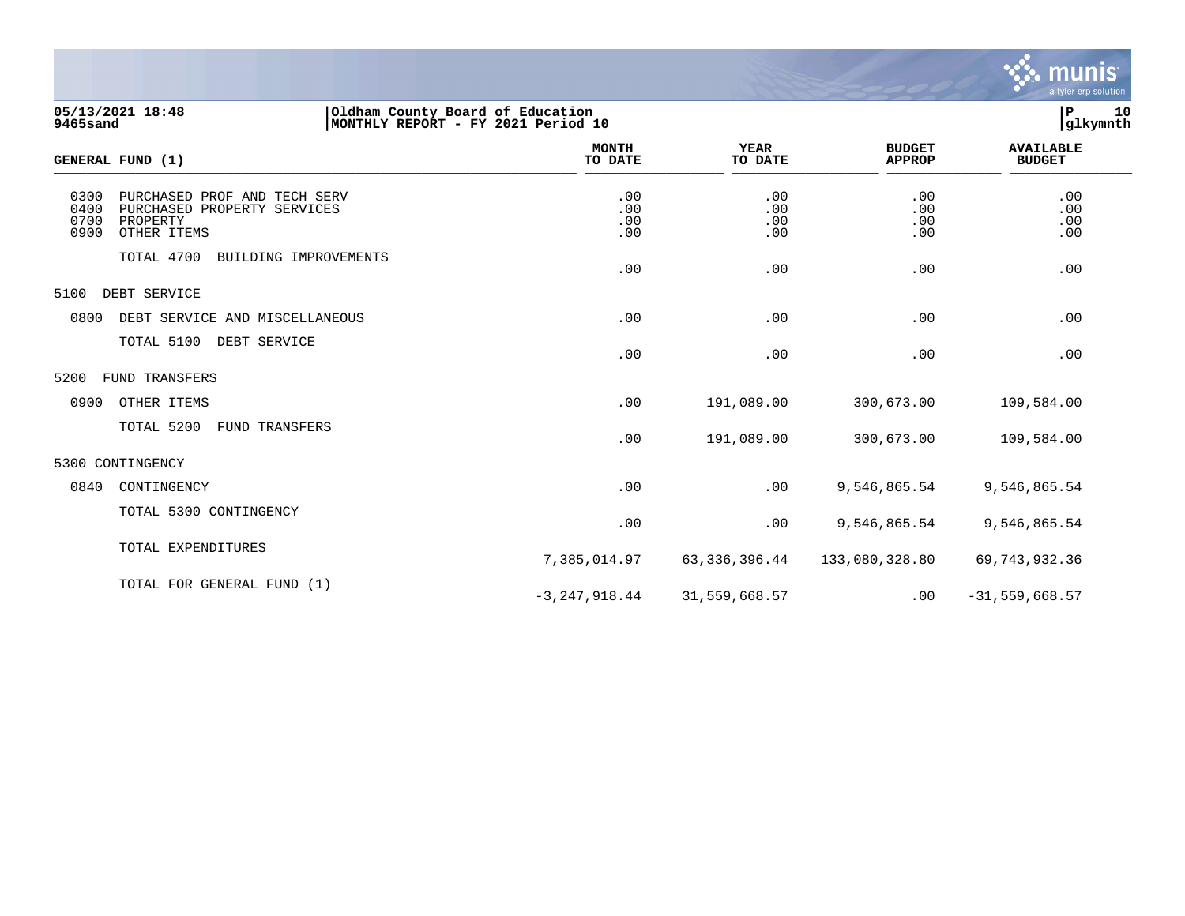

| <b>9465sand</b>              | 05/13/2021 18:48                                                                       | Oldham County Board of Education<br>MONTHLY REPORT - FY 2021 Period 10 |                          |                          |                                |                                   |
|------------------------------|----------------------------------------------------------------------------------------|------------------------------------------------------------------------|--------------------------|--------------------------|--------------------------------|-----------------------------------|
|                              | GENERAL FUND (1)                                                                       |                                                                        | <b>MONTH</b><br>TO DATE  | <b>YEAR</b><br>TO DATE   | <b>BUDGET</b><br><b>APPROP</b> | <b>AVAILABLE</b><br><b>BUDGET</b> |
| 0300<br>0400<br>0700<br>0900 | PURCHASED PROF AND TECH SERV<br>PURCHASED PROPERTY SERVICES<br>PROPERTY<br>OTHER ITEMS |                                                                        | .00<br>.00<br>.00<br>.00 | .00<br>.00<br>.00<br>.00 | .00<br>.00<br>.00<br>.00       | .00<br>.00<br>.00<br>.00          |
|                              | TOTAL 4700<br>BUILDING IMPROVEMENTS                                                    |                                                                        | .00                      | .00                      | .00                            | .00                               |
| 5100                         | DEBT SERVICE                                                                           |                                                                        |                          |                          |                                |                                   |
| 0800                         | DEBT SERVICE AND MISCELLANEOUS                                                         |                                                                        | .00                      | .00                      | .00                            | .00                               |
|                              | TOTAL 5100<br>DEBT SERVICE                                                             |                                                                        | .00                      | .00                      | .00                            | .00                               |
| 5200                         | FUND TRANSFERS                                                                         |                                                                        |                          |                          |                                |                                   |
| 0900                         | OTHER ITEMS                                                                            |                                                                        | .00                      | 191,089.00               | 300,673.00                     | 109,584.00                        |
|                              | TOTAL 5200<br>FUND TRANSFERS                                                           |                                                                        | .00                      | 191,089.00               | 300,673.00                     | 109,584.00                        |
|                              | 5300 CONTINGENCY                                                                       |                                                                        |                          |                          |                                |                                   |
| 0840                         | CONTINGENCY                                                                            |                                                                        | .00                      | .00                      | 9,546,865.54                   | 9,546,865.54                      |
|                              | TOTAL 5300 CONTINGENCY                                                                 |                                                                        | .00                      | .00                      | 9,546,865.54                   | 9,546,865.54                      |
|                              | TOTAL EXPENDITURES                                                                     |                                                                        | 7,385,014.97             | 63, 336, 396.44          | 133,080,328.80                 | 69,743,932.36                     |
|                              | TOTAL FOR GENERAL FUND (1)                                                             |                                                                        | $-3, 247, 918.44$        | 31,559,668.57            | .00                            | $-31,559,668.57$                  |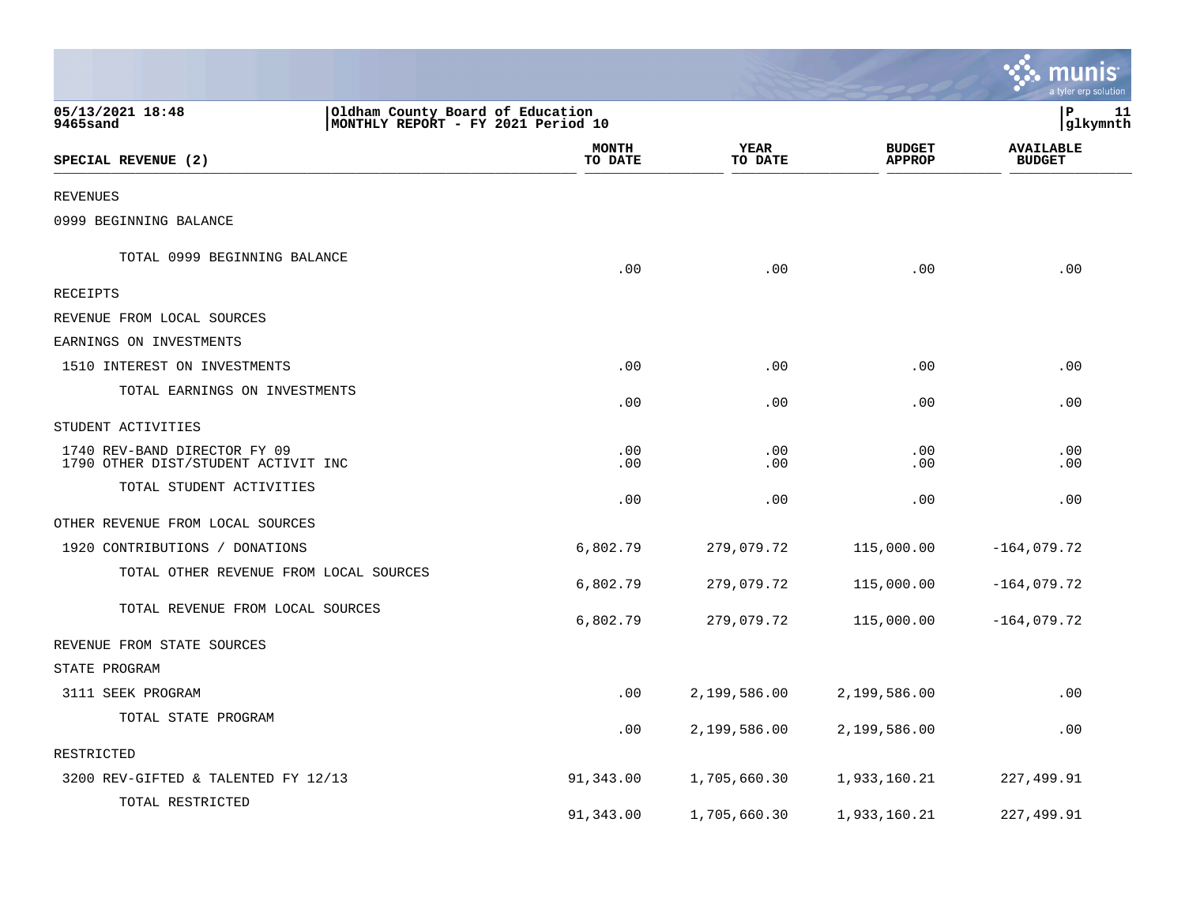|                                                                     |                                                                        |                 |                                | munis<br>a tyler erp solution     |
|---------------------------------------------------------------------|------------------------------------------------------------------------|-----------------|--------------------------------|-----------------------------------|
| 05/13/2021 18:48<br>9465sand                                        | Oldham County Board of Education<br>MONTHLY REPORT - FY 2021 Period 10 |                 |                                | lР<br>11<br> glkymnth             |
| SPECIAL REVENUE (2)                                                 | MONTH<br>TO DATE                                                       | YEAR<br>TO DATE | <b>BUDGET</b><br><b>APPROP</b> | <b>AVAILABLE</b><br><b>BUDGET</b> |
| <b>REVENUES</b>                                                     |                                                                        |                 |                                |                                   |
| 0999 BEGINNING BALANCE                                              |                                                                        |                 |                                |                                   |
| TOTAL 0999 BEGINNING BALANCE                                        | .00                                                                    | .00             | .00                            | .00                               |
| <b>RECEIPTS</b>                                                     |                                                                        |                 |                                |                                   |
| REVENUE FROM LOCAL SOURCES                                          |                                                                        |                 |                                |                                   |
| EARNINGS ON INVESTMENTS                                             |                                                                        |                 |                                |                                   |
| 1510 INTEREST ON INVESTMENTS                                        | .00                                                                    | .00             | .00                            | .00                               |
| TOTAL EARNINGS ON INVESTMENTS                                       | .00                                                                    | .00             | .00                            | .00                               |
| STUDENT ACTIVITIES                                                  |                                                                        |                 |                                |                                   |
| 1740 REV-BAND DIRECTOR FY 09<br>1790 OTHER DIST/STUDENT ACTIVIT INC | .00<br>.00                                                             | .00<br>.00      | .00<br>.00                     | .00<br>.00                        |
| TOTAL STUDENT ACTIVITIES                                            | .00                                                                    | .00             | .00                            | .00                               |
| OTHER REVENUE FROM LOCAL SOURCES                                    |                                                                        |                 |                                |                                   |
| 1920 CONTRIBUTIONS / DONATIONS                                      | 6,802.79                                                               | 279,079.72      | 115,000.00                     | $-164,079.72$                     |
| TOTAL OTHER REVENUE FROM LOCAL SOURCES                              | 6,802.79                                                               | 279,079.72      | 115,000.00                     | $-164,079.72$                     |
| TOTAL REVENUE FROM LOCAL SOURCES                                    | 6,802.79                                                               | 279,079.72      | 115,000.00                     | $-164,079.72$                     |
| REVENUE FROM STATE SOURCES                                          |                                                                        |                 |                                |                                   |
| STATE PROGRAM                                                       |                                                                        |                 |                                |                                   |
| 3111 SEEK PROGRAM                                                   | .00                                                                    | 2,199,586.00    | 2,199,586.00                   | .00                               |
| TOTAL STATE PROGRAM                                                 | .00                                                                    | 2,199,586.00    | 2,199,586.00                   | .00                               |
| RESTRICTED                                                          |                                                                        |                 |                                |                                   |
| 3200 REV-GIFTED & TALENTED FY 12/13                                 | 91,343.00                                                              | 1,705,660.30    | 1,933,160.21                   | 227,499.91                        |
| TOTAL RESTRICTED                                                    | 91,343.00                                                              | 1,705,660.30    | 1,933,160.21                   | 227,499.91                        |

 $\mathcal{L}$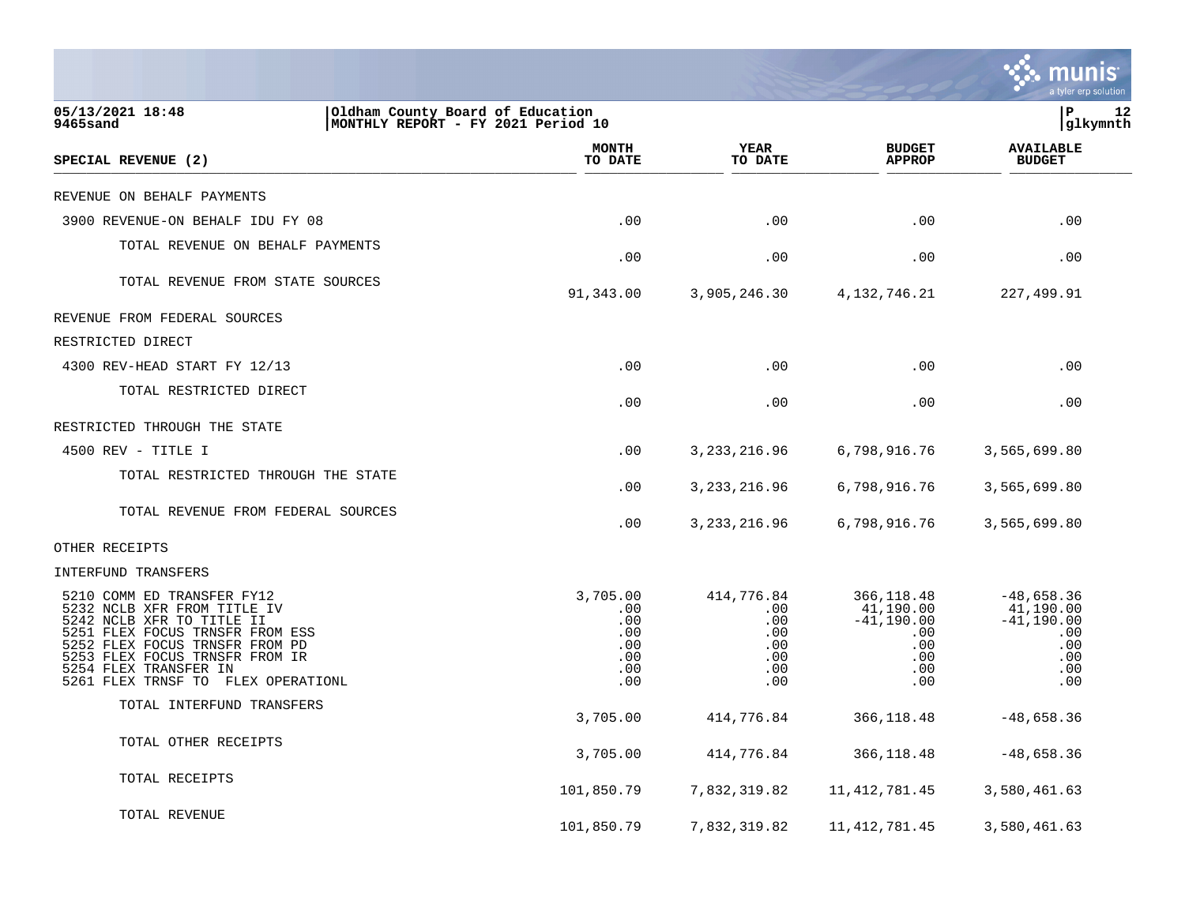|                                                                                                                                                                                                                                                              |                                                                        |                                                                   |                                                                                                 | a tyler erp solution                                                         |
|--------------------------------------------------------------------------------------------------------------------------------------------------------------------------------------------------------------------------------------------------------------|------------------------------------------------------------------------|-------------------------------------------------------------------|-------------------------------------------------------------------------------------------------|------------------------------------------------------------------------------|
| 05/13/2021 18:48<br>9465sand                                                                                                                                                                                                                                 | Oldham County Board of Education<br>MONTHLY REPORT - FY 2021 Period 10 |                                                                   |                                                                                                 | P<br>12<br> glkymnth                                                         |
| SPECIAL REVENUE (2)                                                                                                                                                                                                                                          | <b>MONTH</b><br>TO DATE                                                | YEAR<br>TO DATE                                                   | <b>BUDGET</b><br><b>APPROP</b>                                                                  | <b>AVAILABLE</b><br><b>BUDGET</b>                                            |
| REVENUE ON BEHALF PAYMENTS                                                                                                                                                                                                                                   |                                                                        |                                                                   |                                                                                                 |                                                                              |
| 3900 REVENUE-ON BEHALF IDU FY 08                                                                                                                                                                                                                             | .00                                                                    | .00                                                               | $.00 \ \rm$                                                                                     | .00                                                                          |
| TOTAL REVENUE ON BEHALF PAYMENTS                                                                                                                                                                                                                             | .00                                                                    | .00                                                               | .00                                                                                             | .00                                                                          |
| TOTAL REVENUE FROM STATE SOURCES                                                                                                                                                                                                                             | 91,343.00                                                              | 3,905,246.30                                                      | 4, 132, 746.21                                                                                  | 227,499.91                                                                   |
| REVENUE FROM FEDERAL SOURCES                                                                                                                                                                                                                                 |                                                                        |                                                                   |                                                                                                 |                                                                              |
| RESTRICTED DIRECT                                                                                                                                                                                                                                            |                                                                        |                                                                   |                                                                                                 |                                                                              |
| 4300 REV-HEAD START FY 12/13                                                                                                                                                                                                                                 | .00                                                                    | .00                                                               | $.00 \,$                                                                                        | .00                                                                          |
| TOTAL RESTRICTED DIRECT                                                                                                                                                                                                                                      | .00                                                                    | .00                                                               | $.00 \,$                                                                                        | .00                                                                          |
| RESTRICTED THROUGH THE STATE                                                                                                                                                                                                                                 |                                                                        |                                                                   |                                                                                                 |                                                                              |
| 4500 REV - TITLE I                                                                                                                                                                                                                                           | .00                                                                    | 3, 233, 216.96                                                    | 6,798,916.76                                                                                    | 3,565,699.80                                                                 |
| TOTAL RESTRICTED THROUGH THE STATE                                                                                                                                                                                                                           | .00                                                                    | 3, 233, 216.96                                                    | 6,798,916.76                                                                                    | 3,565,699.80                                                                 |
| TOTAL REVENUE FROM FEDERAL SOURCES                                                                                                                                                                                                                           | .00                                                                    | 3, 233, 216.96                                                    | 6,798,916.76                                                                                    | 3,565,699.80                                                                 |
| OTHER RECEIPTS                                                                                                                                                                                                                                               |                                                                        |                                                                   |                                                                                                 |                                                                              |
| INTERFUND TRANSFERS                                                                                                                                                                                                                                          |                                                                        |                                                                   |                                                                                                 |                                                                              |
| 5210 COMM ED TRANSFER FY12<br>5232 NCLB XFR FROM TITLE IV<br>5242 NCLB XFR TO TITLE II<br>5251 FLEX FOCUS TRNSFR FROM ESS<br>5252 FLEX FOCUS TRNSFR FROM PD<br>5253 FLEX FOCUS TRNSFR FROM IR<br>5254 FLEX TRANSFER IN<br>5261 FLEX TRNSF TO FLEX OPERATIONL | 3,705.00<br>.00<br>.00<br>.00<br>.00<br>.00<br>.00<br>.00              | 414,776.84<br>.00<br>.00<br>$.00 \,$<br>.00<br>.00.<br>.00<br>.00 | 366, 118.48<br>41,190.00<br>$-41,190.00$<br>$.00 \,$<br>$.00 \,$<br>$.00 \,$<br>$.00 \,$<br>.00 | $-48,658.36$<br>41,190.00<br>$-41,190.00$<br>.00<br>.00<br>.00<br>.00<br>.00 |
| TOTAL INTERFUND TRANSFERS                                                                                                                                                                                                                                    | 3,705.00                                                               | 414,776.84                                                        | 366, 118.48                                                                                     | $-48,658.36$                                                                 |
| TOTAL OTHER RECEIPTS                                                                                                                                                                                                                                         | 3,705.00                                                               | 414,776.84                                                        | 366,118.48                                                                                      | $-48,658.36$                                                                 |
| TOTAL RECEIPTS                                                                                                                                                                                                                                               | 101,850.79                                                             | 7,832,319.82                                                      | 11, 412, 781.45                                                                                 | 3,580,461.63                                                                 |
| TOTAL REVENUE                                                                                                                                                                                                                                                | 101,850.79                                                             | 7,832,319.82                                                      | 11, 412, 781.45                                                                                 | 3,580,461.63                                                                 |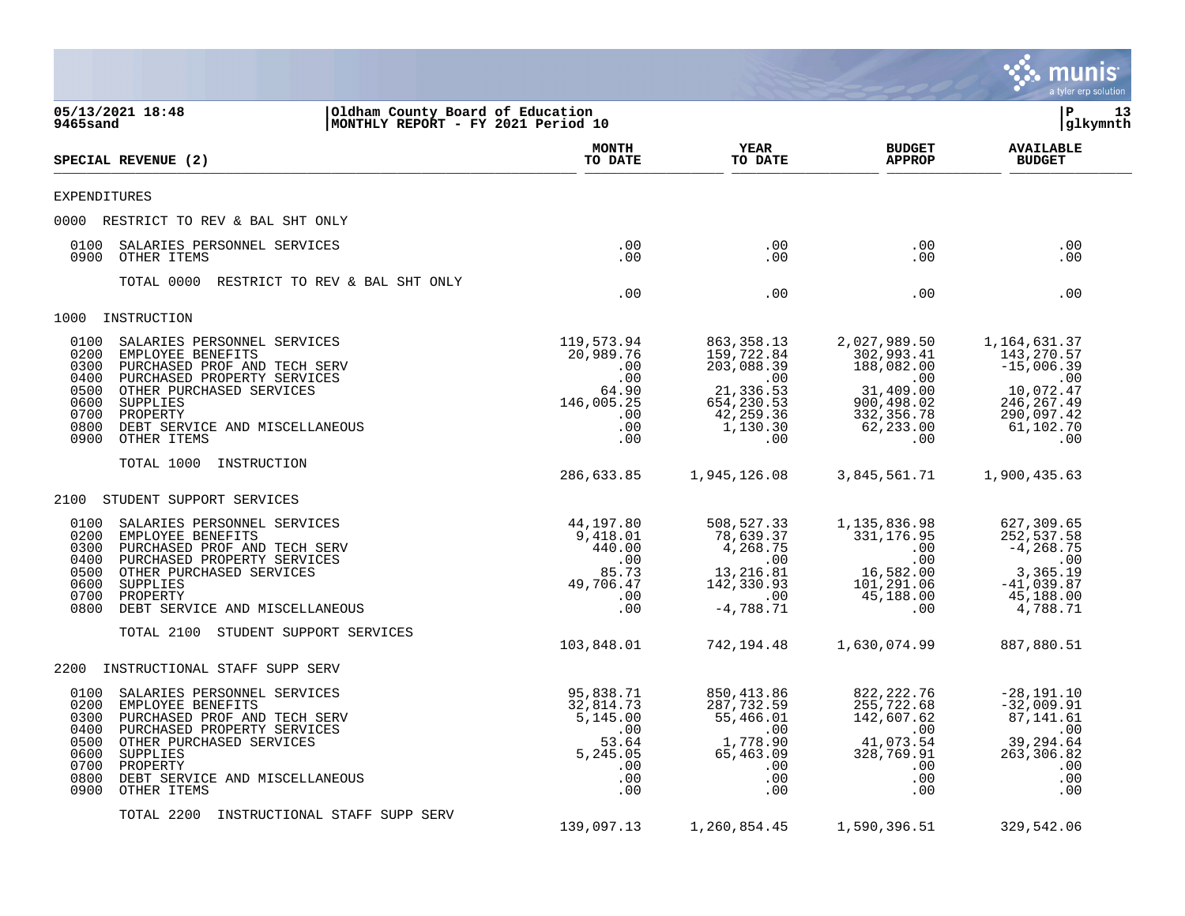|                                                                                                                                                                                                                                                                                              |                                                                                          |                                                                                                                 |                                                                                                                         | munis<br>a tyler erp solution                                                                                   |
|----------------------------------------------------------------------------------------------------------------------------------------------------------------------------------------------------------------------------------------------------------------------------------------------|------------------------------------------------------------------------------------------|-----------------------------------------------------------------------------------------------------------------|-------------------------------------------------------------------------------------------------------------------------|-----------------------------------------------------------------------------------------------------------------|
| 05/13/2021 18:48<br>Oldham County Board of Education<br>9465sand<br>MONTHLY REPORT - FY 2021 Period 10                                                                                                                                                                                       |                                                                                          |                                                                                                                 |                                                                                                                         | lР<br>13<br>glkymnth                                                                                            |
| SPECIAL REVENUE (2)                                                                                                                                                                                                                                                                          | <b>MONTH</b><br>TO DATE                                                                  | YEAR<br>TO DATE                                                                                                 | <b>BUDGET</b><br><b>APPROP</b>                                                                                          | <b>AVAILABLE</b><br><b>BUDGET</b>                                                                               |
| <b>EXPENDITURES</b>                                                                                                                                                                                                                                                                          |                                                                                          |                                                                                                                 |                                                                                                                         |                                                                                                                 |
| 0000 RESTRICT TO REV & BAL SHT ONLY                                                                                                                                                                                                                                                          |                                                                                          |                                                                                                                 |                                                                                                                         |                                                                                                                 |
| 0100<br>SALARIES PERSONNEL SERVICES<br>0900<br>OTHER ITEMS                                                                                                                                                                                                                                   | .00<br>.00                                                                               | .00<br>.00                                                                                                      | $.00 \,$<br>$.00 \,$                                                                                                    | .00<br>.00                                                                                                      |
| TOTAL 0000<br>RESTRICT TO REV & BAL SHT ONLY                                                                                                                                                                                                                                                 | .00                                                                                      | .00                                                                                                             | $.00 \,$                                                                                                                | .00                                                                                                             |
| INSTRUCTION<br>1000                                                                                                                                                                                                                                                                          |                                                                                          |                                                                                                                 |                                                                                                                         |                                                                                                                 |
| 0100<br>SALARIES PERSONNEL SERVICES<br>0200<br>EMPLOYEE BENEFITS<br>0300<br>PURCHASED PROF AND TECH SERV<br>0400<br>PURCHASED PROPERTY SERVICES<br>OTHER PURCHASED SERVICES<br>0500<br>0600<br>SUPPLIES<br>0700<br>PROPERTY<br>0800<br>DEBT SERVICE AND MISCELLANEOUS<br>0900<br>OTHER ITEMS | 119,573.94<br>20,989.76<br>.00<br>.00<br>64.90<br>146,005.25<br>.00<br>.00<br>.00        | 863, 358. 13<br>159,722.84<br>203,088.39<br>$\,$ .00<br>21,336.53<br>654,230.53<br>42,259.36<br>1,130.30<br>.00 | 2,027,989.50<br>302,993.41<br>188,082.00<br>$.00 \,$<br>31,409.00<br>900,498.02<br>332, 356.78<br>62,233.00<br>$.00 \,$ | 1,164,631.37<br>143,270.57<br>$-15,006.39$<br>.00<br>10,072.47<br>246, 267.49<br>290,097.42<br>61,102.70<br>.00 |
| TOTAL 1000<br>INSTRUCTION                                                                                                                                                                                                                                                                    | 286,633.85                                                                               | 1,945,126.08                                                                                                    | 3,845,561.71                                                                                                            | 1,900,435.63                                                                                                    |
| 2100<br>STUDENT SUPPORT SERVICES                                                                                                                                                                                                                                                             |                                                                                          |                                                                                                                 |                                                                                                                         |                                                                                                                 |
| 0100<br>SALARIES PERSONNEL SERVICES<br>0200<br>EMPLOYEE BENEFITS<br>0300<br>PURCHASED PROF AND TECH SERV<br>0400<br>PURCHASED PROPERTY SERVICES<br>0500<br>OTHER PURCHASED SERVICES<br>0600<br>SUPPLIES<br>0700<br>PROPERTY<br>0800<br>DEBT SERVICE AND MISCELLANEOUS                        | 44,197.80<br>9,418.01<br>440.00<br>.00<br>85.73<br>49,706.47<br>.00<br>.00               | 508,527.33<br>78,639.37<br>4,268.75<br>.00<br>13,216.81<br>142,330.93<br>.00<br>$-4,788.71$                     | 1,135,836.98<br>331,176.95<br>$.00 \,$<br>$.00 \,$<br>16,582.00<br>101,291.06<br>45,188.00<br>.00                       | 627,309.65<br>252,537.58<br>$-4, 268.75$<br>.00<br>3,365.19<br>$-41,039.87$<br>45,188.00<br>4,788.71            |
| TOTAL 2100<br>STUDENT SUPPORT SERVICES                                                                                                                                                                                                                                                       | 103,848.01                                                                               | 742,194.48                                                                                                      | 1,630,074.99                                                                                                            | 887,880.51                                                                                                      |
| 2200<br>INSTRUCTIONAL STAFF SUPP SERV                                                                                                                                                                                                                                                        |                                                                                          |                                                                                                                 |                                                                                                                         |                                                                                                                 |
| 0100<br>SALARIES PERSONNEL SERVICES<br>0200<br>EMPLOYEE BENEFITS<br>0300 PURCHASED PROF AND TECH SERV<br>0400 PURCHASED PROPERTY SERVICES<br>0500 OTHER PURCHASED SERVICES<br>0600 SUPPLIES<br>0700 PROPERTY<br>0800<br>DEBT SERVICE AND MISCELLANEOUS<br>0900<br>OTHER ITEMS                | 95,838.71<br>32,814.73<br>5,145.00<br>.00<br>53.64<br>5,245.05<br>$.00 \,$<br>.00<br>.00 | 850,413.86<br>287,732.59<br>55,466.01<br>.00<br>1,778.90<br>65,463.09<br>$.00 \,$<br>.00<br>.00                 | 822, 222.76<br>255,722.68<br>142,607.62<br>.00<br>41,073.54<br>328,769.91<br>$.00 \,$<br>.00<br>$.00 \,$                | $-28, 191.10$<br>$-32,009.91$<br>87,141.61<br>.00<br>39,294.64<br>263,306.82<br>.00<br>.00<br>.00               |
| TOTAL 2200<br>INSTRUCTIONAL STAFF SUPP SERV                                                                                                                                                                                                                                                  | 139,097.13                                                                               | 1,260,854.45                                                                                                    | 1,590,396.51                                                                                                            | 329,542.06                                                                                                      |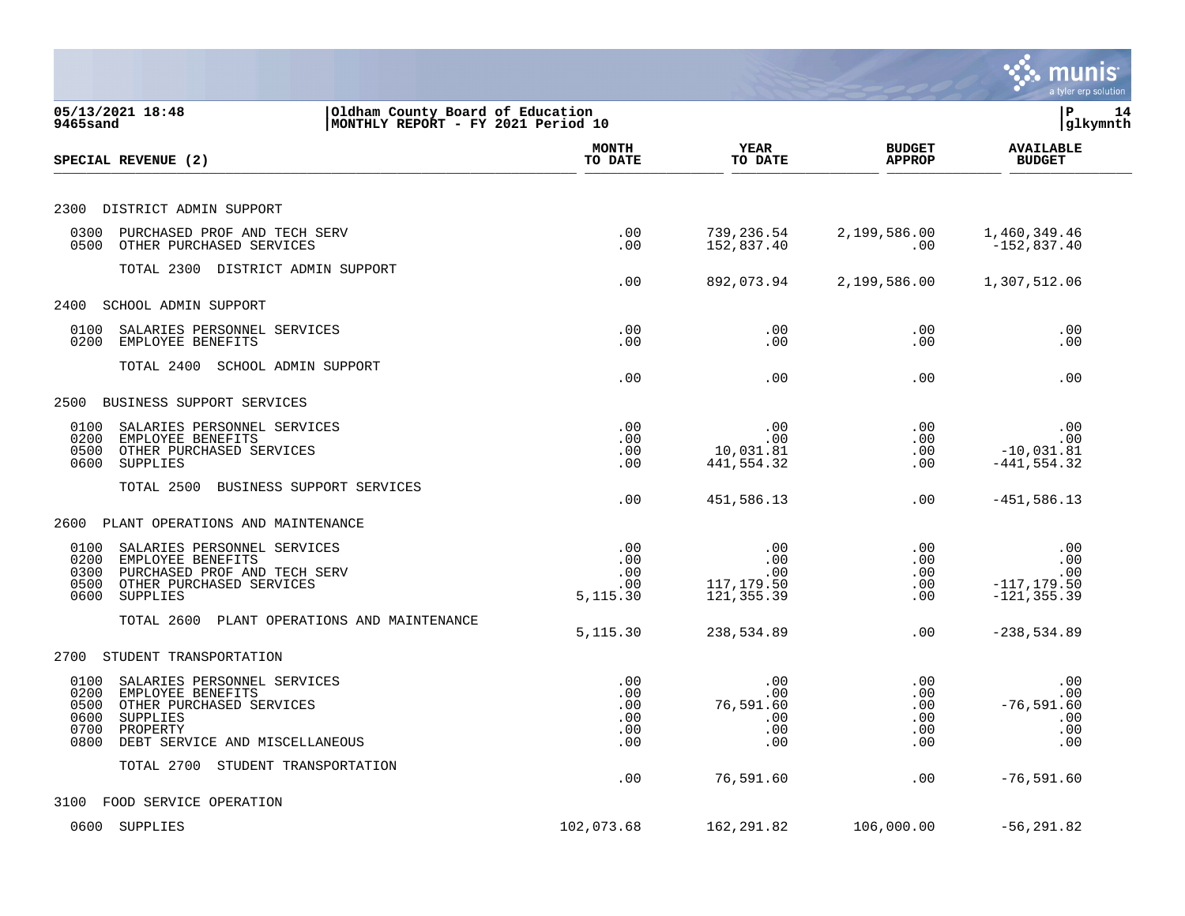|                                                                                                                                                                                        |                                        |                                               |                                                   | munis<br>a tyler erp solution                         |
|----------------------------------------------------------------------------------------------------------------------------------------------------------------------------------------|----------------------------------------|-----------------------------------------------|---------------------------------------------------|-------------------------------------------------------|
| 05/13/2021 18:48<br>Oldham County Board of Education<br>MONTHLY REPORT - FY 2021 Period 10<br>9465sand                                                                                 |                                        |                                               |                                                   | ΙP<br>14<br>glkymnth                                  |
| SPECIAL REVENUE (2)                                                                                                                                                                    | <b>MONTH</b><br>TO DATE                | <b>YEAR</b><br>TO DATE                        | <b>BUDGET</b><br><b>APPROP</b>                    | <b>AVAILABLE</b><br><b>BUDGET</b>                     |
| 2300<br>DISTRICT ADMIN SUPPORT                                                                                                                                                         |                                        |                                               |                                                   |                                                       |
| 0300<br>PURCHASED PROF AND TECH SERV<br>0500<br>OTHER PURCHASED SERVICES                                                                                                               | .00<br>.00                             | 739,236.54<br>152,837.40                      | 2,199,586.00<br>$.00 \,$                          | 1,460,349.46<br>$-152,837.40$                         |
| TOTAL 2300 DISTRICT ADMIN SUPPORT                                                                                                                                                      | .00                                    | 892,073.94                                    | 2,199,586.00                                      | 1,307,512.06                                          |
| 2400<br>SCHOOL ADMIN SUPPORT                                                                                                                                                           |                                        |                                               |                                                   |                                                       |
| 0100<br>SALARIES PERSONNEL SERVICES<br>0200<br>EMPLOYEE BENEFITS                                                                                                                       | .00<br>.00                             | .00<br>.00                                    | $.00 \ \rm$<br>$.00 \ \rm$                        | .00<br>.00                                            |
| TOTAL 2400<br>SCHOOL ADMIN SUPPORT                                                                                                                                                     | .00                                    | .00                                           | $.00 \,$                                          | .00                                                   |
| 2500<br>BUSINESS SUPPORT SERVICES                                                                                                                                                      |                                        |                                               |                                                   |                                                       |
| 0100<br>SALARIES PERSONNEL SERVICES<br>0200<br>EMPLOYEE BENEFITS<br>OTHER PURCHASED SERVICES<br>0500<br><b>SUPPLIES</b><br>0600                                                        | .00<br>.00<br>.00<br>.00               | .00<br>.00<br>10,031.81<br>441,554.32         | $.00 \,$<br>$.00 \,$<br>$.00 \ \rm$<br>$.00 \,$   | .00<br>.00<br>$-10,031.81$<br>$-441, 554.32$          |
| TOTAL 2500<br>BUSINESS SUPPORT SERVICES                                                                                                                                                | .00                                    | 451,586.13                                    | $.00 \,$                                          | $-451,586.13$                                         |
| PLANT OPERATIONS AND MAINTENANCE<br>2600                                                                                                                                               |                                        |                                               |                                                   |                                                       |
| 0100<br>SALARIES PERSONNEL SERVICES<br>0200<br>EMPLOYEE BENEFITS<br>0300<br>PURCHASED PROF AND TECH SERV<br>0500<br>OTHER PURCHASED SERVICES<br>0600<br>SUPPLIES                       | .00<br>.00<br>.00<br>.00<br>5,115.30   | .00<br>.00<br>.00<br>117,179.50<br>121,355.39 | .00<br>$.00 \,$<br>.00<br>$.00 \,$<br>$.00 \ \rm$ | .00<br>.00<br>.00<br>$-117, 179.50$<br>$-121, 355.39$ |
| TOTAL 2600<br>PLANT OPERATIONS AND MAINTENANCE                                                                                                                                         | 5,115.30                               | 238,534.89                                    | $.00 \ \rm$                                       | $-238,534.89$                                         |
| STUDENT TRANSPORTATION<br>2700                                                                                                                                                         |                                        |                                               |                                                   |                                                       |
| 0100<br>SALARIES PERSONNEL SERVICES<br>0200<br>EMPLOYEE BENEFITS<br>OTHER PURCHASED SERVICES<br>0500<br>0600<br>SUPPLIES<br>0700<br>PROPERTY<br>0800<br>DEBT SERVICE AND MISCELLANEOUS | .00<br>.00<br>.00<br>.00<br>.00<br>.00 | .00<br>.00<br>76,591.60<br>.00<br>.00<br>.00  | $.00 \,$<br>$.00 \,$<br>.00<br>.00<br>.00<br>.00  | .00<br>.00<br>$-76,591.60$<br>$\ldots$<br>.00<br>.00  |
| TOTAL 2700 STUDENT TRANSPORTATION                                                                                                                                                      | .00                                    | 76,591.60                                     | .00                                               | $-76, 591.60$                                         |
| 3100 FOOD SERVICE OPERATION                                                                                                                                                            |                                        |                                               |                                                   |                                                       |
| 0600 SUPPLIES                                                                                                                                                                          | 102,073.68                             | 162,291.82                                    | 106,000.00                                        | $-56, 291.82$                                         |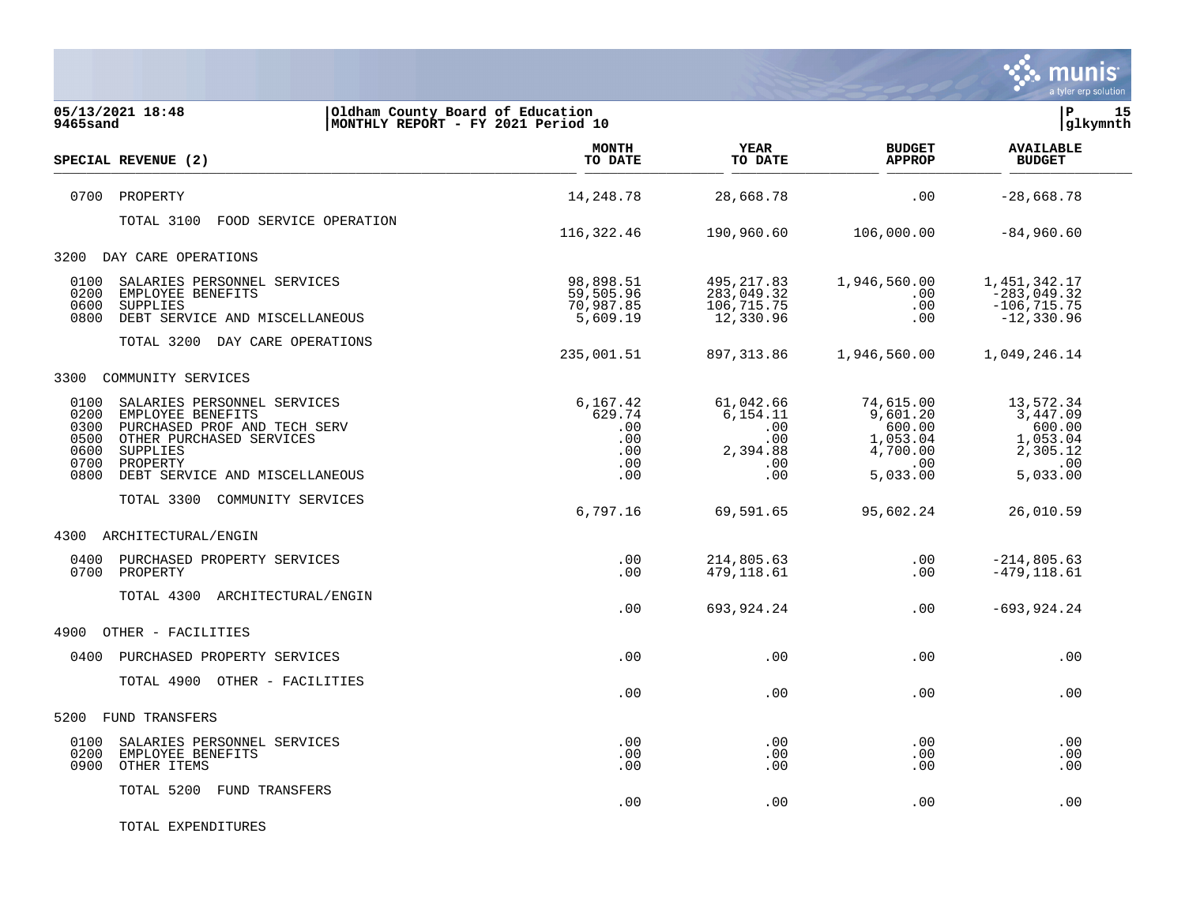

| 05/13/2021 18:48<br>9465sand                                                                                                                                                                                                   | Oldham County Board of Education<br>MONTHLY REPORT - FY 2021 Period 10 |                                                       |                                                               |                                                                                 | lР<br>15<br>glkymnth                                                               |  |
|--------------------------------------------------------------------------------------------------------------------------------------------------------------------------------------------------------------------------------|------------------------------------------------------------------------|-------------------------------------------------------|---------------------------------------------------------------|---------------------------------------------------------------------------------|------------------------------------------------------------------------------------|--|
| SPECIAL REVENUE (2)                                                                                                                                                                                                            |                                                                        | <b>MONTH</b><br>TO DATE                               | YEAR<br>TO DATE                                               | <b>BUDGET</b><br><b>APPROP</b>                                                  | <b>AVAILABLE</b><br><b>BUDGET</b>                                                  |  |
| 0700<br>PROPERTY                                                                                                                                                                                                               |                                                                        | 14,248.78                                             | 28,668.78                                                     | $.00 \ \rm$                                                                     | $-28,668.78$                                                                       |  |
| TOTAL 3100                                                                                                                                                                                                                     | FOOD SERVICE OPERATION                                                 | 116,322.46                                            | 190,960.60                                                    | 106,000.00                                                                      | $-84,960.60$                                                                       |  |
| DAY CARE OPERATIONS<br>3200                                                                                                                                                                                                    |                                                                        |                                                       |                                                               |                                                                                 |                                                                                    |  |
| 0100<br>SALARIES PERSONNEL SERVICES<br>0200<br>EMPLOYEE BENEFITS<br>SUPPLIES<br>0600<br>DEBT SERVICE AND MISCELLANEOUS<br>0800                                                                                                 |                                                                        | 98,898.51<br>59,505.96<br>70,987.85<br>5,609.19       | 495, 217.83<br>283,049.32<br>106,715.75<br>12,330.96          | 1,946,560.00<br>$.00 \,$<br>.00<br>.00                                          | 1,451,342.17<br>$-283,049.32$<br>$-106, 715.75$<br>$-12,330.96$                    |  |
| TOTAL 3200 DAY CARE OPERATIONS                                                                                                                                                                                                 |                                                                        | 235,001.51                                            | 897, 313.86                                                   | 1,946,560.00                                                                    | 1,049,246.14                                                                       |  |
| COMMUNITY SERVICES<br>3300                                                                                                                                                                                                     |                                                                        |                                                       |                                                               |                                                                                 |                                                                                    |  |
| 0100<br>SALARIES PERSONNEL SERVICES<br>0200<br>EMPLOYEE BENEFITS<br>0300<br>PURCHASED PROF AND TECH SERV<br>0500<br>OTHER PURCHASED SERVICES<br>0600<br>SUPPLIES<br>0700<br>PROPERTY<br>0800<br>DEBT SERVICE AND MISCELLANEOUS |                                                                        | 6,167.42<br>629.74<br>.00<br>.00<br>.00<br>.00<br>.00 | 61,042.66<br>6,154.11<br>.00<br>.00<br>2,394.88<br>.00<br>.00 | 74,615.00<br>9,601.20<br>600.00<br>1,053.04<br>4,700.00<br>$.00 \,$<br>5,033.00 | 13,572.34<br>3,447.09<br>600.00<br>1,053.04<br>2,305.12<br>$\ldots$ 00<br>5,033.00 |  |
| TOTAL 3300 COMMUNITY SERVICES                                                                                                                                                                                                  |                                                                        | 6,797.16                                              | 69,591.65                                                     | 95,602.24                                                                       | 26,010.59                                                                          |  |
| 4300<br>ARCHITECTURAL/ENGIN                                                                                                                                                                                                    |                                                                        |                                                       |                                                               |                                                                                 |                                                                                    |  |
| 0400<br>PURCHASED PROPERTY SERVICES<br>0700<br>PROPERTY                                                                                                                                                                        |                                                                        | .00<br>.00.                                           | 214,805.63<br>479,118.61                                      | .00<br>.00                                                                      | $-214,805.63$<br>$-479, 118.61$                                                    |  |
| TOTAL 4300 ARCHITECTURAL/ENGIN                                                                                                                                                                                                 |                                                                        | .00                                                   | 693,924.24                                                    | .00                                                                             | $-693, 924.24$                                                                     |  |
| 4900<br>OTHER - FACILITIES                                                                                                                                                                                                     |                                                                        |                                                       |                                                               |                                                                                 |                                                                                    |  |
| PURCHASED PROPERTY SERVICES<br>0400                                                                                                                                                                                            |                                                                        | .00                                                   | .00                                                           | .00                                                                             | .00                                                                                |  |
| TOTAL 4900 OTHER - FACILITIES                                                                                                                                                                                                  |                                                                        | .00                                                   | .00                                                           | $.00 \,$                                                                        | .00                                                                                |  |
| 5200<br>FUND TRANSFERS                                                                                                                                                                                                         |                                                                        |                                                       |                                                               |                                                                                 |                                                                                    |  |
| 0100<br>SALARIES PERSONNEL SERVICES<br>0200<br>EMPLOYEE BENEFITS<br>0900<br>OTHER ITEMS                                                                                                                                        |                                                                        | .00<br>.00<br>.00                                     | .00<br>.00<br>.00                                             | $.00 \,$<br>.00<br>.00                                                          | .00<br>.00<br>.00                                                                  |  |
| TOTAL 5200<br>FUND TRANSFERS                                                                                                                                                                                                   |                                                                        | .00                                                   | .00                                                           | .00                                                                             | .00                                                                                |  |

TOTAL EXPENDITURES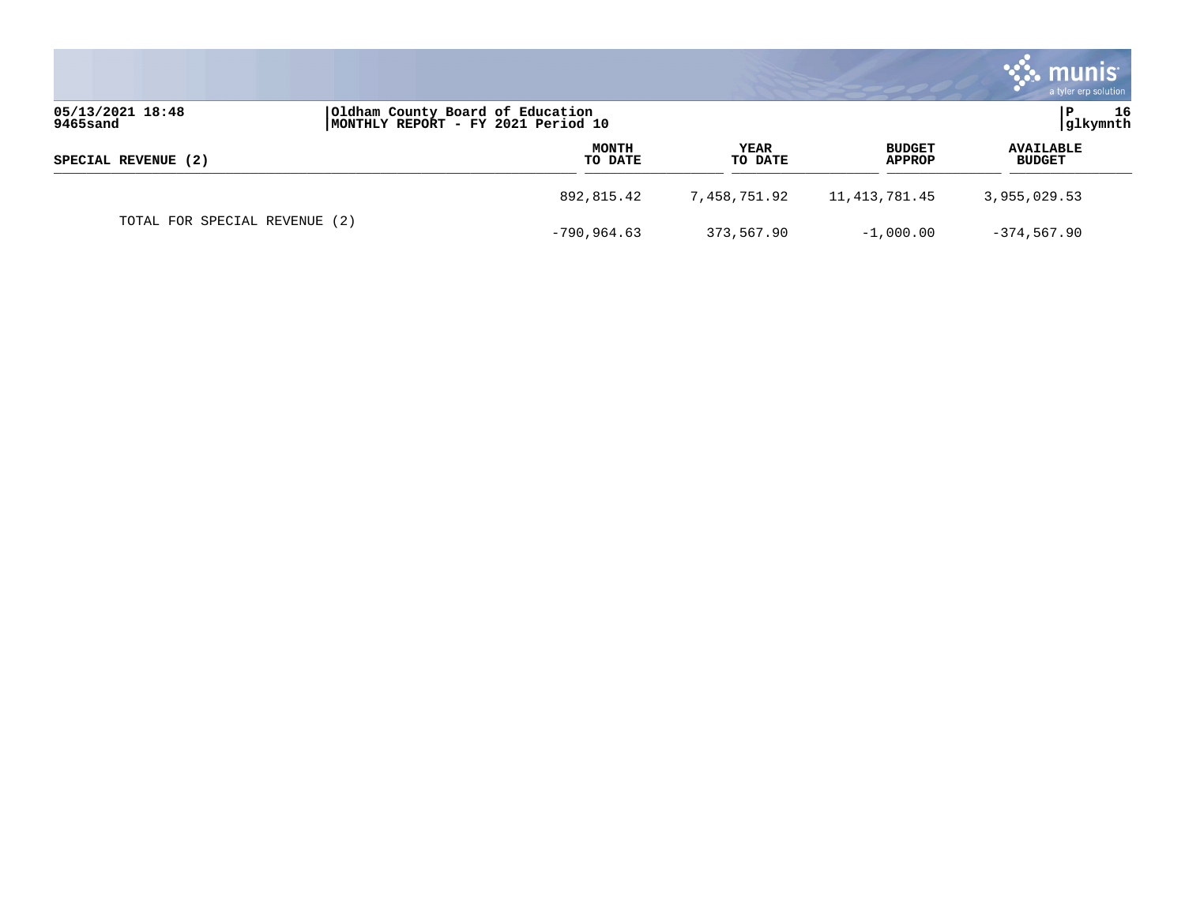|                              |                                                                        |                 |                         | <b>munis</b><br>a tyler erp solution |
|------------------------------|------------------------------------------------------------------------|-----------------|-------------------------|--------------------------------------|
| 05/13/2021 18:48<br>9465sand | Oldham County Board of Education<br>MONTHLY REPORT - FY 2021 Period 10 |                 |                         | 16<br> glkymnth                      |
| SPECIAL REVENUE (2)          | <b>MONTH</b><br>TO DATE                                                | YEAR<br>TO DATE | <b>BUDGET</b><br>APPROP | <b>AVAILABLE</b><br><b>BUDGET</b>    |
|                              | 892,815.42                                                             | 7,458,751.92    | 11,413,781.45           | 3,955,029.53                         |
| TOTAL FOR SPECIAL REVENUE    | (2)<br>-790,964.63                                                     | 373,567.90      | $-1,000.00$             | $-374, 567.90$                       |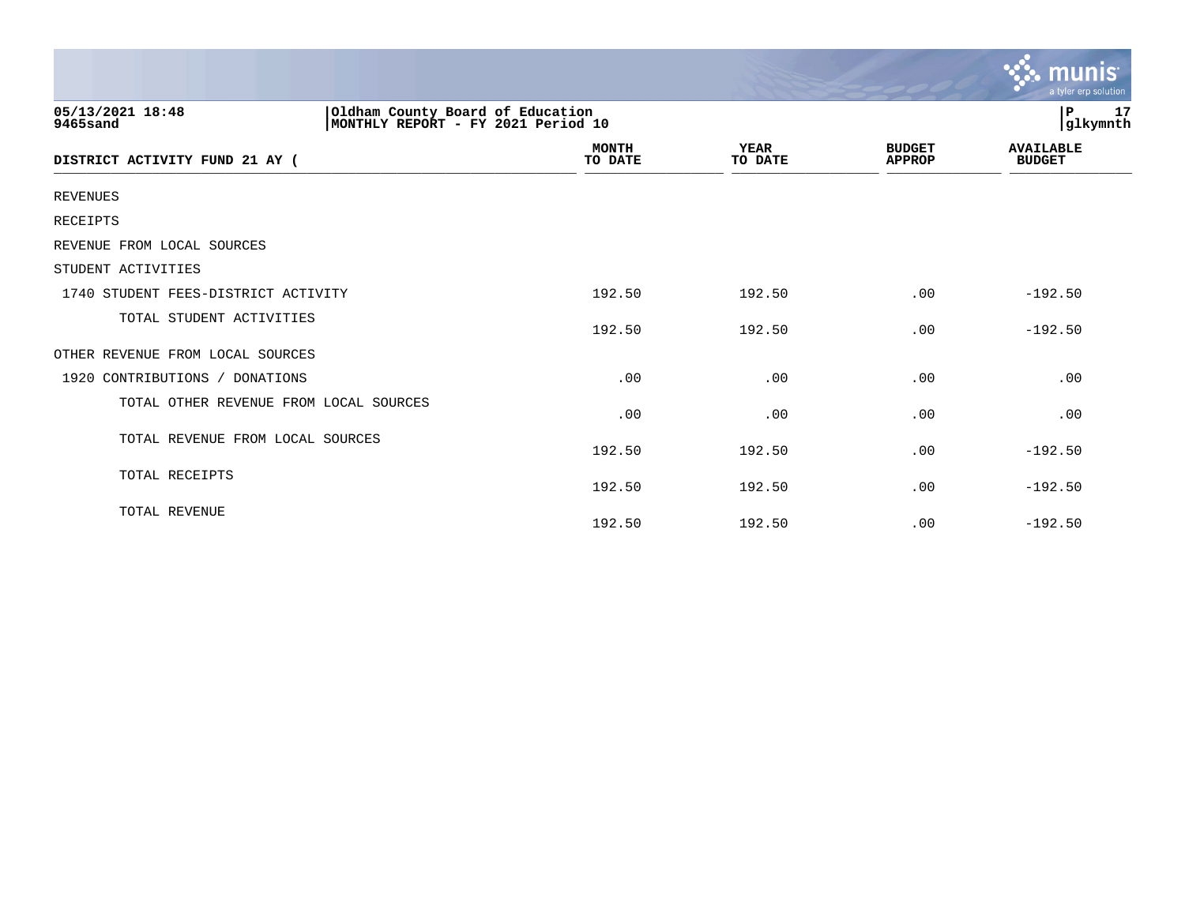|                                                                                                         |                         |                        |                                | munis<br>a tyler erp solution     |
|---------------------------------------------------------------------------------------------------------|-------------------------|------------------------|--------------------------------|-----------------------------------|
| Oldham County Board of Education<br> MONTHLY REPORT - FY 2021 Period 10<br>05/13/2021 18:48<br>9465sand |                         |                        |                                | 17<br>$\, {\bf P}$<br>glkymnth    |
| DISTRICT ACTIVITY FUND 21 AY (                                                                          | <b>MONTH</b><br>TO DATE | <b>YEAR</b><br>TO DATE | <b>BUDGET</b><br><b>APPROP</b> | <b>AVAILABLE</b><br><b>BUDGET</b> |
| <b>REVENUES</b>                                                                                         |                         |                        |                                |                                   |
| <b>RECEIPTS</b>                                                                                         |                         |                        |                                |                                   |
| REVENUE FROM LOCAL SOURCES                                                                              |                         |                        |                                |                                   |
| STUDENT ACTIVITIES                                                                                      |                         |                        |                                |                                   |
| 1740 STUDENT FEES-DISTRICT ACTIVITY                                                                     | 192.50                  | 192.50                 | .00                            | $-192.50$                         |
| TOTAL STUDENT ACTIVITIES                                                                                | 192.50                  | 192.50                 | .00                            | $-192.50$                         |
| OTHER REVENUE FROM LOCAL SOURCES                                                                        |                         |                        |                                |                                   |
| 1920 CONTRIBUTIONS / DONATIONS                                                                          | .00                     | .00                    | .00                            | .00                               |
| TOTAL OTHER REVENUE FROM LOCAL SOURCES                                                                  | .00                     | .00                    | .00                            | .00                               |
| TOTAL REVENUE FROM LOCAL SOURCES                                                                        | 192.50                  | 192.50                 | .00                            | $-192.50$                         |
| TOTAL RECEIPTS                                                                                          | 192.50                  | 192.50                 | .00                            | $-192.50$                         |
| TOTAL REVENUE                                                                                           | 192.50                  | 192.50                 | .00                            | $-192.50$                         |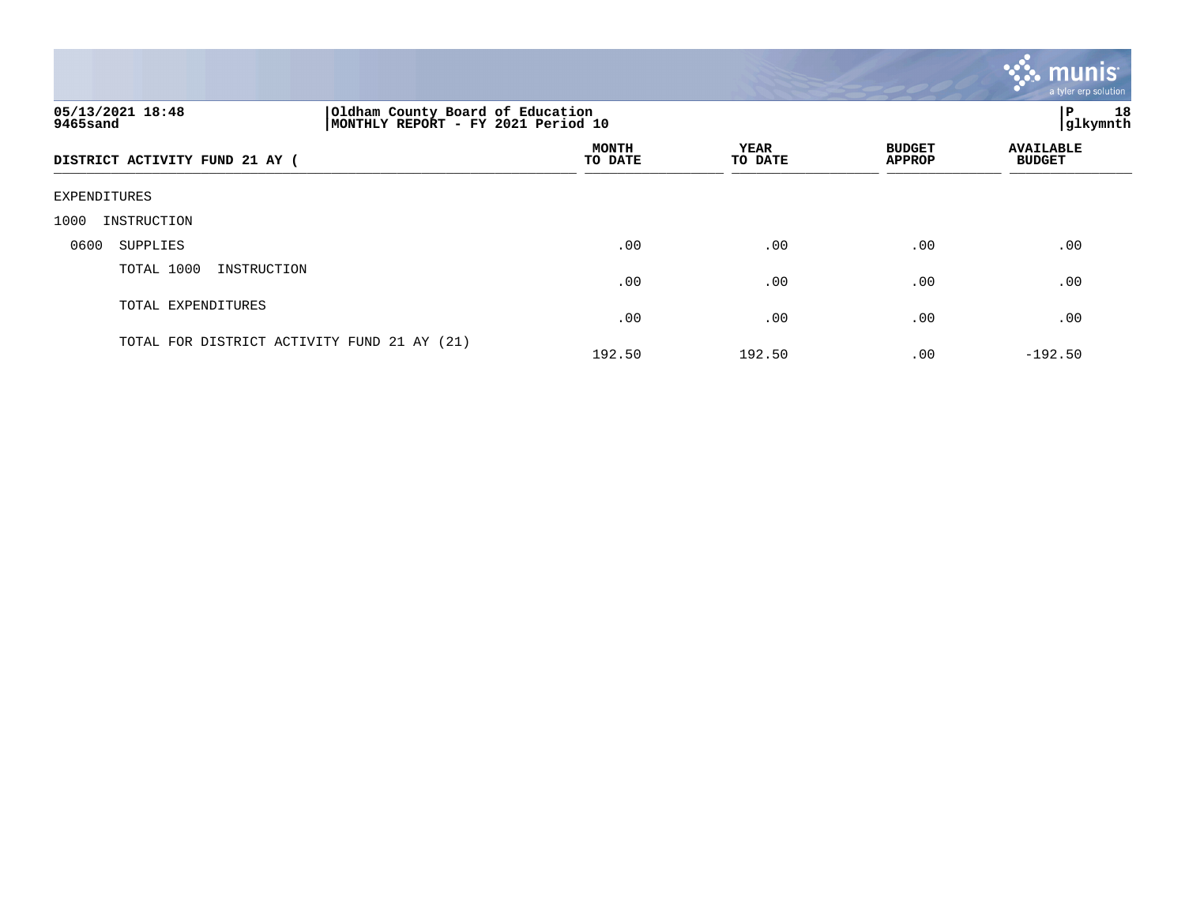|                                                                                                        |                         |                        |                                | a tyler erp solution              |
|--------------------------------------------------------------------------------------------------------|-------------------------|------------------------|--------------------------------|-----------------------------------|
| 05/13/2021 18:48<br>Oldham County Board of Education<br>MONTHLY REPORT - FY 2021 Period 10<br>9465sand |                         | P 18<br> glkymnth      |                                |                                   |
| DISTRICT ACTIVITY FUND 21 AY (                                                                         | <b>MONTH</b><br>TO DATE | <b>YEAR</b><br>TO DATE | <b>BUDGET</b><br><b>APPROP</b> | <b>AVAILABLE</b><br><b>BUDGET</b> |
| EXPENDITURES                                                                                           |                         |                        |                                |                                   |
| 1000<br>INSTRUCTION                                                                                    |                         |                        |                                |                                   |
| 0600<br>SUPPLIES                                                                                       | .00                     | .00                    | .00                            | .00                               |
| TOTAL 1000<br>INSTRUCTION                                                                              | .00                     | .00                    | .00                            | .00                               |
| TOTAL EXPENDITURES                                                                                     | .00                     | .00                    | .00                            | .00                               |
| TOTAL FOR DISTRICT ACTIVITY FUND 21 AY (21)                                                            | 192.50                  | 192.50                 | .00                            | $-192.50$                         |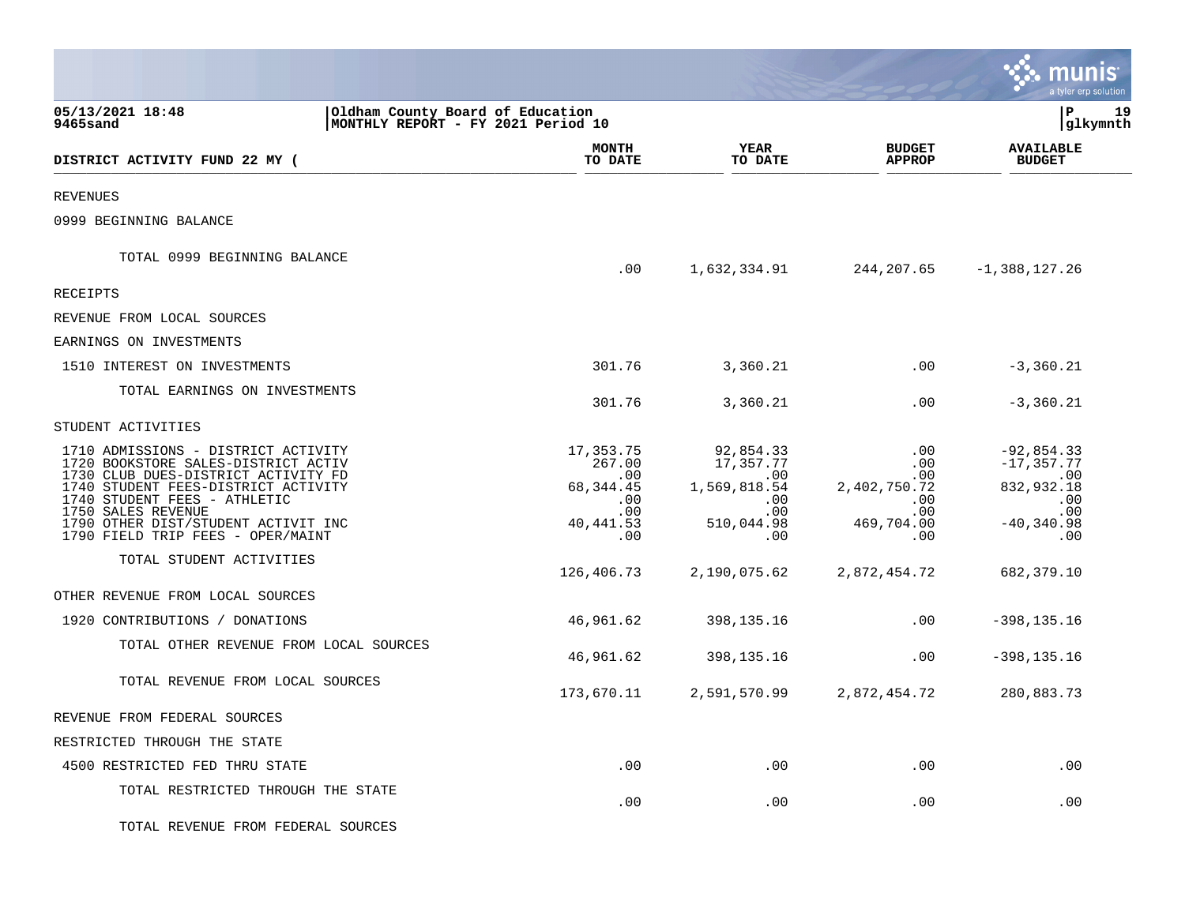|                                                                                                                                                                                                                                                       |                                                                        |                                                                           |                                                                           |                                                                              | a tyler erp solution                                                              |
|-------------------------------------------------------------------------------------------------------------------------------------------------------------------------------------------------------------------------------------------------------|------------------------------------------------------------------------|---------------------------------------------------------------------------|---------------------------------------------------------------------------|------------------------------------------------------------------------------|-----------------------------------------------------------------------------------|
| 05/13/2021 18:48<br>9465sand                                                                                                                                                                                                                          | Oldham County Board of Education<br>MONTHLY REPORT - FY 2021 Period 10 |                                                                           |                                                                           |                                                                              | l P<br>19<br> glkymnth                                                            |
| DISTRICT ACTIVITY FUND 22 MY (                                                                                                                                                                                                                        |                                                                        | <b>MONTH</b><br>TO DATE                                                   | YEAR<br>TO DATE                                                           | <b>BUDGET</b><br><b>APPROP</b>                                               | <b>AVAILABLE</b><br><b>BUDGET</b>                                                 |
| <b>REVENUES</b>                                                                                                                                                                                                                                       |                                                                        |                                                                           |                                                                           |                                                                              |                                                                                   |
| 0999 BEGINNING BALANCE                                                                                                                                                                                                                                |                                                                        |                                                                           |                                                                           |                                                                              |                                                                                   |
| TOTAL 0999 BEGINNING BALANCE                                                                                                                                                                                                                          |                                                                        | .00                                                                       | 1,632,334.91                                                              | 244,207.65                                                                   | $-1,388,127.26$                                                                   |
| RECEIPTS                                                                                                                                                                                                                                              |                                                                        |                                                                           |                                                                           |                                                                              |                                                                                   |
| REVENUE FROM LOCAL SOURCES                                                                                                                                                                                                                            |                                                                        |                                                                           |                                                                           |                                                                              |                                                                                   |
| EARNINGS ON INVESTMENTS                                                                                                                                                                                                                               |                                                                        |                                                                           |                                                                           |                                                                              |                                                                                   |
| 1510 INTEREST ON INVESTMENTS                                                                                                                                                                                                                          |                                                                        | 301.76                                                                    | 3,360.21                                                                  | .00                                                                          | $-3,360.21$                                                                       |
| TOTAL EARNINGS ON INVESTMENTS                                                                                                                                                                                                                         |                                                                        | 301.76                                                                    | 3,360.21                                                                  | .00                                                                          | $-3, 360.21$                                                                      |
| STUDENT ACTIVITIES                                                                                                                                                                                                                                    |                                                                        |                                                                           |                                                                           |                                                                              |                                                                                   |
| 1710 ADMISSIONS - DISTRICT ACTIVITY<br>1720 BOOKSTORE SALES-DISTRICT ACTIV<br>1730 CLUB DUES-DISTRICT ACTIVITY FD<br>1740 STUDENT FEES-DISTRICT ACTIVITY<br>1740 STUDENT FEES - ATHLETIC<br>1750 SALES REVENUE<br>1790 OTHER DIST/STUDENT ACTIVIT INC |                                                                        | 17,353.75<br>267.00<br>$.00 \,$<br>68, 344.45<br>.00<br>.00<br>40, 441.53 | 92,854.33<br>17,357.77<br>.00<br>1,569,818.54<br>.00<br>.00<br>510,044.98 | .00<br>$.00 \,$<br>$.00 \,$<br>2,402,750.72<br>.00<br>$.00 \,$<br>469,704.00 | $-92,854.33$<br>$-17, 357.77$<br>.00<br>832,932.18<br>.00<br>.00<br>$-40, 340.98$ |
| 1790 FIELD TRIP FEES - OPER/MAINT<br>TOTAL STUDENT ACTIVITIES                                                                                                                                                                                         |                                                                        | .00<br>126,406.73                                                         | .00<br>2,190,075.62                                                       | $.00 \ \rm$<br>2,872,454.72                                                  | .00<br>682, 379.10                                                                |
| OTHER REVENUE FROM LOCAL SOURCES                                                                                                                                                                                                                      |                                                                        |                                                                           |                                                                           |                                                                              |                                                                                   |
| 1920 CONTRIBUTIONS / DONATIONS                                                                                                                                                                                                                        |                                                                        | 46,961.62                                                                 | 398,135.16                                                                | $.00 \,$                                                                     | $-398, 135.16$                                                                    |
| TOTAL OTHER REVENUE FROM LOCAL SOURCES                                                                                                                                                                                                                |                                                                        | 46,961.62                                                                 | 398, 135. 16                                                              | .00                                                                          | $-398, 135.16$                                                                    |
| TOTAL REVENUE FROM LOCAL SOURCES                                                                                                                                                                                                                      |                                                                        | 173,670.11                                                                | 2,591,570.99                                                              | 2,872,454.72                                                                 | 280,883.73                                                                        |
| REVENUE FROM FEDERAL SOURCES                                                                                                                                                                                                                          |                                                                        |                                                                           |                                                                           |                                                                              |                                                                                   |
| RESTRICTED THROUGH THE STATE                                                                                                                                                                                                                          |                                                                        |                                                                           |                                                                           |                                                                              |                                                                                   |
| 4500 RESTRICTED FED THRU STATE                                                                                                                                                                                                                        |                                                                        | .00                                                                       | .00                                                                       | $.00 \,$                                                                     | .00                                                                               |
| TOTAL RESTRICTED THROUGH THE STATE                                                                                                                                                                                                                    |                                                                        | .00                                                                       | .00                                                                       | .00                                                                          | .00                                                                               |
| TOTAL REVENUE FROM FEDERAL SOURCES                                                                                                                                                                                                                    |                                                                        |                                                                           |                                                                           |                                                                              |                                                                                   |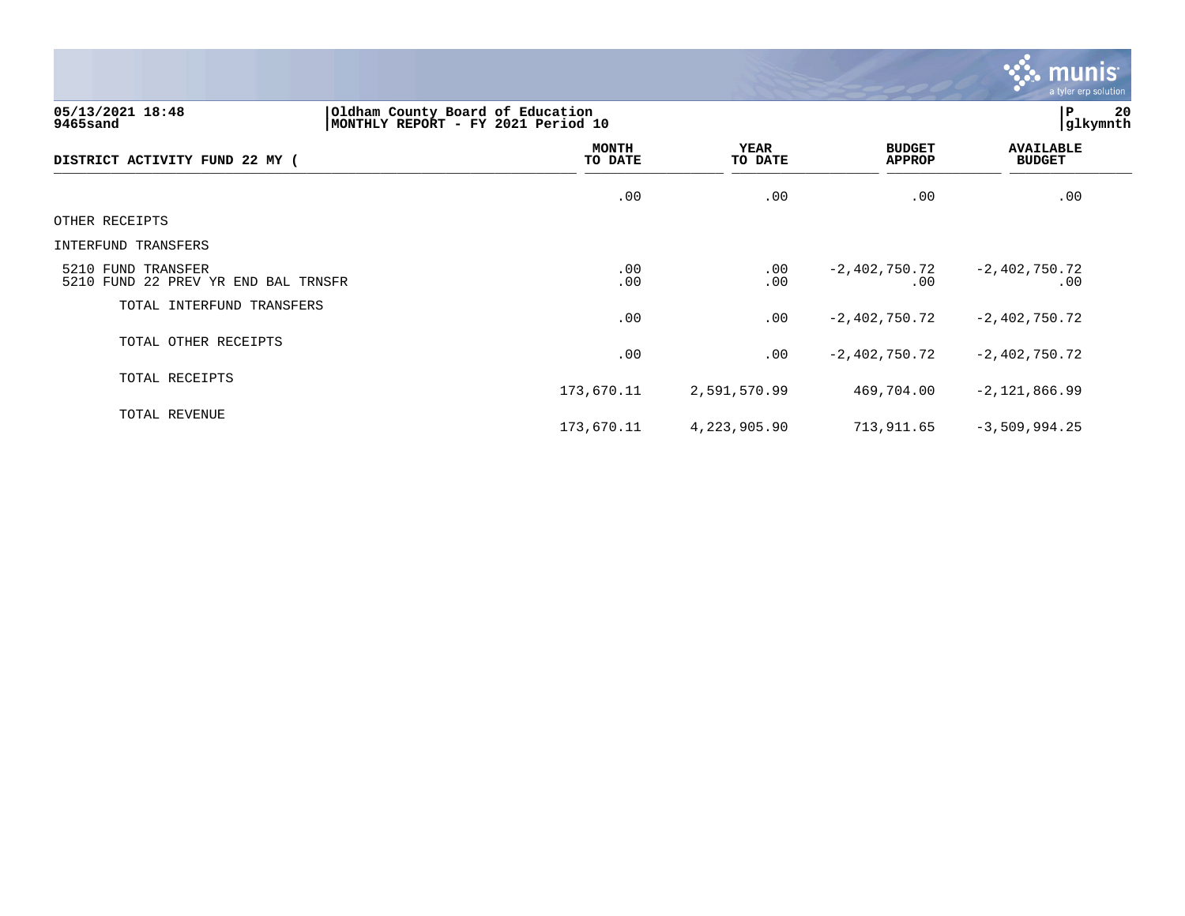

**05/13/2021 18:48 |Oldham County Board of Education |P 20 9465sand |MONTHLY REPORT - FY 2021 Period 10 |glkymnth MONTH AVAILABLE YEAR BUDGET** AVAILABLE **DISTRICT ACTIVITY FUND 22 MY ( TO DATE TO DATE APPROP BUDGET**  \_\_\_\_\_\_\_\_\_\_\_\_\_\_\_\_\_\_\_\_\_\_\_\_\_\_\_\_\_\_\_\_\_\_\_\_\_\_\_\_\_\_\_\_\_\_\_\_\_\_\_\_\_\_\_\_\_\_\_\_\_\_\_\_ \_\_\_\_\_\_\_\_\_\_\_\_\_\_\_\_\_ \_\_\_\_\_\_\_\_\_\_\_\_\_\_\_\_\_\_ \_\_\_\_\_\_\_\_\_\_\_\_\_\_ \_\_\_\_\_\_\_\_\_\_\_\_\_\_\_  $.00$  .  $.00$  .  $.00$  .  $.00$  .  $.00$  .  $.00$  .  $.00$  .  $.00$  .  $.00$  .  $.00$  .  $.00$  .  $.00$  .  $.00$  .  $.00$  .  $.00$  .  $.00$  .  $.00$  .  $.00$  .  $.00$  .  $.00$  .  $.00$  .  $.00$  .  $.00$  .  $.00$  .  $.00$  .  $.00$  .  $.00$  .  $.00$ OTHER RECEIPTS INTERFUND TRANSFERS 5210 FUND TRANSFER .00 .00 -2,402,750.72 -2,402,750.72 5210 FUND 22 PREV YR END BAL TRNSFR TOTAL INTERFUND TRANSFERS .00 .00 -2,402,750.72 -2,402,750.72 TOTAL OTHER RECEIPTS .00 .00 -2,402,750.72 -2,402,750.72 TOTAL RECEIPTS 173,670.11 2,591,570.99 469,704.00 -2,121,866.99 TOTAL REVENUE 173,670.11 4,223,905.90 713,911.65 -3,509,994.25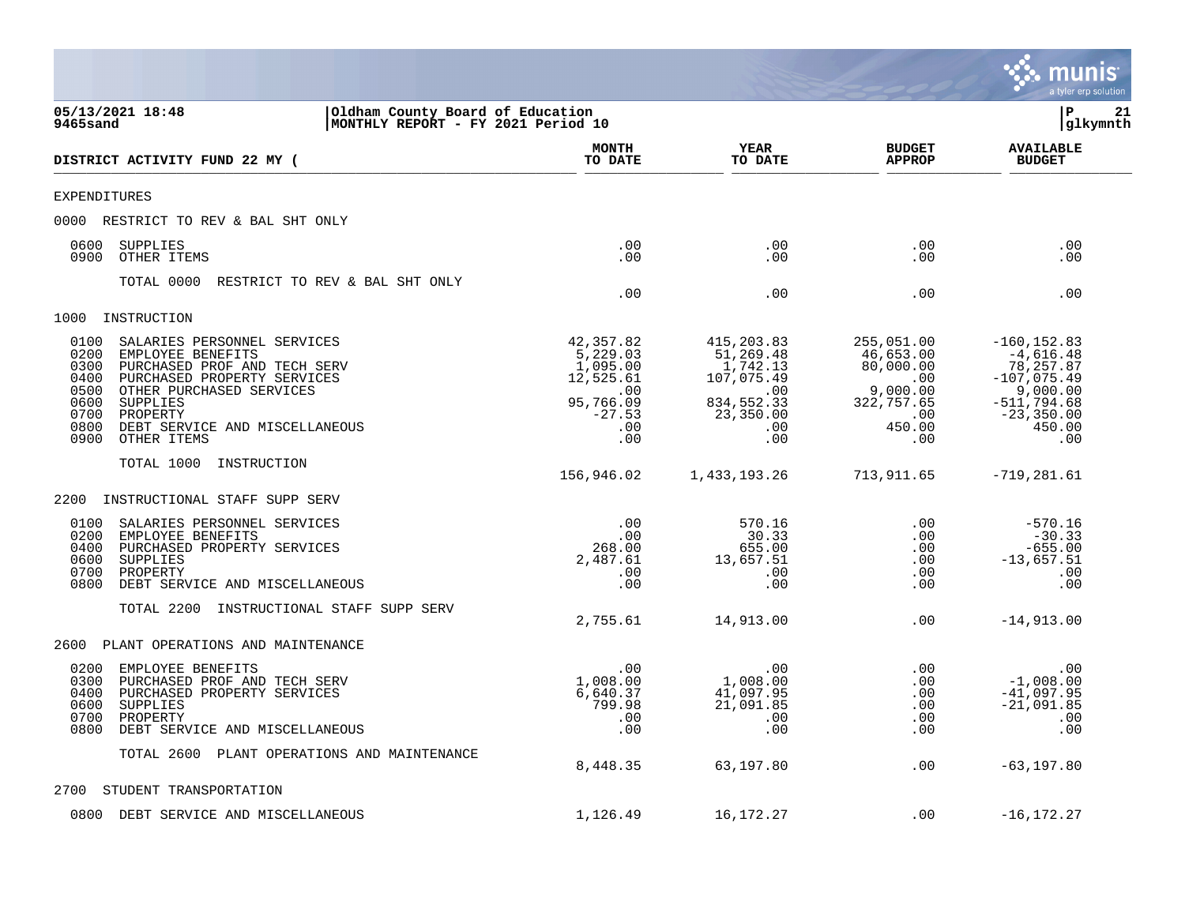|                                                                                                                                                                                                                                                                                                     |                                                                                              |                                                                                                   |                                                                                                    | a tyler erp solution                                                                                                        |
|-----------------------------------------------------------------------------------------------------------------------------------------------------------------------------------------------------------------------------------------------------------------------------------------------------|----------------------------------------------------------------------------------------------|---------------------------------------------------------------------------------------------------|----------------------------------------------------------------------------------------------------|-----------------------------------------------------------------------------------------------------------------------------|
| 05/13/2021 18:48<br>Oldham County Board of Education<br>9465sand<br>MONTHLY REPORT - FY 2021 Period 10                                                                                                                                                                                              |                                                                                              |                                                                                                   |                                                                                                    | lР<br>21<br> glkymnth                                                                                                       |
| DISTRICT ACTIVITY FUND 22 MY (                                                                                                                                                                                                                                                                      | <b>MONTH</b><br>TO DATE                                                                      | YEAR<br>TO DATE                                                                                   | <b>BUDGET</b><br><b>APPROP</b>                                                                     | <b>AVAILABLE</b><br><b>BUDGET</b>                                                                                           |
| <b>EXPENDITURES</b>                                                                                                                                                                                                                                                                                 |                                                                                              |                                                                                                   |                                                                                                    |                                                                                                                             |
| RESTRICT TO REV & BAL SHT ONLY<br>0000                                                                                                                                                                                                                                                              |                                                                                              |                                                                                                   |                                                                                                    |                                                                                                                             |
| 0600<br>SUPPLIES<br>OTHER ITEMS<br>0900                                                                                                                                                                                                                                                             | .00<br>.00                                                                                   | .00<br>.00                                                                                        | .00<br>.00                                                                                         | .00<br>.00                                                                                                                  |
| TOTAL 0000<br>RESTRICT TO REV & BAL SHT ONLY                                                                                                                                                                                                                                                        | .00                                                                                          | .00                                                                                               | .00                                                                                                | .00                                                                                                                         |
| 1000<br>INSTRUCTION                                                                                                                                                                                                                                                                                 |                                                                                              |                                                                                                   |                                                                                                    |                                                                                                                             |
| 0100<br>SALARIES PERSONNEL SERVICES<br>0200<br>EMPLOYEE BENEFITS<br>0300<br>PURCHASED PROF AND TECH SERV<br>0400<br>PURCHASED PROPERTY SERVICES<br>0500<br>OTHER PURCHASED SERVICES<br>0600<br><b>SUPPLIES</b><br>0700<br>PROPERTY<br>0800<br>DEBT SERVICE AND MISCELLANEOUS<br>0900<br>OTHER ITEMS | 42,357.82<br>5,229.03<br>1,095.00<br>12,525.61<br>.00<br>95,766.09<br>$-27.53$<br>.00<br>.00 | 415,203.83<br>51,269.48<br>1,742.13<br>107,075.49<br>.00<br>834,552.33<br>23,350.00<br>.00<br>.00 | 255,051.00<br>46,653.00<br>80,000.00<br>.00<br>9,000.00<br>322,757.65<br>$.00 \,$<br>450.00<br>.00 | $-160, 152.83$<br>$-4,616.48$<br>78, 257.87<br>$-107,075.49$<br>9,000.00<br>$-511,794.68$<br>$-23, 350.00$<br>450.00<br>.00 |
| TOTAL 1000<br>INSTRUCTION                                                                                                                                                                                                                                                                           |                                                                                              |                                                                                                   |                                                                                                    |                                                                                                                             |
|                                                                                                                                                                                                                                                                                                     | 156,946.02                                                                                   | 1,433,193.26                                                                                      | 713,911.65                                                                                         | $-719, 281.61$                                                                                                              |
| 2200<br>INSTRUCTIONAL STAFF SUPP SERV                                                                                                                                                                                                                                                               |                                                                                              |                                                                                                   |                                                                                                    |                                                                                                                             |
| 0100<br>SALARIES PERSONNEL SERVICES<br>0200<br>EMPLOYEE BENEFITS<br>PURCHASED PROPERTY SERVICES<br>0400<br>0600<br>SUPPLIES<br>0700<br>PROPERTY<br>0800<br>DEBT SERVICE AND MISCELLANEOUS                                                                                                           | .00<br>.00<br>268.00<br>2,487.61<br>.00<br>.00                                               | 570.16<br>30.33<br>655.00<br>13,657.51<br>.00<br>.00                                              | .00<br>$.00 \,$<br>$.00 \,$<br>.00<br>.00<br>.00                                                   | $-570.16$<br>$-30.33$<br>$-655.00$<br>$-13,657.51$<br>.00<br>.00                                                            |
| TOTAL 2200<br>INSTRUCTIONAL STAFF SUPP SERV                                                                                                                                                                                                                                                         | 2,755.61                                                                                     | 14,913.00                                                                                         | .00                                                                                                | $-14,913.00$                                                                                                                |
| 2600<br>PLANT OPERATIONS AND MAINTENANCE                                                                                                                                                                                                                                                            |                                                                                              |                                                                                                   |                                                                                                    |                                                                                                                             |
| 0200<br>EMPLOYEE BENEFITS<br>0300<br>PURCHASED PROF AND TECH SERV<br>0400<br>PURCHASED PROPERTY SERVICES<br>0600<br>SUPPLIES<br>0700<br>PROPERTY<br>0800<br>DEBT SERVICE AND MISCELLANEOUS                                                                                                          | .00<br>1,008.00<br>6,640.37<br>799.98<br>.00<br>.00                                          | .00<br>1,008.00<br>41,097.95<br>21,091.85<br>.00<br>.00                                           | .00<br>.00<br>.00<br>.00<br>.00<br>.00                                                             | .00<br>$-1,008.00$<br>$-41,097.95$<br>$-21,091.85$<br>.00<br>.00                                                            |
| TOTAL 2600 PLANT OPERATIONS AND MAINTENANCE                                                                                                                                                                                                                                                         | 8,448.35                                                                                     | 63,197.80                                                                                         | .00                                                                                                | $-63, 197.80$                                                                                                               |
| 2700<br>STUDENT TRANSPORTATION                                                                                                                                                                                                                                                                      |                                                                                              |                                                                                                   |                                                                                                    |                                                                                                                             |
| 0800<br>DEBT SERVICE AND MISCELLANEOUS                                                                                                                                                                                                                                                              | 1,126.49                                                                                     | 16,172.27                                                                                         | .00                                                                                                | $-16, 172.27$                                                                                                               |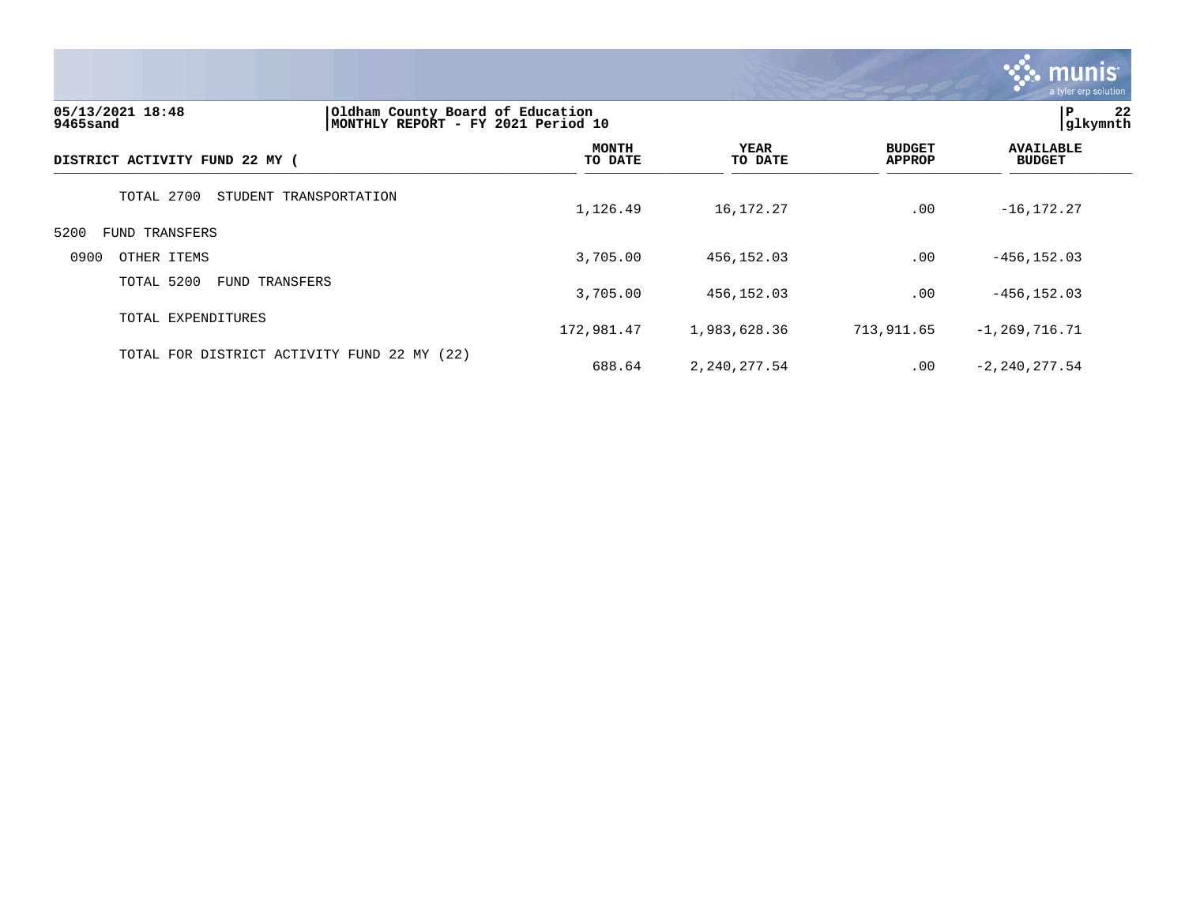

| 05/13/2021 18:48<br>9465sand        |                                             | Oldham County Board of Education<br>MONTHLY REPORT - FY 2021 Period 10 |                 |                                |                                   |
|-------------------------------------|---------------------------------------------|------------------------------------------------------------------------|-----------------|--------------------------------|-----------------------------------|
| DISTRICT ACTIVITY FUND 22 MY (      |                                             | <b>MONTH</b><br>TO DATE                                                | YEAR<br>TO DATE | <b>BUDGET</b><br><b>APPROP</b> | <b>AVAILABLE</b><br><b>BUDGET</b> |
| TOTAL 2700                          | STUDENT TRANSPORTATION                      | 1,126.49                                                               | 16,172.27       | .00                            | $-16, 172.27$                     |
| 5200<br><b>FUND TRANSFERS</b>       |                                             |                                                                        |                 |                                |                                   |
| 0900<br>OTHER ITEMS                 |                                             | 3,705.00                                                               | 456,152.03      | .00                            | $-456, 152.03$                    |
| TOTAL 5200<br><b>FUND TRANSFERS</b> |                                             | 3,705.00                                                               | 456,152.03      | .00                            | $-456, 152.03$                    |
| TOTAL EXPENDITURES                  |                                             | 172,981.47                                                             | 1,983,628.36    | 713,911.65                     | $-1, 269, 716, 71$                |
|                                     | TOTAL FOR DISTRICT ACTIVITY FUND 22 MY (22) | 688.64                                                                 | 2,240,277.54    | .00                            | $-2, 240, 277.54$                 |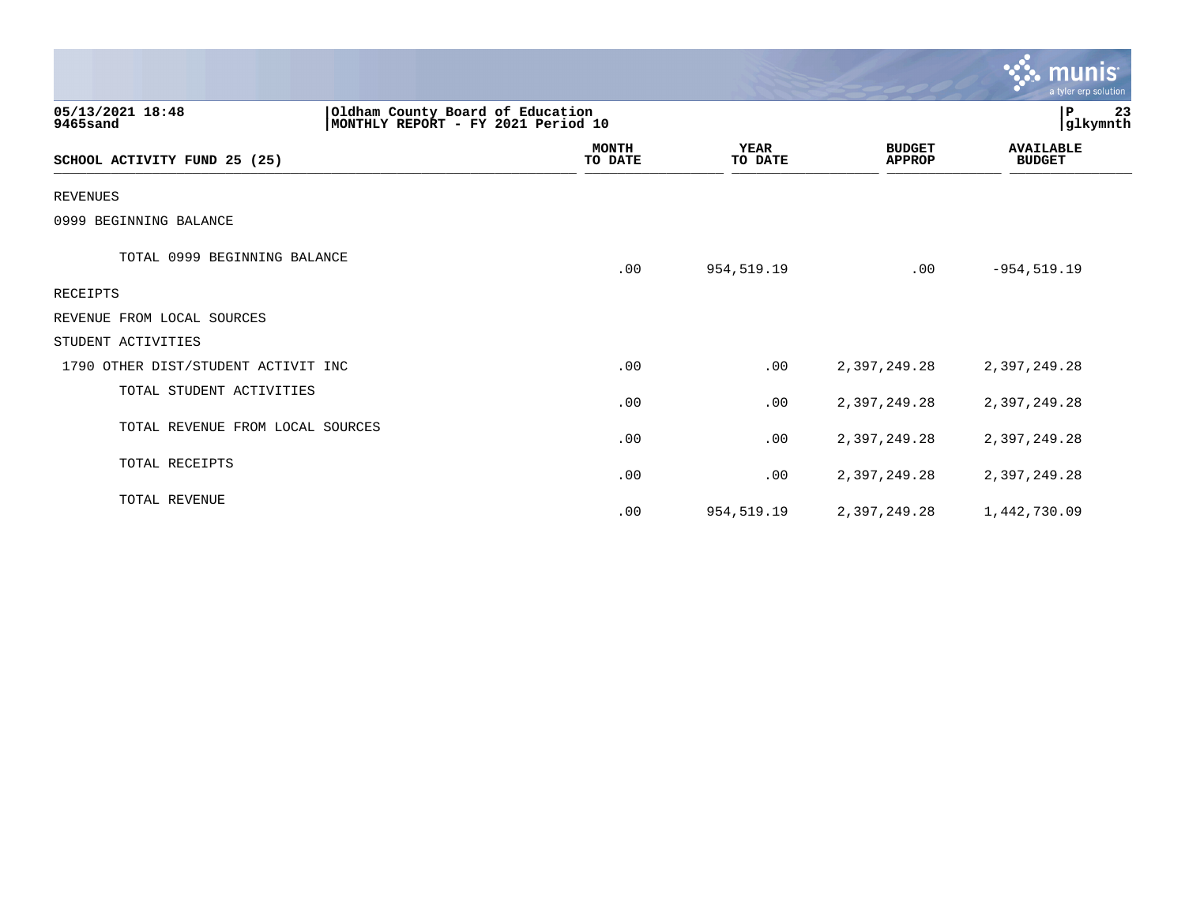|                                     |                                                                        |                         |                        |                                | munis <sup>.</sup><br>a tyler erp solution |  |
|-------------------------------------|------------------------------------------------------------------------|-------------------------|------------------------|--------------------------------|--------------------------------------------|--|
| 05/13/2021 18:48<br>9465sand        | Oldham County Board of Education<br>MONTHLY REPORT - FY 2021 Period 10 |                         |                        |                                | P<br>23<br>glkymnth                        |  |
| SCHOOL ACTIVITY FUND 25 (25)        |                                                                        | <b>MONTH</b><br>TO DATE | <b>YEAR</b><br>TO DATE | <b>BUDGET</b><br><b>APPROP</b> | <b>AVAILABLE</b><br><b>BUDGET</b>          |  |
| <b>REVENUES</b>                     |                                                                        |                         |                        |                                |                                            |  |
| 0999 BEGINNING BALANCE              |                                                                        |                         |                        |                                |                                            |  |
| TOTAL 0999 BEGINNING BALANCE        |                                                                        | .00                     | 954,519.19             | .00                            | $-954, 519.19$                             |  |
| RECEIPTS                            |                                                                        |                         |                        |                                |                                            |  |
| REVENUE FROM LOCAL SOURCES          |                                                                        |                         |                        |                                |                                            |  |
| STUDENT ACTIVITIES                  |                                                                        |                         |                        |                                |                                            |  |
| 1790 OTHER DIST/STUDENT ACTIVIT INC |                                                                        | .00                     | .00                    | 2,397,249.28                   | 2,397,249.28                               |  |
| TOTAL STUDENT ACTIVITIES            |                                                                        | .00                     | .00                    | 2,397,249.28                   | 2,397,249.28                               |  |
| TOTAL REVENUE FROM LOCAL SOURCES    |                                                                        | .00                     | .00                    | 2,397,249.28                   | 2,397,249.28                               |  |
| TOTAL RECEIPTS                      |                                                                        | .00                     | .00                    | 2,397,249.28                   | 2,397,249.28                               |  |
| TOTAL REVENUE                       |                                                                        | .00                     | 954,519.19             | 2,397,249.28                   | 1,442,730.09                               |  |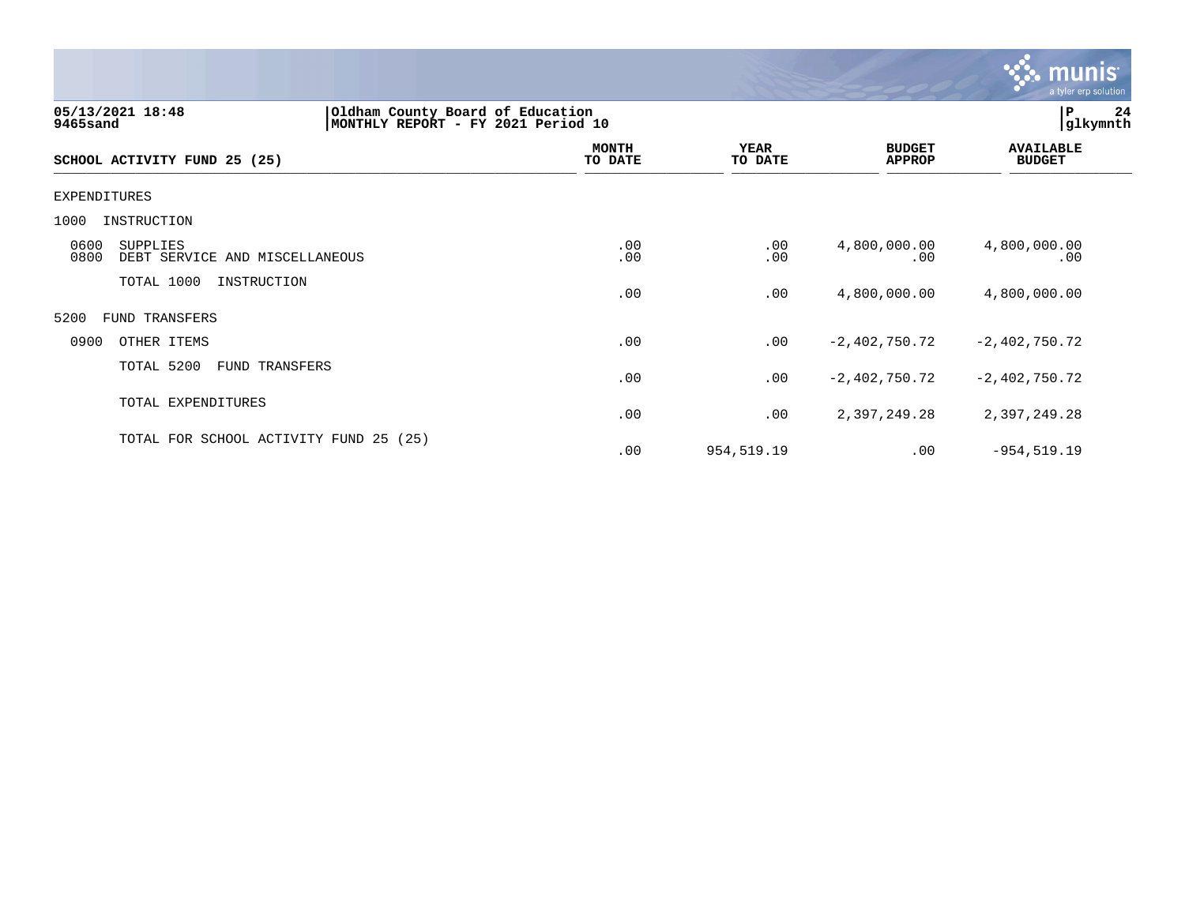

| 05/13/2021 18:48<br>Oldham County Board of Education<br>MONTHLY REPORT - FY 2021 Period 10<br>9465sand |                         |                        |                                | 24<br>P<br> glkymnth              |
|--------------------------------------------------------------------------------------------------------|-------------------------|------------------------|--------------------------------|-----------------------------------|
| SCHOOL ACTIVITY FUND 25 (25)                                                                           | <b>MONTH</b><br>TO DATE | <b>YEAR</b><br>TO DATE | <b>BUDGET</b><br><b>APPROP</b> | <b>AVAILABLE</b><br><b>BUDGET</b> |
| EXPENDITURES                                                                                           |                         |                        |                                |                                   |
| 1000<br>INSTRUCTION                                                                                    |                         |                        |                                |                                   |
| 0600<br>SUPPLIES<br>0800<br>DEBT SERVICE AND MISCELLANEOUS                                             | .00<br>.00              | .00<br>.00             | 4,800,000.00<br>.00            | 4,800,000.00<br>.00               |
| TOTAL 1000<br>INSTRUCTION                                                                              | .00                     | .00                    | 4,800,000.00                   | 4,800,000.00                      |
| 5200<br>FUND TRANSFERS                                                                                 |                         |                        |                                |                                   |
| 0900<br>OTHER ITEMS                                                                                    | .00                     | .00                    | $-2,402,750.72$                | $-2,402,750.72$                   |
| TOTAL 5200<br>FUND TRANSFERS                                                                           | .00                     | .00                    | $-2,402,750.72$                | $-2,402,750.72$                   |
| TOTAL EXPENDITURES                                                                                     | .00                     | .00                    | 2,397,249.28                   | 2,397,249.28                      |
| TOTAL FOR SCHOOL ACTIVITY FUND 25<br>(25)                                                              | .00                     | 954,519.19             | .00                            | $-954, 519.19$                    |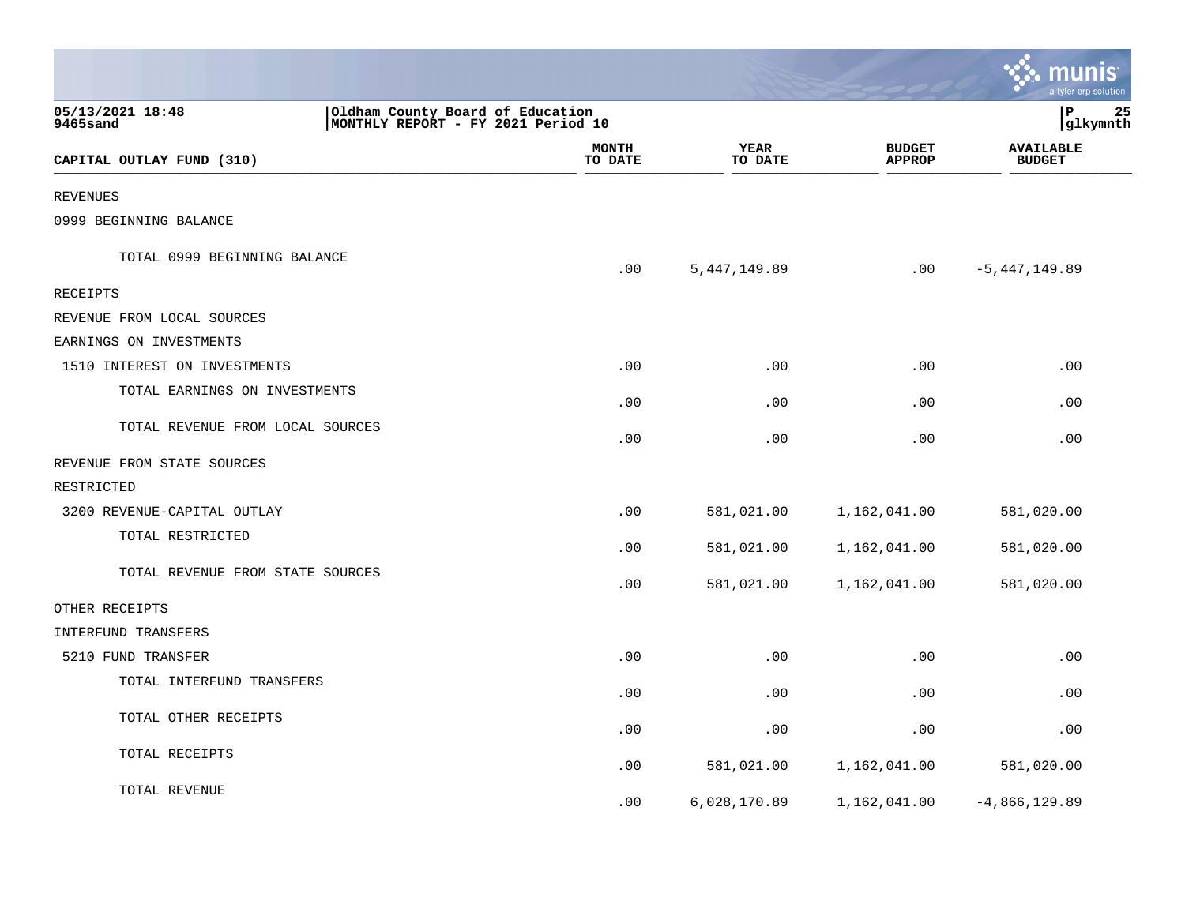|                                  |                                                                        |                         |                        |                                | munis<br>a tyler erp solution     |    |
|----------------------------------|------------------------------------------------------------------------|-------------------------|------------------------|--------------------------------|-----------------------------------|----|
| 05/13/2021 18:48<br>9465sand     | Oldham County Board of Education<br>MONTHLY REPORT - FY 2021 Period 10 |                         |                        |                                | lР<br> glkymnth                   | 25 |
| CAPITAL OUTLAY FUND (310)        |                                                                        | <b>MONTH</b><br>TO DATE | <b>YEAR</b><br>TO DATE | <b>BUDGET</b><br><b>APPROP</b> | <b>AVAILABLE</b><br><b>BUDGET</b> |    |
| <b>REVENUES</b>                  |                                                                        |                         |                        |                                |                                   |    |
| 0999 BEGINNING BALANCE           |                                                                        |                         |                        |                                |                                   |    |
| TOTAL 0999 BEGINNING BALANCE     |                                                                        | .00                     | 5, 447, 149.89         | .00                            | $-5,447,149.89$                   |    |
| RECEIPTS                         |                                                                        |                         |                        |                                |                                   |    |
| REVENUE FROM LOCAL SOURCES       |                                                                        |                         |                        |                                |                                   |    |
| EARNINGS ON INVESTMENTS          |                                                                        |                         |                        |                                |                                   |    |
| 1510 INTEREST ON INVESTMENTS     |                                                                        | .00                     | .00                    | .00                            | .00                               |    |
| TOTAL EARNINGS ON INVESTMENTS    |                                                                        | .00                     | .00                    | .00                            | .00                               |    |
| TOTAL REVENUE FROM LOCAL SOURCES |                                                                        | .00                     | .00                    | .00                            | .00                               |    |
| REVENUE FROM STATE SOURCES       |                                                                        |                         |                        |                                |                                   |    |
| RESTRICTED                       |                                                                        |                         |                        |                                |                                   |    |
| 3200 REVENUE-CAPITAL OUTLAY      |                                                                        | .00                     | 581,021.00             | 1,162,041.00                   | 581,020.00                        |    |
| TOTAL RESTRICTED                 |                                                                        | .00                     | 581,021.00             | 1,162,041.00                   | 581,020.00                        |    |
| TOTAL REVENUE FROM STATE SOURCES |                                                                        | .00                     | 581,021.00             | 1,162,041.00                   | 581,020.00                        |    |
| OTHER RECEIPTS                   |                                                                        |                         |                        |                                |                                   |    |
| INTERFUND TRANSFERS              |                                                                        |                         |                        |                                |                                   |    |
| 5210 FUND TRANSFER               |                                                                        | .00                     | .00                    | .00                            | .00                               |    |
| TOTAL INTERFUND TRANSFERS        |                                                                        | .00                     | .00                    | .00                            | .00                               |    |
| TOTAL OTHER RECEIPTS             |                                                                        | .00                     | .00                    | .00                            | .00                               |    |
| TOTAL RECEIPTS                   |                                                                        | .00                     | 581,021.00             | 1,162,041.00                   | 581,020.00                        |    |
| TOTAL REVENUE                    |                                                                        | .00                     | 6,028,170.89           | 1,162,041.00                   | $-4,866,129.89$                   |    |

**Contract**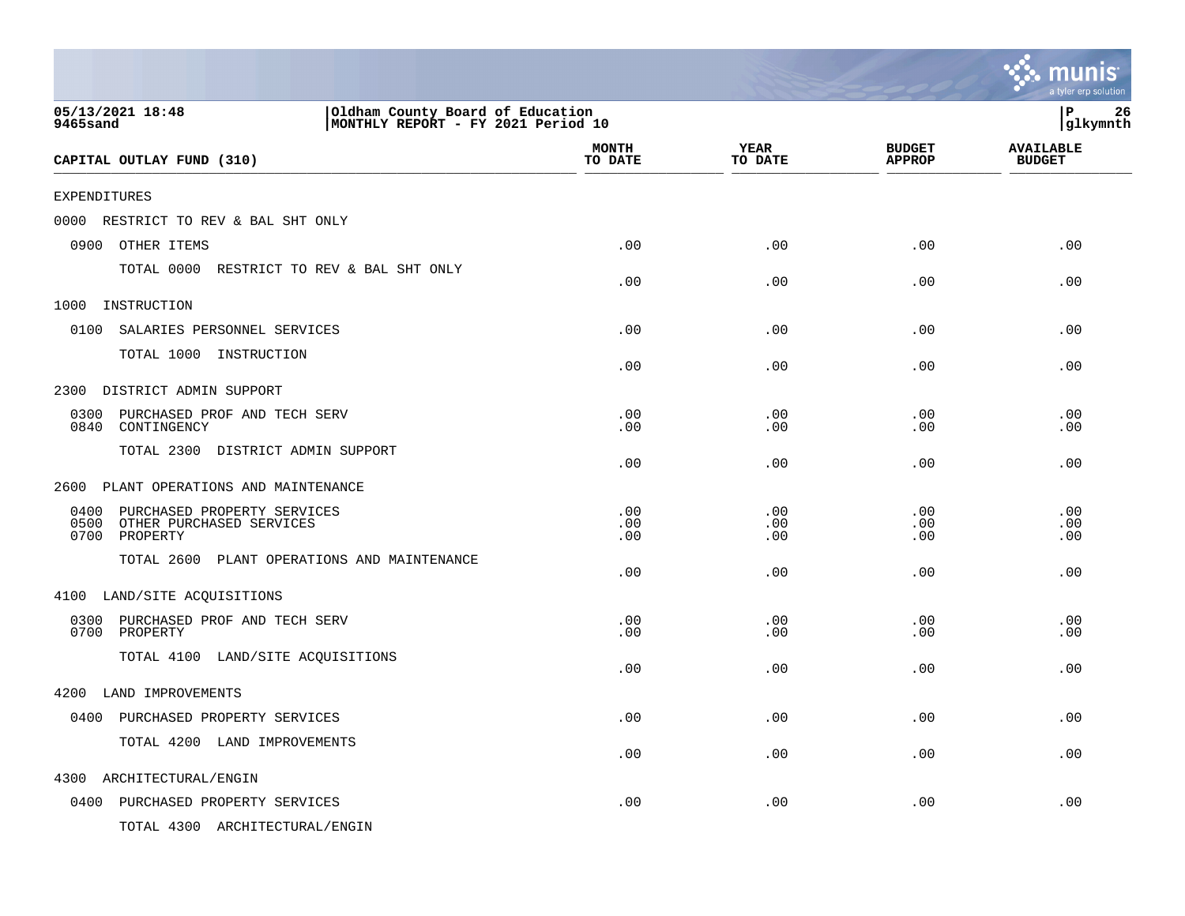|                                                                                                        |                         |                   |                                | munis<br>a tyler erp solution     |
|--------------------------------------------------------------------------------------------------------|-------------------------|-------------------|--------------------------------|-----------------------------------|
| 05/13/2021 18:48<br>Oldham County Board of Education<br>MONTHLY REPORT - FY 2021 Period 10<br>9465sand |                         |                   |                                | ΙP<br>26<br>glkymnth              |
| CAPITAL OUTLAY FUND (310)                                                                              | <b>MONTH</b><br>TO DATE | YEAR<br>TO DATE   | <b>BUDGET</b><br><b>APPROP</b> | <b>AVAILABLE</b><br><b>BUDGET</b> |
| EXPENDITURES                                                                                           |                         |                   |                                |                                   |
| 0000 RESTRICT TO REV & BAL SHT ONLY                                                                    |                         |                   |                                |                                   |
| OTHER ITEMS<br>0900                                                                                    | .00                     | .00               | .00                            | .00                               |
| TOTAL 0000 RESTRICT TO REV & BAL SHT ONLY                                                              | .00                     | .00               | .00                            | .00                               |
| 1000<br>INSTRUCTION                                                                                    |                         |                   |                                |                                   |
| 0100<br>SALARIES PERSONNEL SERVICES                                                                    | .00                     | .00               | .00                            | .00                               |
| TOTAL 1000 INSTRUCTION                                                                                 | .00                     | .00               | .00                            | .00                               |
| DISTRICT ADMIN SUPPORT<br>2300                                                                         |                         |                   |                                |                                   |
| 0300<br>PURCHASED PROF AND TECH SERV<br>0840<br>CONTINGENCY                                            | .00<br>.00              | .00<br>.00        | .00<br>.00                     | .00<br>.00                        |
| TOTAL 2300 DISTRICT ADMIN SUPPORT                                                                      | .00                     | .00               | .00                            | .00                               |
| PLANT OPERATIONS AND MAINTENANCE<br>2600                                                               |                         |                   |                                |                                   |
| 0400<br>PURCHASED PROPERTY SERVICES<br>0500<br>OTHER PURCHASED SERVICES<br>0700<br>PROPERTY            | .00<br>.00<br>.00       | .00<br>.00<br>.00 | .00<br>.00<br>.00              | .00<br>.00<br>.00                 |
| TOTAL 2600 PLANT OPERATIONS AND MAINTENANCE                                                            | .00                     | .00               | .00                            | .00                               |
| 4100 LAND/SITE ACQUISITIONS                                                                            |                         |                   |                                |                                   |
| 0300<br>PURCHASED PROF AND TECH SERV<br>0700<br>PROPERTY                                               | .00<br>.00.             | .00<br>.00        | .00<br>.00                     | .00<br>.00                        |
| TOTAL 4100 LAND/SITE ACQUISITIONS                                                                      | .00                     | .00               | .00                            | .00                               |
| LAND IMPROVEMENTS<br>4200                                                                              |                         |                   |                                |                                   |
| 0400 PURCHASED PROPERTY SERVICES                                                                       | .00                     | .00               | .00                            | .00                               |
| TOTAL 4200 LAND IMPROVEMENTS                                                                           | .00                     | .00               | .00                            | .00                               |
| ARCHITECTURAL/ENGIN<br>4300                                                                            |                         |                   |                                |                                   |
| 0400 PURCHASED PROPERTY SERVICES                                                                       | .00                     | .00               | .00                            | .00                               |
| TOTAL 4300 ARCHITECTURAL/ENGIN                                                                         |                         |                   |                                |                                   |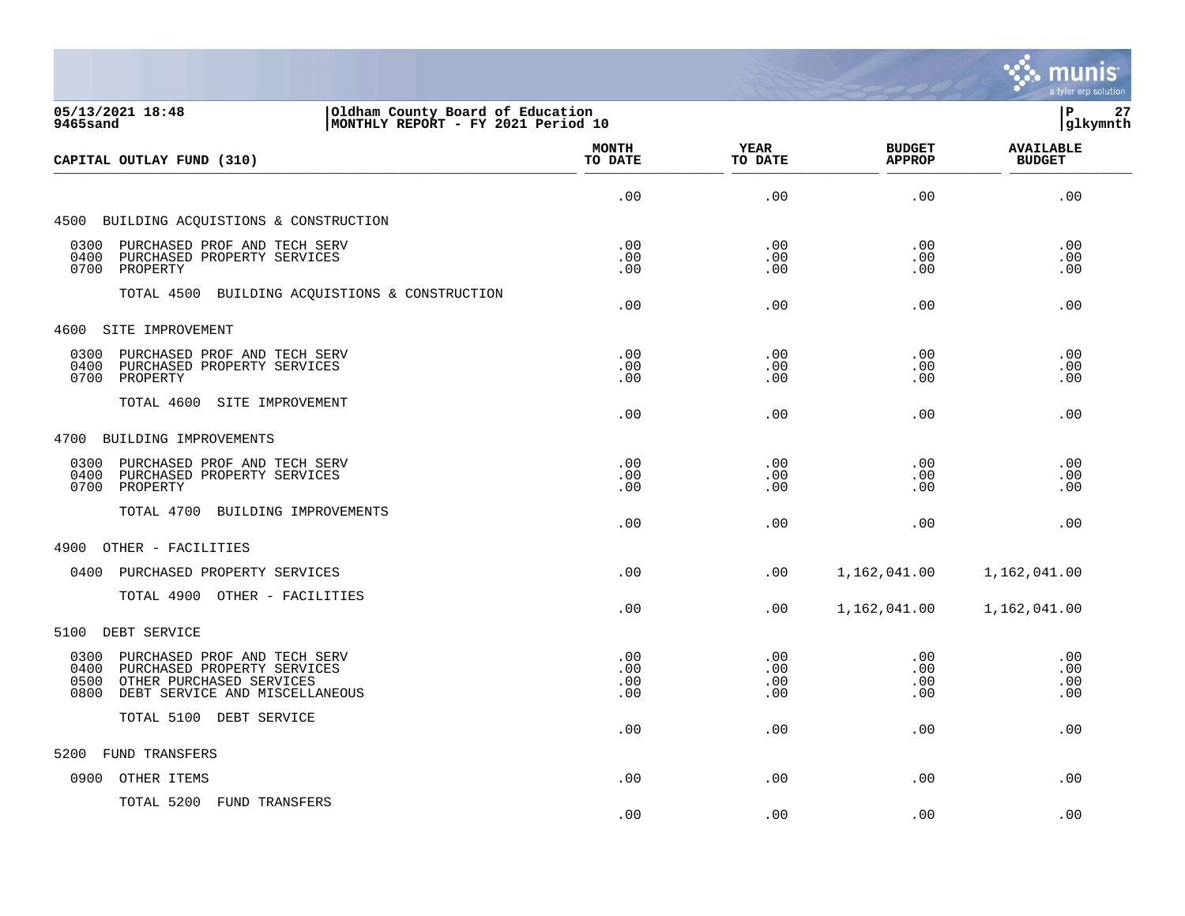

| 05/13/2021 18:48<br>Oldham County Board of Education<br>MONTHLY REPORT - FY 2021 Period 10<br>9465sand                                                    |                          |                          |                                | 27<br> P<br> glkymnth             |
|-----------------------------------------------------------------------------------------------------------------------------------------------------------|--------------------------|--------------------------|--------------------------------|-----------------------------------|
| CAPITAL OUTLAY FUND (310)                                                                                                                                 | <b>MONTH</b><br>TO DATE  | YEAR<br>TO DATE          | <b>BUDGET</b><br><b>APPROP</b> | <b>AVAILABLE</b><br><b>BUDGET</b> |
|                                                                                                                                                           | .00                      | .00                      | .00                            | .00                               |
| 4500 BUILDING ACQUISTIONS & CONSTRUCTION                                                                                                                  |                          |                          |                                |                                   |
| 0300<br>PURCHASED PROF AND TECH SERV<br>0400<br>PURCHASED PROPERTY SERVICES<br>0700<br>PROPERTY                                                           | .00<br>.00<br>.00        | .00<br>.00<br>.00        | .00<br>.00<br>.00              | .00<br>.00<br>.00                 |
| TOTAL 4500 BUILDING ACQUISTIONS & CONSTRUCTION                                                                                                            | .00                      | .00                      | .00                            | .00                               |
| 4600 SITE IMPROVEMENT                                                                                                                                     |                          |                          |                                |                                   |
| 0300<br>PURCHASED PROF AND TECH SERV<br>0400<br>PURCHASED PROPERTY SERVICES<br>0700<br>PROPERTY                                                           | .00<br>.00<br>.00        | .00<br>.00<br>.00        | .00<br>.00<br>.00              | .00<br>.00<br>.00                 |
| TOTAL 4600<br>SITE IMPROVEMENT                                                                                                                            | .00                      | .00                      | .00                            | .00                               |
| 4700 BUILDING IMPROVEMENTS                                                                                                                                |                          |                          |                                |                                   |
| PURCHASED PROF AND TECH SERV<br>0300<br>0400<br>PURCHASED PROPERTY SERVICES<br>0700<br>PROPERTY                                                           | .00<br>.00<br>.00        | .00<br>.00<br>.00        | .00<br>.00<br>.00              | .00<br>.00<br>.00                 |
| TOTAL 4700 BUILDING IMPROVEMENTS                                                                                                                          | .00                      | .00                      | .00                            | .00                               |
| 4900<br>OTHER - FACILITIES                                                                                                                                |                          |                          |                                |                                   |
| 0400<br>PURCHASED PROPERTY SERVICES                                                                                                                       | .00                      | .00                      | 1,162,041.00                   | 1,162,041.00                      |
| TOTAL 4900 OTHER - FACILITIES                                                                                                                             | .00                      | .00                      | 1,162,041.00                   | 1,162,041.00                      |
| 5100 DEBT SERVICE                                                                                                                                         |                          |                          |                                |                                   |
| PURCHASED PROF AND TECH SERV<br>0300<br>0400<br>PURCHASED PROPERTY SERVICES<br>0500<br>OTHER PURCHASED SERVICES<br>0800<br>DEBT SERVICE AND MISCELLANEOUS | .00<br>.00<br>.00<br>.00 | .00<br>.00<br>.00<br>.00 | .00<br>.00<br>.00<br>.00       | .00<br>.00<br>.00<br>.00          |
| TOTAL 5100 DEBT SERVICE                                                                                                                                   | .00                      | .00                      | .00                            | .00                               |
| FUND TRANSFERS<br>5200                                                                                                                                    |                          |                          |                                |                                   |
| 0900<br>OTHER ITEMS                                                                                                                                       | .00                      | .00                      | .00                            | .00                               |
| TOTAL 5200 FUND TRANSFERS                                                                                                                                 | .00.                     | .00                      | .00                            | .00                               |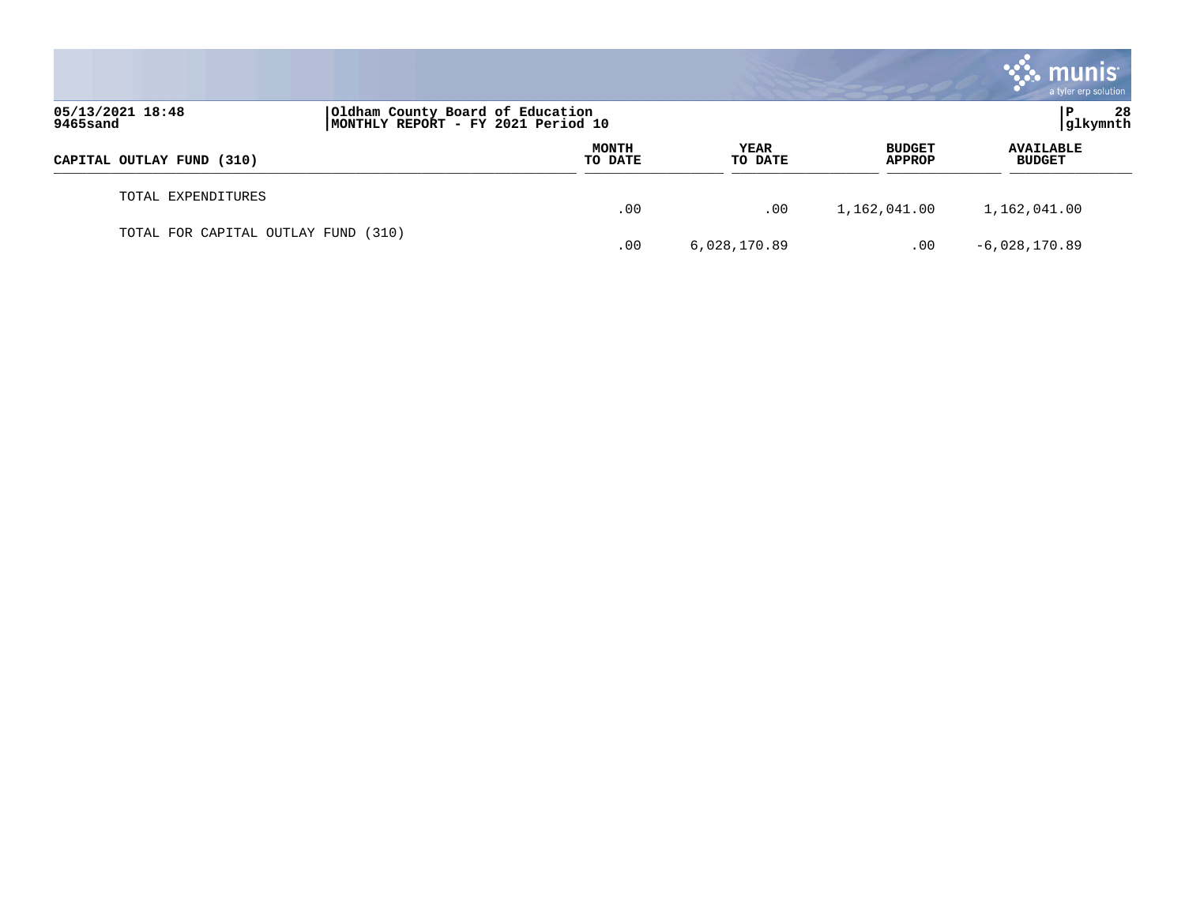|                                                                                                        |  |                         |                 |                                | <b>munis</b><br>a tyler erp solution |
|--------------------------------------------------------------------------------------------------------|--|-------------------------|-----------------|--------------------------------|--------------------------------------|
| 05/13/2021 18:48<br>Oldham County Board of Education<br>MONTHLY REPORT - FY 2021 Period 10<br>9465sand |  |                         |                 | 28<br>P<br>glkymnth            |                                      |
| CAPITAL OUTLAY FUND (310)                                                                              |  | <b>MONTH</b><br>TO DATE | YEAR<br>TO DATE | <b>BUDGET</b><br><b>APPROP</b> | <b>AVAILABLE</b><br><b>BUDGET</b>    |
| TOTAL EXPENDITURES                                                                                     |  | .00                     | .00             | 1,162,041.00                   | 1,162,041.00                         |
| TOTAL FOR CAPITAL OUTLAY FUND (310)                                                                    |  | .00                     | 6,028,170.89    | .00                            | $-6,028,170.89$                      |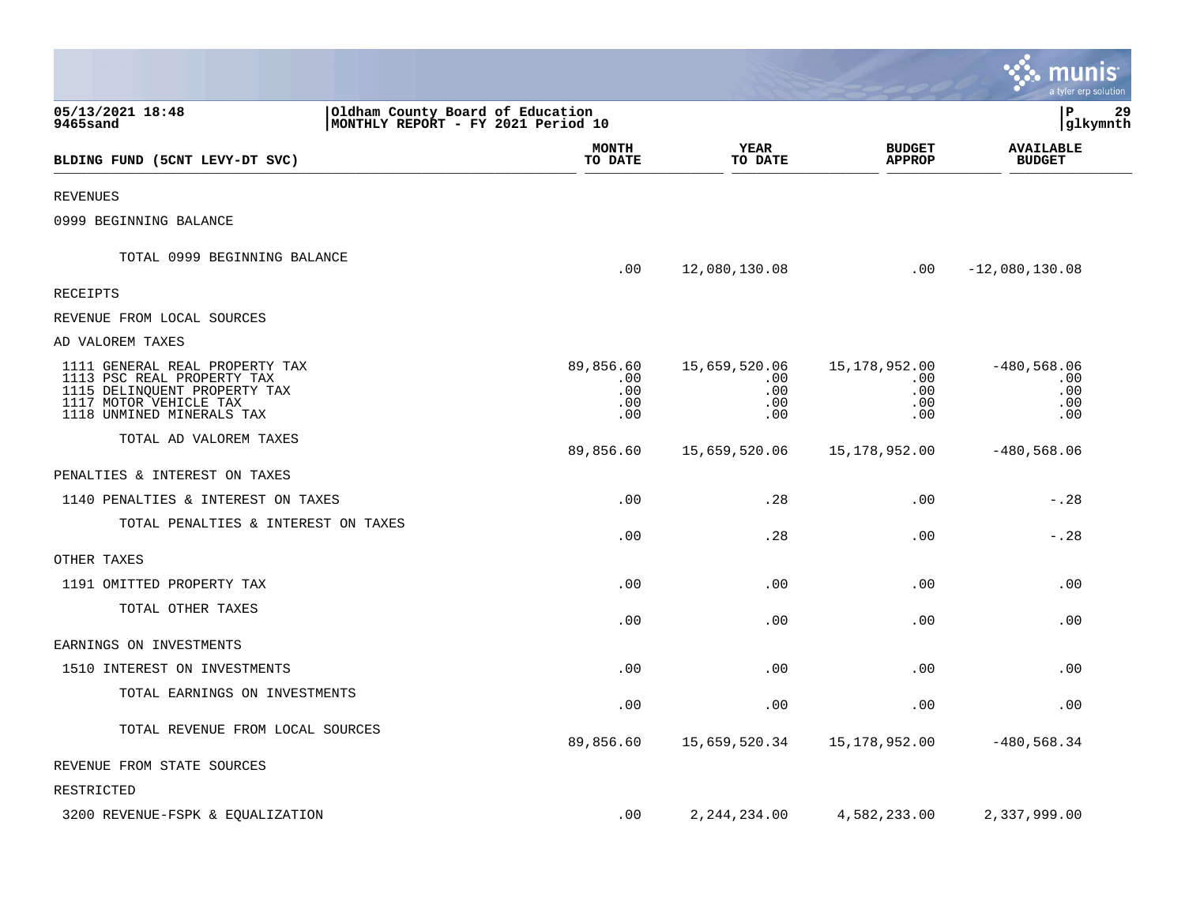|                                                                                                                                                     |                                                                        |                                       |                                                |                                                | munis $\dot{}$<br>a tyler erp solution    |
|-----------------------------------------------------------------------------------------------------------------------------------------------------|------------------------------------------------------------------------|---------------------------------------|------------------------------------------------|------------------------------------------------|-------------------------------------------|
| 05/13/2021 18:48<br>9465sand                                                                                                                        | Oldham County Board of Education<br>MONTHLY REPORT - FY 2021 Period 10 |                                       |                                                |                                                | lР<br>29<br> glkymnth                     |
| BLDING FUND (5CNT LEVY-DT SVC)                                                                                                                      |                                                                        | <b>MONTH</b><br>TO DATE               | YEAR<br>TO DATE                                | <b>BUDGET</b><br><b>APPROP</b>                 | <b>AVAILABLE</b><br><b>BUDGET</b>         |
| <b>REVENUES</b>                                                                                                                                     |                                                                        |                                       |                                                |                                                |                                           |
| 0999 BEGINNING BALANCE                                                                                                                              |                                                                        |                                       |                                                |                                                |                                           |
| TOTAL 0999 BEGINNING BALANCE                                                                                                                        |                                                                        | .00                                   | 12,080,130.08                                  | .00                                            | $-12,080,130.08$                          |
| <b>RECEIPTS</b>                                                                                                                                     |                                                                        |                                       |                                                |                                                |                                           |
| REVENUE FROM LOCAL SOURCES                                                                                                                          |                                                                        |                                       |                                                |                                                |                                           |
| AD VALOREM TAXES                                                                                                                                    |                                                                        |                                       |                                                |                                                |                                           |
| 1111 GENERAL REAL PROPERTY TAX<br>1113 PSC REAL PROPERTY TAX<br>1115 DELINQUENT PROPERTY TAX<br>1117 MOTOR VEHICLE TAX<br>1118 UNMINED MINERALS TAX |                                                                        | 89,856.60<br>.00<br>.00<br>.00<br>.00 | 15,659,520.06<br>$.00 \,$<br>.00<br>.00<br>.00 | 15,178,952.00<br>$.00 \,$<br>.00<br>.00<br>.00 | $-480,568.06$<br>.00<br>.00<br>.00<br>.00 |
| TOTAL AD VALOREM TAXES                                                                                                                              |                                                                        | 89,856.60                             | 15,659,520.06                                  | 15,178,952.00                                  | $-480,568.06$                             |
| PENALTIES & INTEREST ON TAXES                                                                                                                       |                                                                        |                                       |                                                |                                                |                                           |
| 1140 PENALTIES & INTEREST ON TAXES                                                                                                                  |                                                                        | .00                                   | .28                                            | .00                                            | $-.28$                                    |
| TOTAL PENALTIES & INTEREST ON TAXES                                                                                                                 |                                                                        | .00                                   | .28                                            | .00                                            | $-.28$                                    |
| OTHER TAXES                                                                                                                                         |                                                                        |                                       |                                                |                                                |                                           |
| 1191 OMITTED PROPERTY TAX                                                                                                                           |                                                                        | .00                                   | .00                                            | .00                                            | .00                                       |
| TOTAL OTHER TAXES                                                                                                                                   |                                                                        | .00                                   | .00                                            | .00                                            | .00                                       |
| EARNINGS ON INVESTMENTS                                                                                                                             |                                                                        |                                       |                                                |                                                |                                           |
| 1510 INTEREST ON INVESTMENTS                                                                                                                        |                                                                        | .00                                   | .00                                            | .00                                            | .00                                       |
| TOTAL EARNINGS ON INVESTMENTS                                                                                                                       |                                                                        | .00                                   | .00                                            | .00                                            | .00                                       |
| TOTAL REVENUE FROM LOCAL SOURCES                                                                                                                    |                                                                        | 89,856.60                             | 15,659,520.34                                  | 15,178,952.00                                  | $-480,568.34$                             |
| REVENUE FROM STATE SOURCES                                                                                                                          |                                                                        |                                       |                                                |                                                |                                           |
| RESTRICTED                                                                                                                                          |                                                                        |                                       |                                                |                                                |                                           |
| 3200 REVENUE-FSPK & EQUALIZATION                                                                                                                    |                                                                        | .00                                   | 2, 244, 234.00                                 | 4,582,233.00                                   | 2,337,999.00                              |

**College**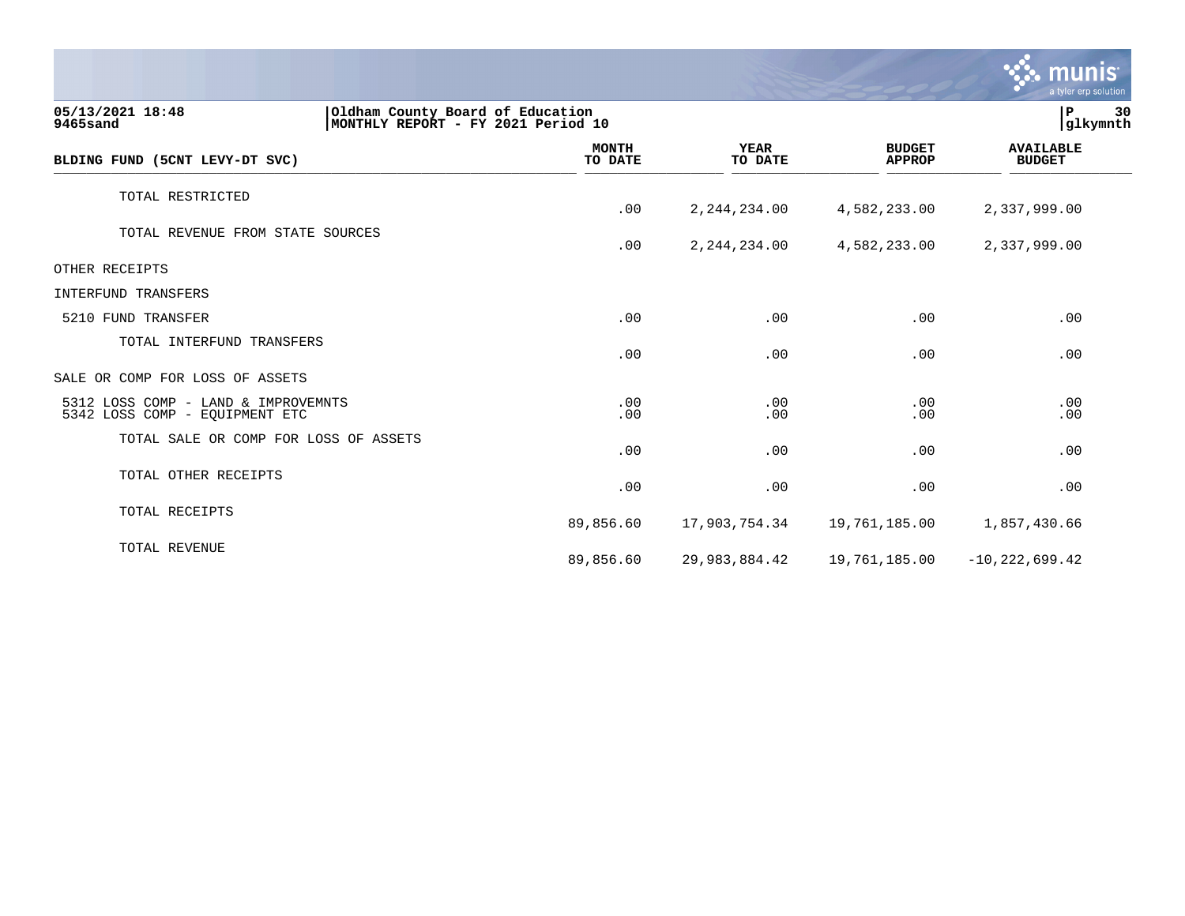|                                                                                                        |                         |                        |                                | <b>munis</b><br>a tyler erp solution |
|--------------------------------------------------------------------------------------------------------|-------------------------|------------------------|--------------------------------|--------------------------------------|
| 05/13/2021 18:48<br>Oldham County Board of Education<br>9465sand<br>MONTHLY REPORT - FY 2021 Period 10 |                         |                        |                                | 30<br>${\bf P}$<br>glkymnth          |
| BLDING FUND (5CNT LEVY-DT SVC)                                                                         | <b>MONTH</b><br>TO DATE | <b>YEAR</b><br>TO DATE | <b>BUDGET</b><br><b>APPROP</b> | <b>AVAILABLE</b><br><b>BUDGET</b>    |
| TOTAL RESTRICTED                                                                                       | .00                     | 2, 244, 234.00         | 4,582,233.00                   | 2,337,999.00                         |
| TOTAL REVENUE FROM STATE SOURCES                                                                       | .00                     | 2, 244, 234.00         | 4,582,233.00                   | 2,337,999.00                         |
| OTHER RECEIPTS                                                                                         |                         |                        |                                |                                      |
| INTERFUND TRANSFERS                                                                                    |                         |                        |                                |                                      |
| 5210 FUND TRANSFER                                                                                     | .00                     | .00                    | .00                            | .00                                  |
| TOTAL INTERFUND TRANSFERS                                                                              | .00                     | .00                    | .00                            | .00                                  |
| SALE OR COMP FOR LOSS OF ASSETS                                                                        |                         |                        |                                |                                      |
| 5312 LOSS COMP - LAND & IMPROVEMNTS<br>5342 LOSS COMP - EQUIPMENT ETC                                  | .00<br>.00              | .00<br>.00             | .00<br>.00                     | .00<br>.00                           |
| TOTAL SALE OR COMP FOR LOSS OF ASSETS                                                                  | .00                     | .00                    | .00                            | .00                                  |
| TOTAL OTHER RECEIPTS                                                                                   | .00                     | .00                    | .00                            | .00                                  |
| TOTAL RECEIPTS                                                                                         | 89,856.60               | 17,903,754.34          | 19,761,185.00                  | 1,857,430.66                         |
| TOTAL REVENUE                                                                                          | 89,856.60               | 29,983,884.42          | 19,761,185.00                  | $-10,222,699.42$                     |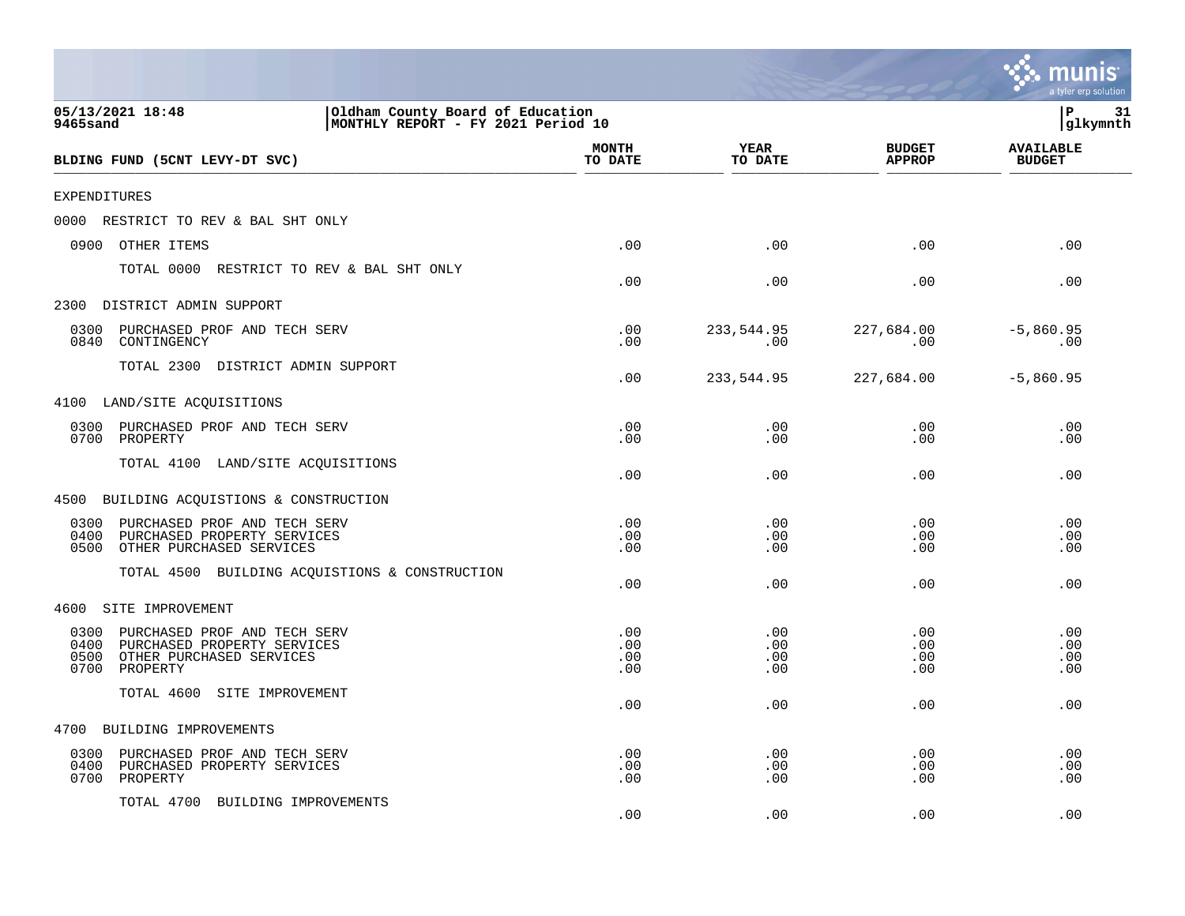|                                                                                                                                     |                                                                        |                          |                                | a tyler erp solution              |
|-------------------------------------------------------------------------------------------------------------------------------------|------------------------------------------------------------------------|--------------------------|--------------------------------|-----------------------------------|
| 05/13/2021 18:48<br>9465sand                                                                                                        | Oldham County Board of Education<br>MONTHLY REPORT - FY 2021 Period 10 |                          |                                | l P<br>31<br>glkymnth             |
| BLDING FUND (5CNT LEVY-DT SVC)                                                                                                      | <b>MONTH</b><br>TO DATE                                                | <b>YEAR</b><br>TO DATE   | <b>BUDGET</b><br><b>APPROP</b> | <b>AVAILABLE</b><br><b>BUDGET</b> |
| <b>EXPENDITURES</b>                                                                                                                 |                                                                        |                          |                                |                                   |
| RESTRICT TO REV & BAL SHT ONLY<br>0000                                                                                              |                                                                        |                          |                                |                                   |
| 0900<br>OTHER ITEMS                                                                                                                 | .00                                                                    | .00                      | .00                            | .00                               |
| TOTAL 0000<br>RESTRICT TO REV & BAL SHT ONLY                                                                                        | .00                                                                    | .00                      | .00                            | .00                               |
| 2300<br>DISTRICT ADMIN SUPPORT                                                                                                      |                                                                        |                          |                                |                                   |
| PURCHASED PROF AND TECH SERV<br>0300<br>0840<br>CONTINGENCY                                                                         | .00<br>.00                                                             | 233,544.95<br>.00        | 227,684.00<br>.00              | $-5,860.95$<br>.00                |
| TOTAL 2300 DISTRICT ADMIN SUPPORT                                                                                                   | .00                                                                    | 233,544.95               | 227,684.00                     | $-5,860.95$                       |
| LAND/SITE ACQUISITIONS<br>4100                                                                                                      |                                                                        |                          |                                |                                   |
| 0300<br>PURCHASED PROF AND TECH SERV<br>0700<br>PROPERTY                                                                            | .00<br>.00                                                             | .00<br>.00               | .00<br>.00                     | .00<br>.00                        |
| TOTAL 4100<br>LAND/SITE ACQUISITIONS                                                                                                | .00                                                                    | .00                      | .00                            | .00                               |
| 4500 BUILDING ACQUISTIONS & CONSTRUCTION                                                                                            |                                                                        |                          |                                |                                   |
| PURCHASED PROF AND TECH SERV<br>0300<br>PURCHASED PROPERTY SERVICES<br>0400<br>0500<br>OTHER PURCHASED SERVICES                     | .00<br>.00<br>.00                                                      | .00<br>.00<br>.00        | .00<br>.00<br>.00              | .00<br>.00<br>.00                 |
| TOTAL 4500 BUILDING ACQUISTIONS & CONSTRUCTION                                                                                      | .00                                                                    | .00                      | .00                            | .00                               |
| 4600<br>SITE IMPROVEMENT                                                                                                            |                                                                        |                          |                                |                                   |
| 0300<br>PURCHASED PROF AND TECH SERV<br>0400<br>PURCHASED PROPERTY SERVICES<br>0500<br>OTHER PURCHASED SERVICES<br>0700<br>PROPERTY | .00<br>.00<br>.00<br>.00                                               | .00<br>.00<br>.00<br>.00 | .00<br>.00<br>.00<br>.00       | .00<br>.00<br>.00<br>.00          |
| TOTAL 4600<br>SITE IMPROVEMENT                                                                                                      | .00                                                                    | .00                      | .00                            | .00                               |
| 4700<br>BUILDING IMPROVEMENTS                                                                                                       |                                                                        |                          |                                |                                   |
| 0300<br>PURCHASED PROF AND TECH SERV<br>0400<br>PURCHASED PROPERTY SERVICES<br>0700<br>PROPERTY                                     | .00<br>.00<br>.00                                                      | .00<br>.00<br>.00        | .00<br>.00<br>.00              | .00<br>.00<br>.00                 |
| TOTAL 4700<br>BUILDING IMPROVEMENTS                                                                                                 | .00                                                                    | .00                      | .00                            | .00                               |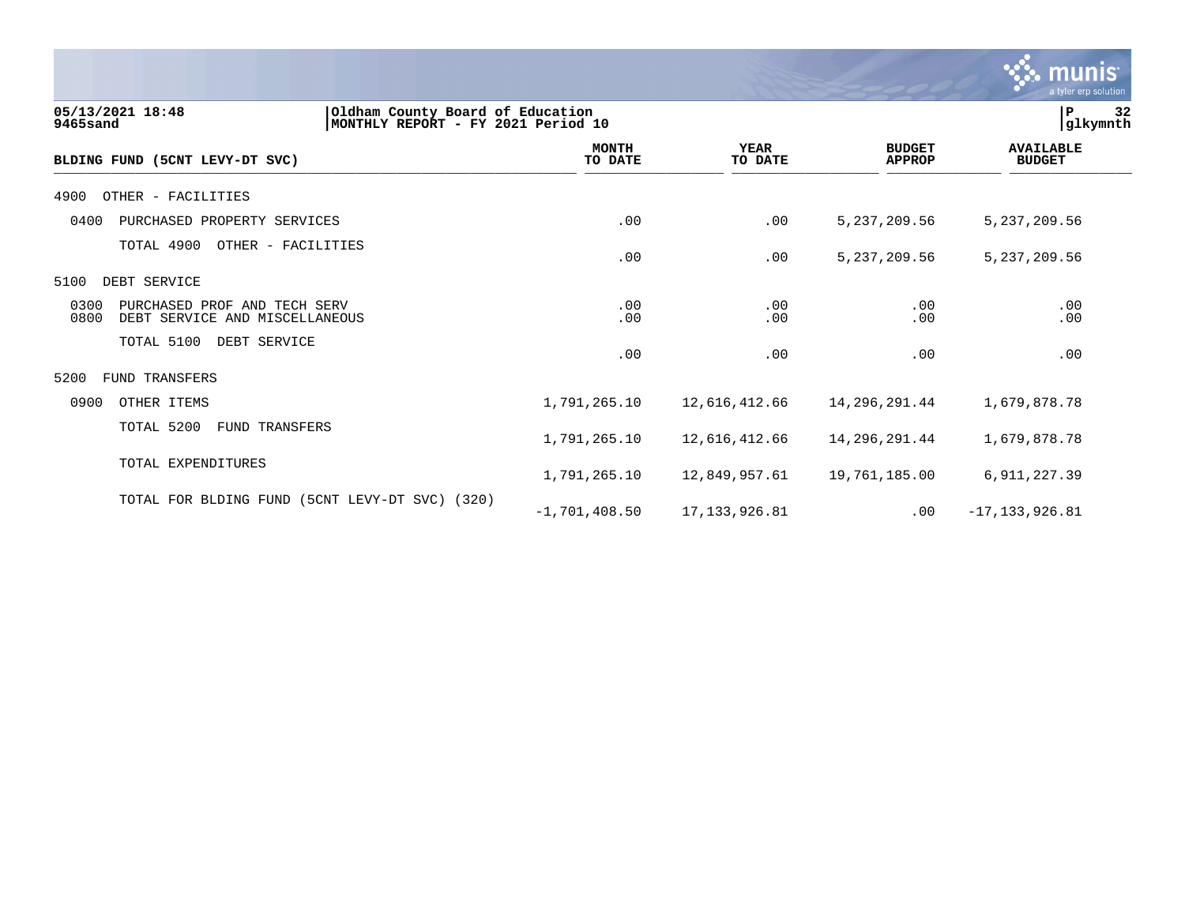|                                                                                                        |                         |                        |                                | munis <sup>.</sup><br>a tyler erp solution |    |
|--------------------------------------------------------------------------------------------------------|-------------------------|------------------------|--------------------------------|--------------------------------------------|----|
| Oldham County Board of Education<br>05/13/2021 18:48<br>MONTHLY REPORT - FY 2021 Period 10<br>9465sand |                         |                        |                                | ΙP<br>glkymnth                             | 32 |
| BLDING FUND (5CNT LEVY-DT SVC)                                                                         | <b>MONTH</b><br>TO DATE | <b>YEAR</b><br>TO DATE | <b>BUDGET</b><br><b>APPROP</b> | <b>AVAILABLE</b><br><b>BUDGET</b>          |    |
| 4900<br>OTHER - FACILITIES                                                                             |                         |                        |                                |                                            |    |
| 0400<br>PURCHASED PROPERTY SERVICES                                                                    | .00                     | .00                    | 5, 237, 209.56                 | 5,237,209.56                               |    |
| TOTAL 4900<br>OTHER - FACILITIES                                                                       | .00                     | .00                    | 5, 237, 209.56                 | 5, 237, 209.56                             |    |
| DEBT SERVICE<br>5100                                                                                   |                         |                        |                                |                                            |    |
| 0300<br>PURCHASED PROF AND TECH SERV<br>0800<br>DEBT SERVICE AND MISCELLANEOUS                         | .00<br>.00              | .00<br>.00             | .00<br>.00                     | .00<br>.00                                 |    |
| TOTAL 5100<br>DEBT SERVICE                                                                             | .00                     | .00                    | .00                            | .00                                        |    |
| 5200<br><b>FUND TRANSFERS</b>                                                                          |                         |                        |                                |                                            |    |
| 0900<br>OTHER ITEMS                                                                                    | 1,791,265.10            | 12,616,412.66          | 14,296,291.44                  | 1,679,878.78                               |    |
| TOTAL 5200<br>FUND TRANSFERS                                                                           | 1,791,265.10            | 12,616,412.66          | 14,296,291.44                  | 1,679,878.78                               |    |
| TOTAL EXPENDITURES                                                                                     | 1,791,265.10            | 12,849,957.61          | 19,761,185.00                  | 6, 911, 227.39                             |    |
| TOTAL FOR BLDING FUND<br>$(SCNT$ LEVY-DT SVC) $(320)$                                                  | $-1,701,408.50$         | 17, 133, 926.81        | .00                            | $-17, 133, 926.81$                         |    |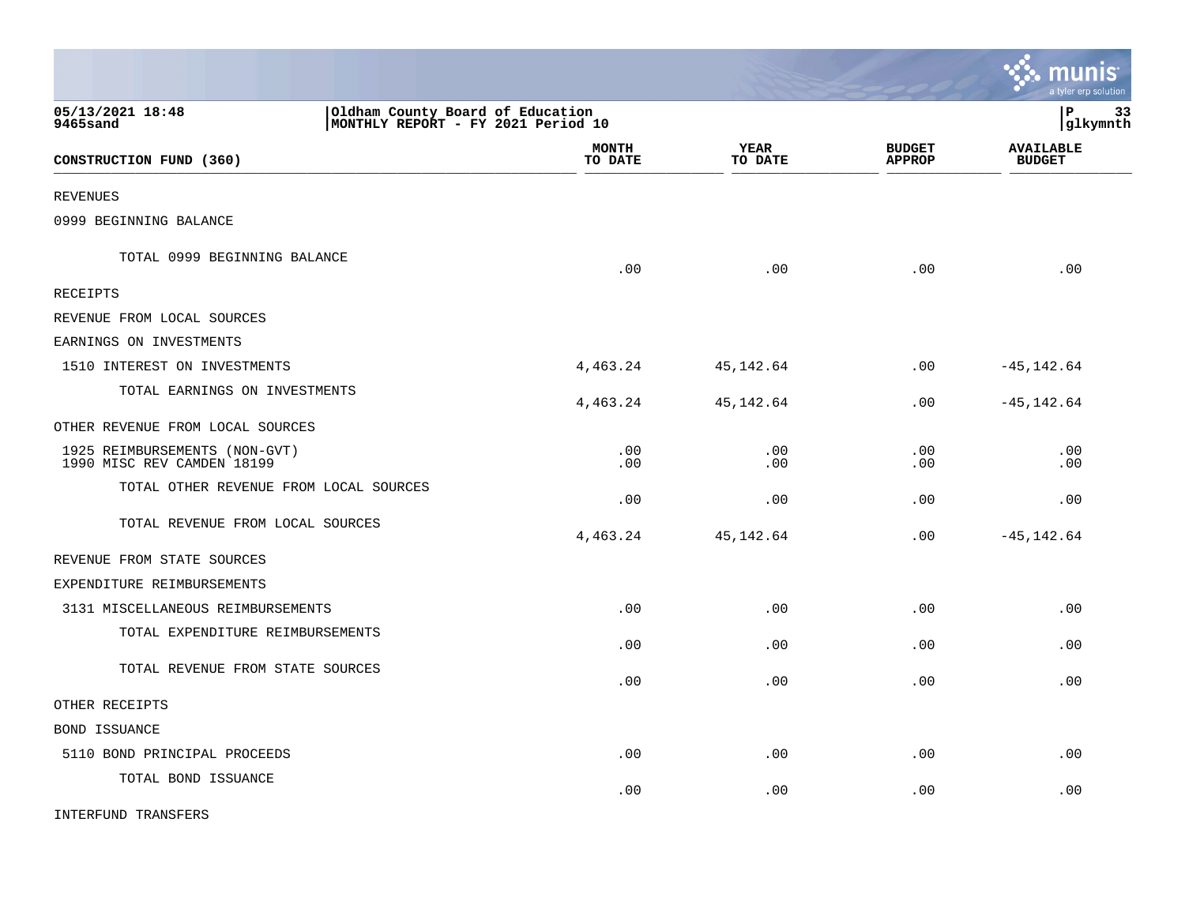|                                                                                                        |                         |                 |                                | <b>is munis</b><br>a tyler erp solution |
|--------------------------------------------------------------------------------------------------------|-------------------------|-----------------|--------------------------------|-----------------------------------------|
| 05/13/2021 18:48<br>Oldham County Board of Education<br>MONTHLY REPORT - FY 2021 Period 10<br>9465sand |                         |                 |                                | lР<br>33<br> glkymnth                   |
| CONSTRUCTION FUND (360)                                                                                | <b>MONTH</b><br>TO DATE | YEAR<br>TO DATE | <b>BUDGET</b><br><b>APPROP</b> | <b>AVAILABLE</b><br><b>BUDGET</b>       |
| <b>REVENUES</b>                                                                                        |                         |                 |                                |                                         |
| 0999 BEGINNING BALANCE                                                                                 |                         |                 |                                |                                         |
| TOTAL 0999 BEGINNING BALANCE                                                                           | .00                     | .00             | .00                            | .00                                     |
| RECEIPTS                                                                                               |                         |                 |                                |                                         |
| REVENUE FROM LOCAL SOURCES                                                                             |                         |                 |                                |                                         |
| EARNINGS ON INVESTMENTS                                                                                |                         |                 |                                |                                         |
| 1510 INTEREST ON INVESTMENTS                                                                           | 4,463.24                | 45,142.64       | .00                            | $-45, 142.64$                           |
| TOTAL EARNINGS ON INVESTMENTS                                                                          | 4,463.24                | 45, 142.64      | .00                            | $-45, 142.64$                           |
| OTHER REVENUE FROM LOCAL SOURCES                                                                       |                         |                 |                                |                                         |
| 1925 REIMBURSEMENTS (NON-GVT)<br>1990 MISC REV CAMDEN 18199                                            | .00<br>.00              | .00<br>.00      | .00<br>.00                     | .00<br>.00                              |
| TOTAL OTHER REVENUE FROM LOCAL SOURCES                                                                 | .00                     | .00             | .00                            | .00                                     |
| TOTAL REVENUE FROM LOCAL SOURCES                                                                       | 4,463.24                | 45,142.64       | .00                            | $-45, 142.64$                           |
| REVENUE FROM STATE SOURCES                                                                             |                         |                 |                                |                                         |
| EXPENDITURE REIMBURSEMENTS                                                                             |                         |                 |                                |                                         |
| 3131 MISCELLANEOUS REIMBURSEMENTS                                                                      | .00                     | .00             | .00                            | .00                                     |
| TOTAL EXPENDITURE REIMBURSEMENTS                                                                       | .00                     | .00             | .00                            | .00                                     |
| TOTAL REVENUE FROM STATE SOURCES                                                                       | .00                     | .00             | .00                            | .00                                     |
| OTHER RECEIPTS                                                                                         |                         |                 |                                |                                         |
| <b>BOND ISSUANCE</b>                                                                                   |                         |                 |                                |                                         |
| 5110 BOND PRINCIPAL PROCEEDS                                                                           | .00                     | .00             | .00                            | .00                                     |
| TOTAL BOND ISSUANCE                                                                                    | .00                     | .00             | .00                            | .00                                     |
| INTERFUND TRANSFERS                                                                                    |                         |                 |                                |                                         |

 $\mathcal{L}$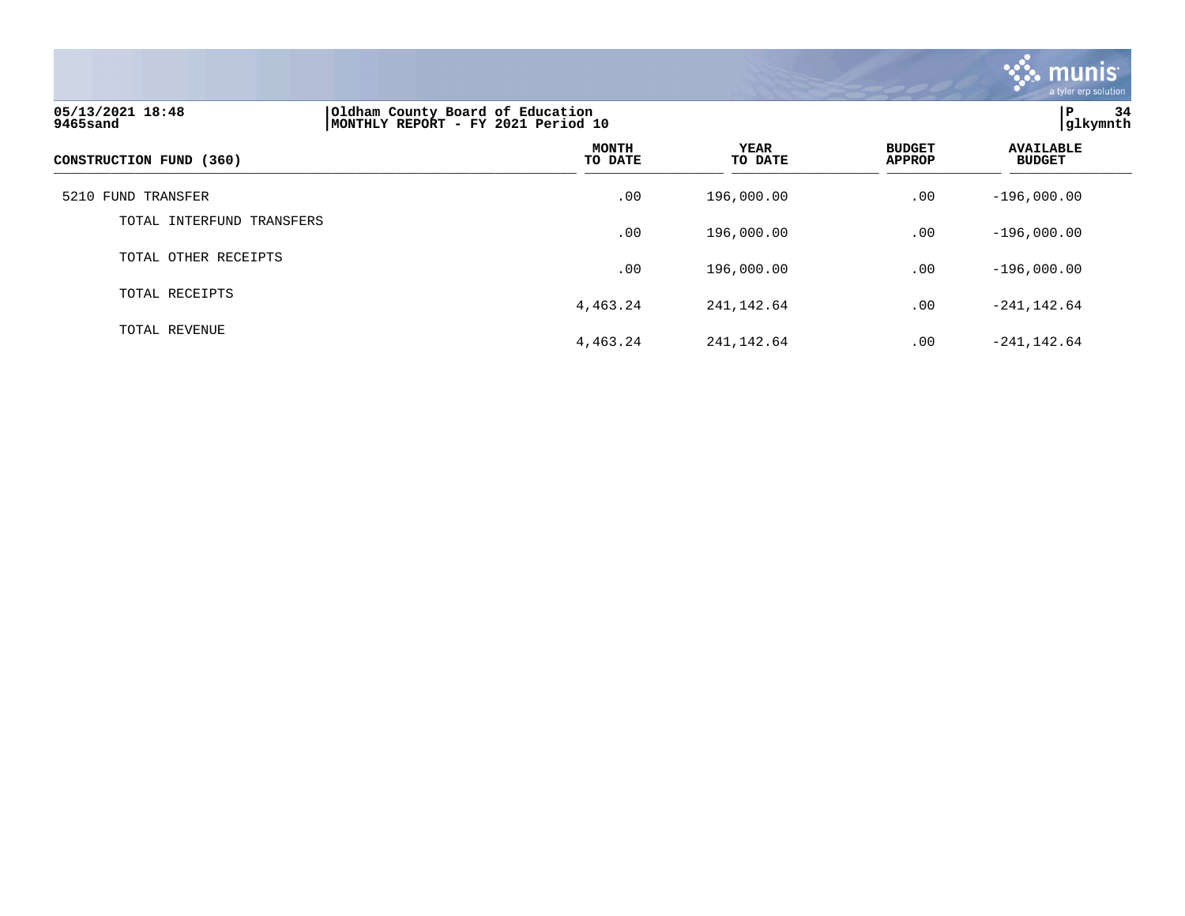

| 05/13/2021 18:48<br>9465sand | Oldham County Board of Education<br>MONTHLY REPORT - FY 2021 Period 10 | lР<br>34<br> glkymnth  |                                |                                   |
|------------------------------|------------------------------------------------------------------------|------------------------|--------------------------------|-----------------------------------|
| CONSTRUCTION FUND (360)      | <b>MONTH</b><br>TO DATE                                                | <b>YEAR</b><br>TO DATE | <b>BUDGET</b><br><b>APPROP</b> | <b>AVAILABLE</b><br><b>BUDGET</b> |
| 5210 FUND TRANSFER           | .00                                                                    | 196,000.00             | .00                            | $-196,000.00$                     |
| TOTAL INTERFUND TRANSFERS    | .00                                                                    | 196,000.00             | .00                            | $-196,000.00$                     |
| TOTAL OTHER RECEIPTS         | .00                                                                    | 196,000.00             | .00                            | $-196,000.00$                     |
| TOTAL RECEIPTS               | 4,463.24                                                               | 241, 142.64            | .00                            | $-241, 142.64$                    |
| TOTAL REVENUE                | 4,463.24                                                               | 241, 142.64            | .00                            | $-241, 142.64$                    |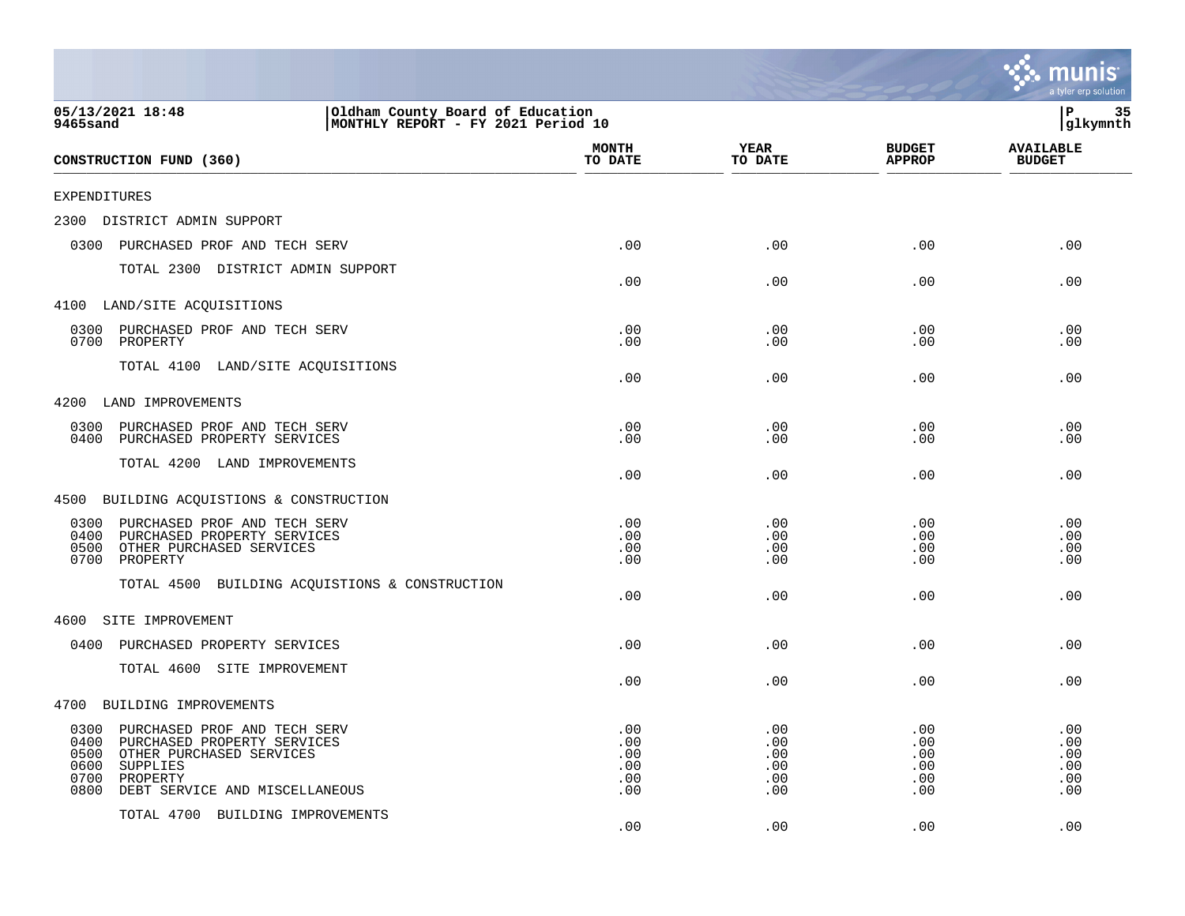|                                                                                                                                                                                                   |                                        |                                        |                                        | a tyler erp solution                   |
|---------------------------------------------------------------------------------------------------------------------------------------------------------------------------------------------------|----------------------------------------|----------------------------------------|----------------------------------------|----------------------------------------|
| 05/13/2021 18:48<br>Oldham County Board of Education<br>MONTHLY REPORT - FY 2021 Period 10<br>9465sand                                                                                            |                                        |                                        |                                        | P<br>35<br>glkymnth                    |
| CONSTRUCTION FUND (360)                                                                                                                                                                           | <b>MONTH</b><br>TO DATE                | YEAR<br>TO DATE                        | <b>BUDGET</b><br><b>APPROP</b>         | <b>AVAILABLE</b><br><b>BUDGET</b>      |
| EXPENDITURES                                                                                                                                                                                      |                                        |                                        |                                        |                                        |
| DISTRICT ADMIN SUPPORT<br>2300                                                                                                                                                                    |                                        |                                        |                                        |                                        |
| 0300<br>PURCHASED PROF AND TECH SERV                                                                                                                                                              | .00                                    | .00                                    | .00                                    | .00                                    |
| TOTAL 2300 DISTRICT ADMIN SUPPORT                                                                                                                                                                 | .00                                    | .00                                    | .00                                    | .00                                    |
| 4100 LAND/SITE ACQUISITIONS                                                                                                                                                                       |                                        |                                        |                                        |                                        |
| 0300<br>PURCHASED PROF AND TECH SERV<br>0700<br>PROPERTY                                                                                                                                          | .00<br>.00                             | .00<br>.00                             | .00<br>.00                             | .00<br>.00                             |
| TOTAL 4100 LAND/SITE ACQUISITIONS                                                                                                                                                                 | .00                                    | .00                                    | .00                                    | .00                                    |
| 4200<br>LAND IMPROVEMENTS                                                                                                                                                                         |                                        |                                        |                                        |                                        |
| 0300<br>PURCHASED PROF AND TECH SERV<br>0400<br>PURCHASED PROPERTY SERVICES                                                                                                                       | .00<br>.00                             | .00<br>.00                             | .00<br>.00                             | .00<br>.00                             |
| TOTAL 4200 LAND IMPROVEMENTS                                                                                                                                                                      | .00                                    | .00                                    | .00                                    | .00                                    |
| BUILDING ACQUISTIONS & CONSTRUCTION<br>4500                                                                                                                                                       |                                        |                                        |                                        |                                        |
| 0300<br>PURCHASED PROF AND TECH SERV<br>PURCHASED PROPERTY SERVICES<br>0400<br>0500<br>OTHER PURCHASED SERVICES<br>0700<br>PROPERTY                                                               | .00<br>.00<br>.00<br>.00               | .00<br>.00<br>.00<br>.00               | .00<br>.00<br>.00<br>.00               | .00<br>.00<br>.00<br>.00               |
| TOTAL 4500 BUILDING ACQUISTIONS & CONSTRUCTION                                                                                                                                                    | .00                                    | .00                                    | .00                                    | .00                                    |
| SITE IMPROVEMENT<br>4600                                                                                                                                                                          |                                        |                                        |                                        |                                        |
| 0400<br>PURCHASED PROPERTY SERVICES                                                                                                                                                               | .00                                    | .00                                    | .00                                    | .00                                    |
| TOTAL 4600 SITE IMPROVEMENT                                                                                                                                                                       | .00                                    | .00                                    | .00                                    | .00                                    |
| 4700<br>BUILDING IMPROVEMENTS                                                                                                                                                                     |                                        |                                        |                                        |                                        |
| 0300<br>PURCHASED PROF AND TECH SERV<br>0400<br>PURCHASED PROPERTY SERVICES<br>0500<br>OTHER PURCHASED SERVICES<br>0600<br>SUPPLIES<br>0700<br>PROPERTY<br>0800<br>DEBT SERVICE AND MISCELLANEOUS | .00<br>.00<br>.00<br>.00<br>.00<br>.00 | .00<br>.00<br>.00<br>.00<br>.00<br>.00 | .00<br>.00<br>.00<br>.00<br>.00<br>.00 | .00<br>.00<br>.00<br>.00<br>.00<br>.00 |
| TOTAL 4700 BUILDING IMPROVEMENTS                                                                                                                                                                  | .00                                    | .00                                    | .00                                    | .00                                    |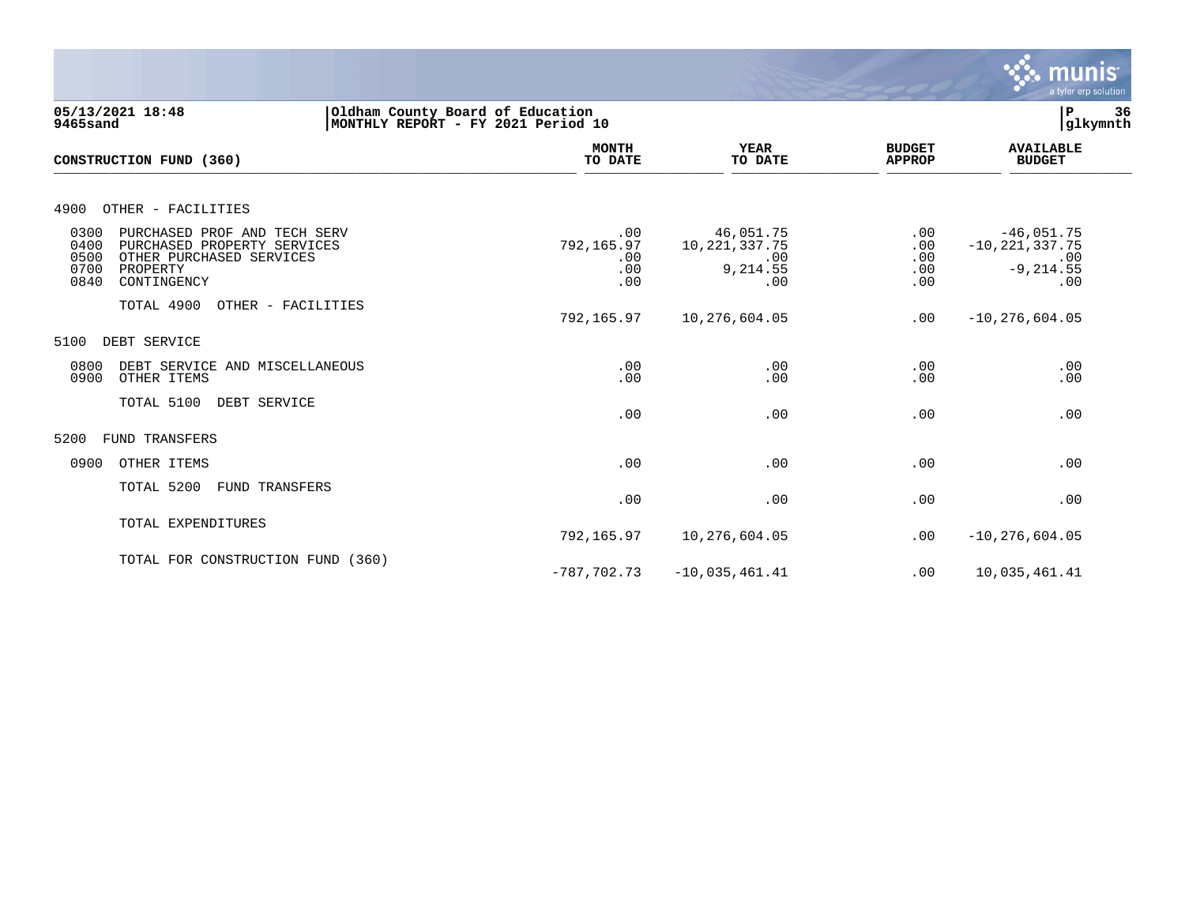

| 05/13/2021 18:48<br>9465sand                                                                                                                               | Oldham County Board of Education<br>MONTHLY REPORT - FY 2021 Period 10 |                                             |                                                        |                                 | $\mathbf P$<br>36<br>glkymnth                                    |  |
|------------------------------------------------------------------------------------------------------------------------------------------------------------|------------------------------------------------------------------------|---------------------------------------------|--------------------------------------------------------|---------------------------------|------------------------------------------------------------------|--|
| CONSTRUCTION FUND (360)                                                                                                                                    |                                                                        | <b>MONTH</b><br>TO DATE                     | <b>YEAR</b><br>TO DATE                                 | <b>BUDGET</b><br><b>APPROP</b>  | <b>AVAILABLE</b><br><b>BUDGET</b>                                |  |
| OTHER - FACILITIES<br>4900                                                                                                                                 |                                                                        |                                             |                                                        |                                 |                                                                  |  |
| 0300<br>PURCHASED PROF AND TECH SERV<br>0400<br>PURCHASED PROPERTY SERVICES<br>0500<br>OTHER PURCHASED SERVICES<br>0700<br>PROPERTY<br>0840<br>CONTINGENCY |                                                                        | .00<br>792,165.97<br>$.00 \,$<br>.00<br>.00 | 46,051.75<br>10, 221, 337.75<br>.00<br>9,214.55<br>.00 | .00<br>.00<br>.00<br>.00<br>.00 | $-46,051.75$<br>$-10, 221, 337.75$<br>.00<br>$-9, 214.55$<br>.00 |  |
| TOTAL 4900                                                                                                                                                 | OTHER - FACILITIES                                                     | 792,165.97                                  | 10,276,604.05                                          | .00                             | $-10, 276, 604.05$                                               |  |
| 5100<br>DEBT SERVICE                                                                                                                                       |                                                                        |                                             |                                                        |                                 |                                                                  |  |
| 0800<br>DEBT SERVICE AND MISCELLANEOUS<br>0900<br>OTHER ITEMS                                                                                              |                                                                        | .00<br>.00                                  | .00<br>.00                                             | .00<br>.00                      | .00<br>.00                                                       |  |
| TOTAL 5100<br>DEBT SERVICE                                                                                                                                 |                                                                        | .00                                         | .00                                                    | .00                             | .00                                                              |  |
| 5200<br>FUND TRANSFERS                                                                                                                                     |                                                                        |                                             |                                                        |                                 |                                                                  |  |
| 0900<br>OTHER ITEMS                                                                                                                                        |                                                                        | .00                                         | .00                                                    | .00                             | .00                                                              |  |
| TOTAL 5200<br>FUND TRANSFERS                                                                                                                               |                                                                        | .00                                         | .00                                                    | .00                             | .00                                                              |  |
| TOTAL EXPENDITURES                                                                                                                                         |                                                                        | 792,165.97                                  | 10,276,604.05                                          | .00                             | $-10, 276, 604.05$                                               |  |
| TOTAL FOR CONSTRUCTION FUND (360)                                                                                                                          |                                                                        | $-787.702.73$                               | $-10,035,461.41$                                       | .00                             | 10,035,461.41                                                    |  |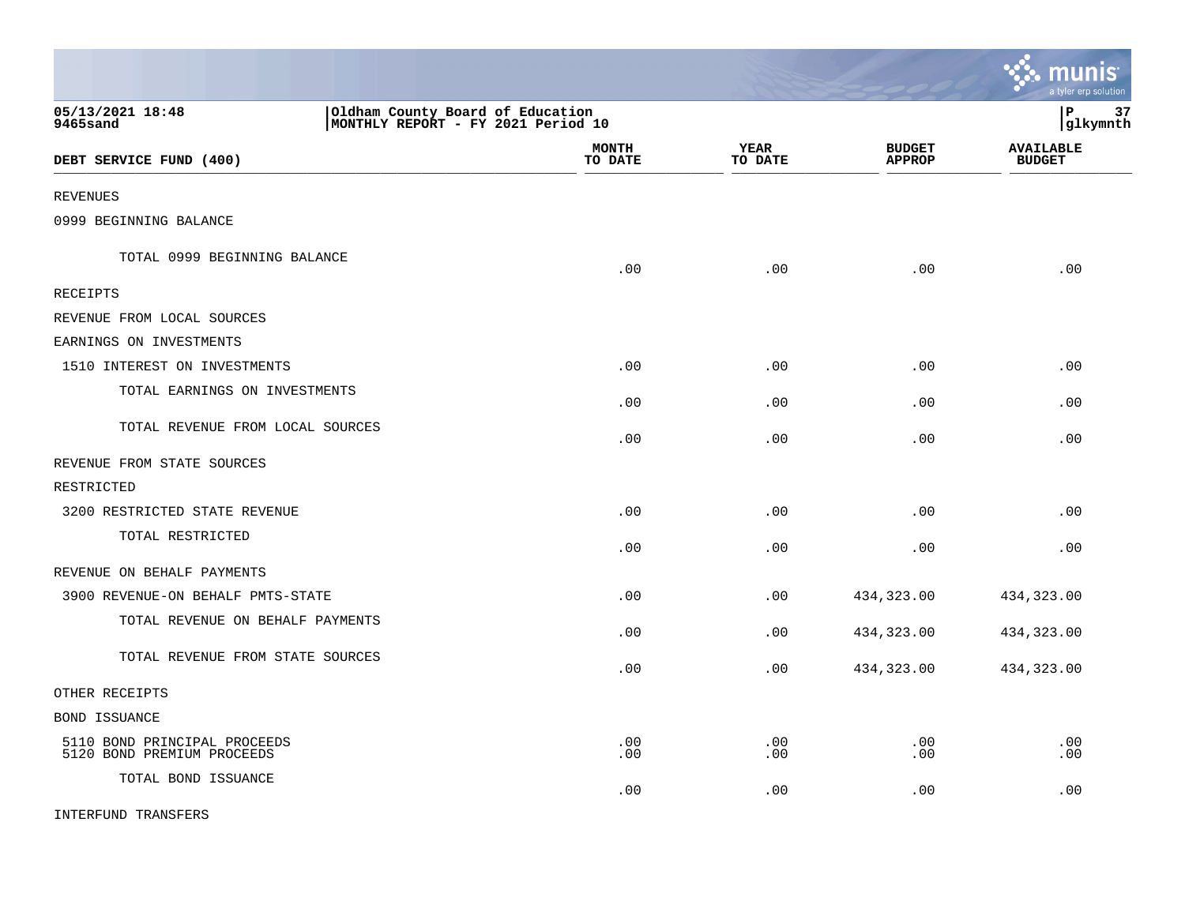|                                                            |                                                                        |                        |                                | munis<br>a tyler erp solution     |
|------------------------------------------------------------|------------------------------------------------------------------------|------------------------|--------------------------------|-----------------------------------|
| 05/13/2021 18:48<br><b>9465sand</b>                        | Oldham County Board of Education<br>MONTHLY REPORT - FY 2021 Period 10 |                        |                                | l P<br>37<br> glkymnth            |
| DEBT SERVICE FUND (400)                                    | <b>MONTH</b><br>TO DATE                                                | <b>YEAR</b><br>TO DATE | <b>BUDGET</b><br><b>APPROP</b> | <b>AVAILABLE</b><br><b>BUDGET</b> |
| REVENUES                                                   |                                                                        |                        |                                |                                   |
| 0999 BEGINNING BALANCE                                     |                                                                        |                        |                                |                                   |
| TOTAL 0999 BEGINNING BALANCE                               | .00                                                                    | .00                    | .00                            | .00                               |
| <b>RECEIPTS</b>                                            |                                                                        |                        |                                |                                   |
| REVENUE FROM LOCAL SOURCES                                 |                                                                        |                        |                                |                                   |
| EARNINGS ON INVESTMENTS                                    |                                                                        |                        |                                |                                   |
| 1510 INTEREST ON INVESTMENTS                               | .00                                                                    | .00                    | .00                            | .00                               |
| TOTAL EARNINGS ON INVESTMENTS                              | .00                                                                    | .00                    | .00                            | .00                               |
| TOTAL REVENUE FROM LOCAL SOURCES                           | .00                                                                    | .00                    | .00                            | .00                               |
| REVENUE FROM STATE SOURCES                                 |                                                                        |                        |                                |                                   |
| RESTRICTED                                                 |                                                                        |                        |                                |                                   |
| 3200 RESTRICTED STATE REVENUE                              | .00                                                                    | .00                    | .00                            | .00                               |
| TOTAL RESTRICTED                                           | .00                                                                    | .00                    | .00                            | .00                               |
| REVENUE ON BEHALF PAYMENTS                                 |                                                                        |                        |                                |                                   |
| 3900 REVENUE-ON BEHALF PMTS-STATE                          | .00                                                                    | .00                    | 434,323.00                     | 434,323.00                        |
| TOTAL REVENUE ON BEHALF PAYMENTS                           | .00                                                                    | .00                    | 434,323.00                     | 434,323.00                        |
| TOTAL REVENUE FROM STATE SOURCES                           | .00                                                                    | .00                    | 434,323.00                     | 434,323.00                        |
| OTHER RECEIPTS                                             |                                                                        |                        |                                |                                   |
| BOND ISSUANCE                                              |                                                                        |                        |                                |                                   |
| 5110 BOND PRINCIPAL PROCEEDS<br>5120 BOND PREMIUM PROCEEDS | .00<br>.00                                                             | .00<br>.00             | .00<br>.00                     | .00<br>.00                        |
| TOTAL BOND ISSUANCE                                        | .00                                                                    | .00                    | .00                            | .00                               |
| INTERFUND TRANSFERS                                        |                                                                        |                        |                                |                                   |

 $\mathcal{L}$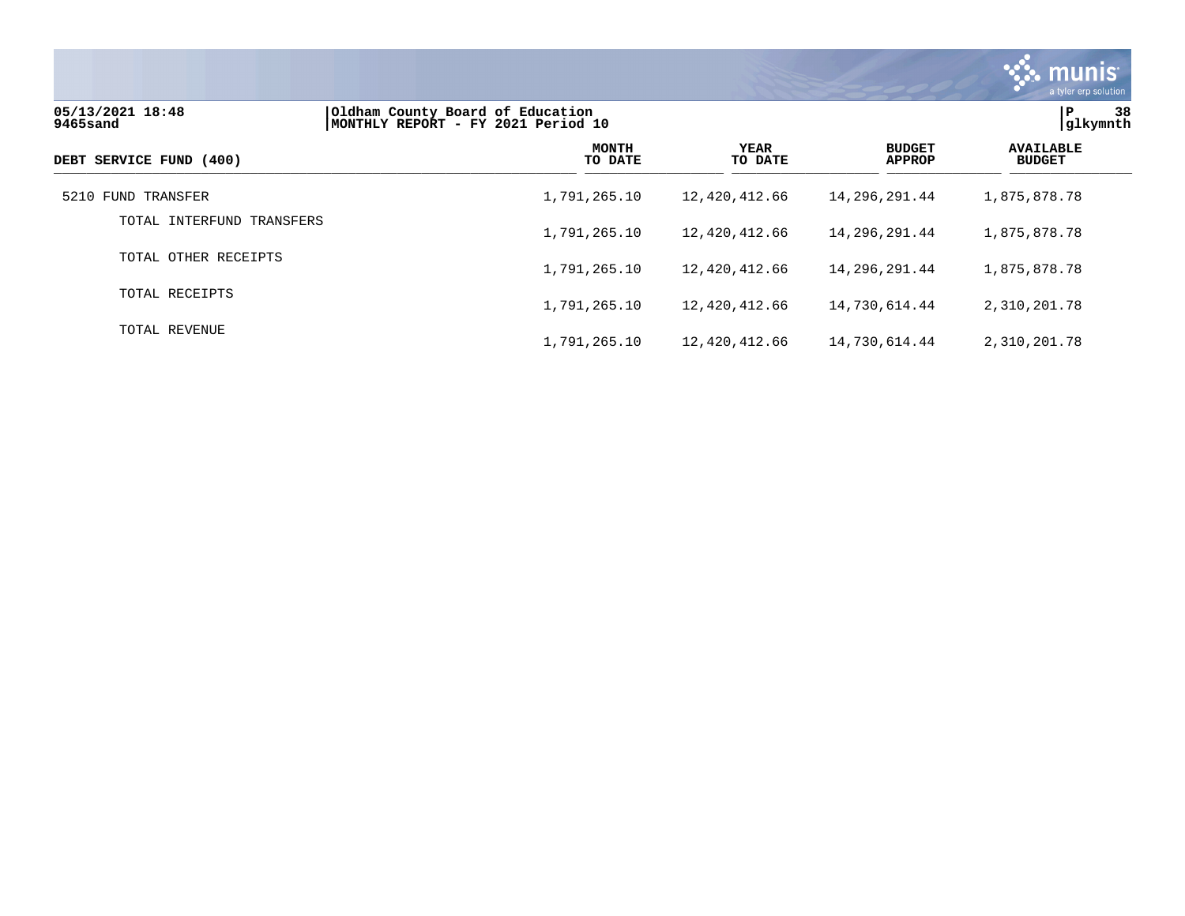

| 05/13/2021 18:48<br>9465sand | Oldham County Board of Education<br>MONTHLY REPORT - FY 2021 Period 10 | 38<br>Р<br>glkymnth    |                                |                                   |
|------------------------------|------------------------------------------------------------------------|------------------------|--------------------------------|-----------------------------------|
| DEBT SERVICE FUND (400)      | <b>MONTH</b><br>TO DATE                                                | <b>YEAR</b><br>TO DATE | <b>BUDGET</b><br><b>APPROP</b> | <b>AVAILABLE</b><br><b>BUDGET</b> |
| 5210 FUND TRANSFER           | 1,791,265.10                                                           | 12,420,412.66          | 14,296,291.44                  | 1,875,878.78                      |
| TOTAL INTERFUND TRANSFERS    | 1,791,265.10                                                           | 12,420,412.66          | 14,296,291.44                  | 1,875,878.78                      |
| TOTAL OTHER RECEIPTS         | 1,791,265.10                                                           | 12,420,412.66          | 14,296,291.44                  | 1,875,878.78                      |
| TOTAL RECEIPTS               | 1,791,265.10                                                           | 12,420,412.66          | 14,730,614.44                  | 2,310,201.78                      |
| TOTAL REVENUE                | 1,791,265.10                                                           | 12,420,412.66          | 14,730,614.44                  | 2,310,201.78                      |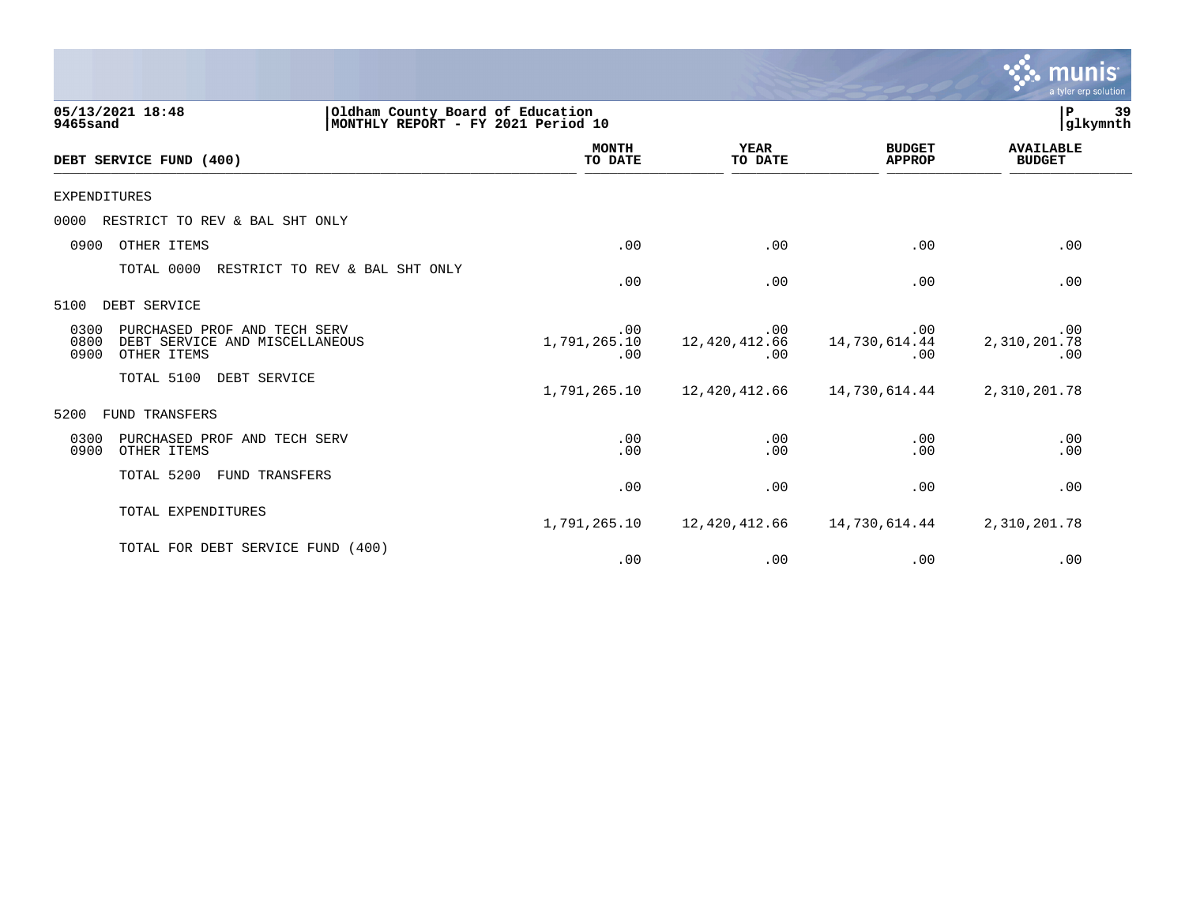|                                                                                                       |                                                                        |                                  |                                | a tyler erp solution              |
|-------------------------------------------------------------------------------------------------------|------------------------------------------------------------------------|----------------------------------|--------------------------------|-----------------------------------|
| 05/13/2021 18:48<br>9465sand                                                                          | Oldham County Board of Education<br>MONTHLY REPORT - FY 2021 Period 10 |                                  |                                | 39<br>P<br>glkymnth               |
| DEBT SERVICE FUND (400)                                                                               | <b>MONTH</b><br>TO DATE                                                | <b>YEAR</b><br>TO DATE           | <b>BUDGET</b><br><b>APPROP</b> | <b>AVAILABLE</b><br><b>BUDGET</b> |
| <b>EXPENDITURES</b>                                                                                   |                                                                        |                                  |                                |                                   |
| RESTRICT TO REV & BAL SHT ONLY<br>0000                                                                |                                                                        |                                  |                                |                                   |
| OTHER ITEMS<br>0900                                                                                   | .00                                                                    | .00                              | .00                            | .00                               |
| TOTAL 0000<br>RESTRICT TO REV & BAL SHT ONLY                                                          | .00                                                                    | .00                              | .00                            | .00                               |
| DEBT SERVICE<br>5100                                                                                  |                                                                        |                                  |                                |                                   |
| 0300<br>PURCHASED PROF AND TECH SERV<br>0800<br>DEBT SERVICE AND MISCELLANEOUS<br>0900<br>OTHER ITEMS | .00<br>1,791,265.10<br>.00                                             | $.00 \,$<br>12,420,412.66<br>.00 | .00<br>14,730,614.44<br>.00    | .00<br>2,310,201.78<br>.00        |
| TOTAL 5100<br>DEBT SERVICE                                                                            | 1,791,265.10                                                           | 12,420,412.66                    | 14,730,614.44                  | 2,310,201.78                      |
| FUND TRANSFERS<br>5200                                                                                |                                                                        |                                  |                                |                                   |
| 0300<br>PURCHASED PROF AND TECH SERV<br>0900<br>OTHER ITEMS                                           | .00<br>.00                                                             | .00<br>.00                       | .00<br>.00                     | .00<br>.00                        |
| TOTAL 5200<br>FUND TRANSFERS                                                                          | .00                                                                    | .00                              | .00                            | .00                               |
| TOTAL EXPENDITURES                                                                                    | 1,791,265.10                                                           | 12,420,412.66                    | 14,730,614.44                  | 2,310,201.78                      |
| TOTAL FOR DEBT SERVICE FUND (400)                                                                     | .00                                                                    | .00                              | .00                            | .00                               |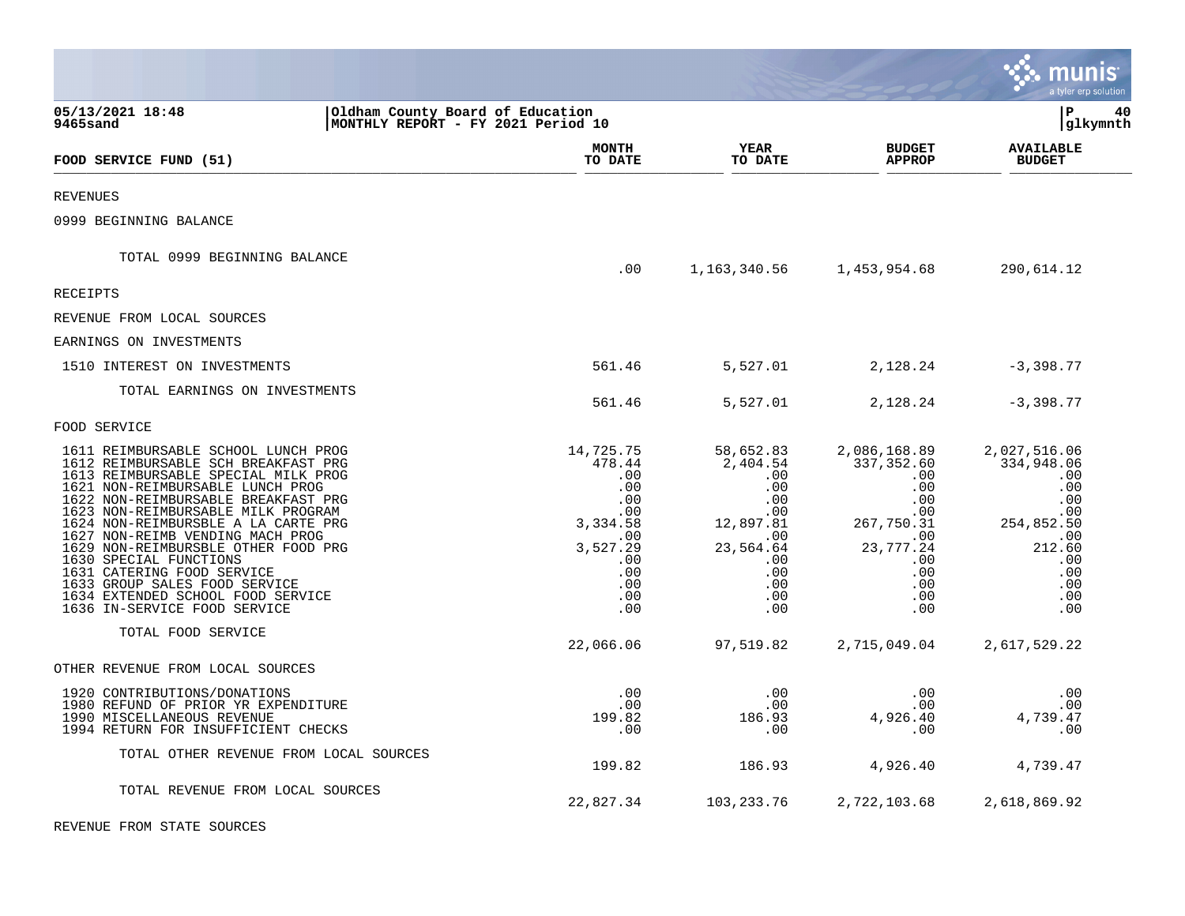|                                                                                                                                                                                                                                                                                                                                                                                                                                                                                    |                                                                        |                                                                                                            |                                                                                                                        |                                                                                                                                     | a tyler erp solution                                                                                              |
|------------------------------------------------------------------------------------------------------------------------------------------------------------------------------------------------------------------------------------------------------------------------------------------------------------------------------------------------------------------------------------------------------------------------------------------------------------------------------------|------------------------------------------------------------------------|------------------------------------------------------------------------------------------------------------|------------------------------------------------------------------------------------------------------------------------|-------------------------------------------------------------------------------------------------------------------------------------|-------------------------------------------------------------------------------------------------------------------|
| 05/13/2021 18:48<br>9465sand                                                                                                                                                                                                                                                                                                                                                                                                                                                       | Oldham County Board of Education<br>MONTHLY REPORT - FY 2021 Period 10 |                                                                                                            |                                                                                                                        |                                                                                                                                     | l P<br>40<br> glkymnth                                                                                            |
| FOOD SERVICE FUND (51)                                                                                                                                                                                                                                                                                                                                                                                                                                                             |                                                                        | MONTH<br>TO DATE                                                                                           | YEAR<br>TO DATE                                                                                                        | <b>BUDGET</b><br><b>APPROP</b>                                                                                                      | <b>AVAILABLE</b><br><b>BUDGET</b>                                                                                 |
| <b>REVENUES</b>                                                                                                                                                                                                                                                                                                                                                                                                                                                                    |                                                                        |                                                                                                            |                                                                                                                        |                                                                                                                                     |                                                                                                                   |
| 0999 BEGINNING BALANCE                                                                                                                                                                                                                                                                                                                                                                                                                                                             |                                                                        |                                                                                                            |                                                                                                                        |                                                                                                                                     |                                                                                                                   |
| TOTAL 0999 BEGINNING BALANCE                                                                                                                                                                                                                                                                                                                                                                                                                                                       |                                                                        | .00                                                                                                        |                                                                                                                        | 1, 163, 340. 56 1, 453, 954. 68                                                                                                     | 290,614.12                                                                                                        |
| RECEIPTS                                                                                                                                                                                                                                                                                                                                                                                                                                                                           |                                                                        |                                                                                                            |                                                                                                                        |                                                                                                                                     |                                                                                                                   |
| REVENUE FROM LOCAL SOURCES                                                                                                                                                                                                                                                                                                                                                                                                                                                         |                                                                        |                                                                                                            |                                                                                                                        |                                                                                                                                     |                                                                                                                   |
| EARNINGS ON INVESTMENTS                                                                                                                                                                                                                                                                                                                                                                                                                                                            |                                                                        |                                                                                                            |                                                                                                                        |                                                                                                                                     |                                                                                                                   |
| 1510 INTEREST ON INVESTMENTS                                                                                                                                                                                                                                                                                                                                                                                                                                                       |                                                                        | 561.46                                                                                                     | 5,527.01                                                                                                               | 2,128.24                                                                                                                            | $-3,398.77$                                                                                                       |
| TOTAL EARNINGS ON INVESTMENTS                                                                                                                                                                                                                                                                                                                                                                                                                                                      |                                                                        | 561.46                                                                                                     | 5,527.01                                                                                                               | 2,128.24                                                                                                                            | $-3,398.77$                                                                                                       |
| FOOD SERVICE                                                                                                                                                                                                                                                                                                                                                                                                                                                                       |                                                                        |                                                                                                            |                                                                                                                        |                                                                                                                                     |                                                                                                                   |
| 1611 REIMBURSABLE SCHOOL LUNCH PROG<br>1612 REIMBURSABLE SCH BREAKFAST PRG<br>1613 REIMBURSABLE SPECIAL MILK PROG<br>1621 NON-REIMBURSABLE LUNCH PROG<br>1622 NON-REIMBURSABLE BREAKFAST PRG<br>1623 NON-REIMBURSABLE MILK PROGRAM<br>1624 NON-REIMBURSBLE A LA CARTE PRG<br>1627 NON-REIMB VENDING MACH PROG<br>1629 NON-REIMBURSBLE OTHER FOOD PRG<br>1630 SPECIAL FUNCTIONS<br>1631 CATERING FOOD SERVICE<br>1633 GROUP SALES FOOD SERVICE<br>1634 EXTENDED SCHOOL FOOD SERVICE |                                                                        | 14,725.75<br>478.44<br>.00<br>.00<br>.00<br>.00<br>3,334.58<br>.00<br>3,527.29<br>.00<br>.00<br>.00<br>.00 | 58,652.83<br>2,404.54<br>.00<br>.00<br>.00<br>$.00 \ \rm$<br>12,897.81<br>.00<br>23,564.64<br>.00<br>.00<br>.00<br>.00 | 2,086,168.89<br>337,352.60<br>.00<br>.00<br>.00<br>$.00 \,$<br>267,750.31<br>$.00 \,$<br>23,777.24<br>.00<br>.00<br>$.00 \,$<br>.00 | 2,027,516.06<br>334,948.06<br>.00<br>.00<br>.00<br>.00<br>254,852.50<br>.00<br>212.60<br>.00<br>.00<br>.00<br>.00 |
| 1636 IN-SERVICE FOOD SERVICE<br>TOTAL FOOD SERVICE                                                                                                                                                                                                                                                                                                                                                                                                                                 |                                                                        | .00                                                                                                        | .00                                                                                                                    | .00                                                                                                                                 | .00                                                                                                               |
|                                                                                                                                                                                                                                                                                                                                                                                                                                                                                    |                                                                        | 22,066.06                                                                                                  | 97,519.82                                                                                                              | 2,715,049.04                                                                                                                        | 2,617,529.22                                                                                                      |
| OTHER REVENUE FROM LOCAL SOURCES                                                                                                                                                                                                                                                                                                                                                                                                                                                   |                                                                        |                                                                                                            |                                                                                                                        |                                                                                                                                     |                                                                                                                   |
| 1920 CONTRIBUTIONS/DONATIONS<br>1980 REFUND OF PRIOR YR EXPENDITURE<br>1990 MISCELLANEOUS REVENUE<br>1994 RETURN FOR INSUFFICIENT CHECKS                                                                                                                                                                                                                                                                                                                                           |                                                                        | .00<br>.00<br>199.82<br>.00                                                                                | .00<br>.00<br>186.93<br>.00                                                                                            | .00<br>.00<br>4,926.40<br>$.00 \,$                                                                                                  | .00<br>.00<br>4,739.47<br>.00                                                                                     |
| TOTAL OTHER REVENUE FROM LOCAL SOURCES                                                                                                                                                                                                                                                                                                                                                                                                                                             |                                                                        | 199.82                                                                                                     | 186.93                                                                                                                 | 4,926.40                                                                                                                            | 4,739.47                                                                                                          |
| TOTAL REVENUE FROM LOCAL SOURCES                                                                                                                                                                                                                                                                                                                                                                                                                                                   |                                                                        | 22,827.34                                                                                                  | 103,233.76                                                                                                             | 2,722,103.68                                                                                                                        | 2,618,869.92                                                                                                      |
| REVENUE FROM STATE SOURCES                                                                                                                                                                                                                                                                                                                                                                                                                                                         |                                                                        |                                                                                                            |                                                                                                                        |                                                                                                                                     |                                                                                                                   |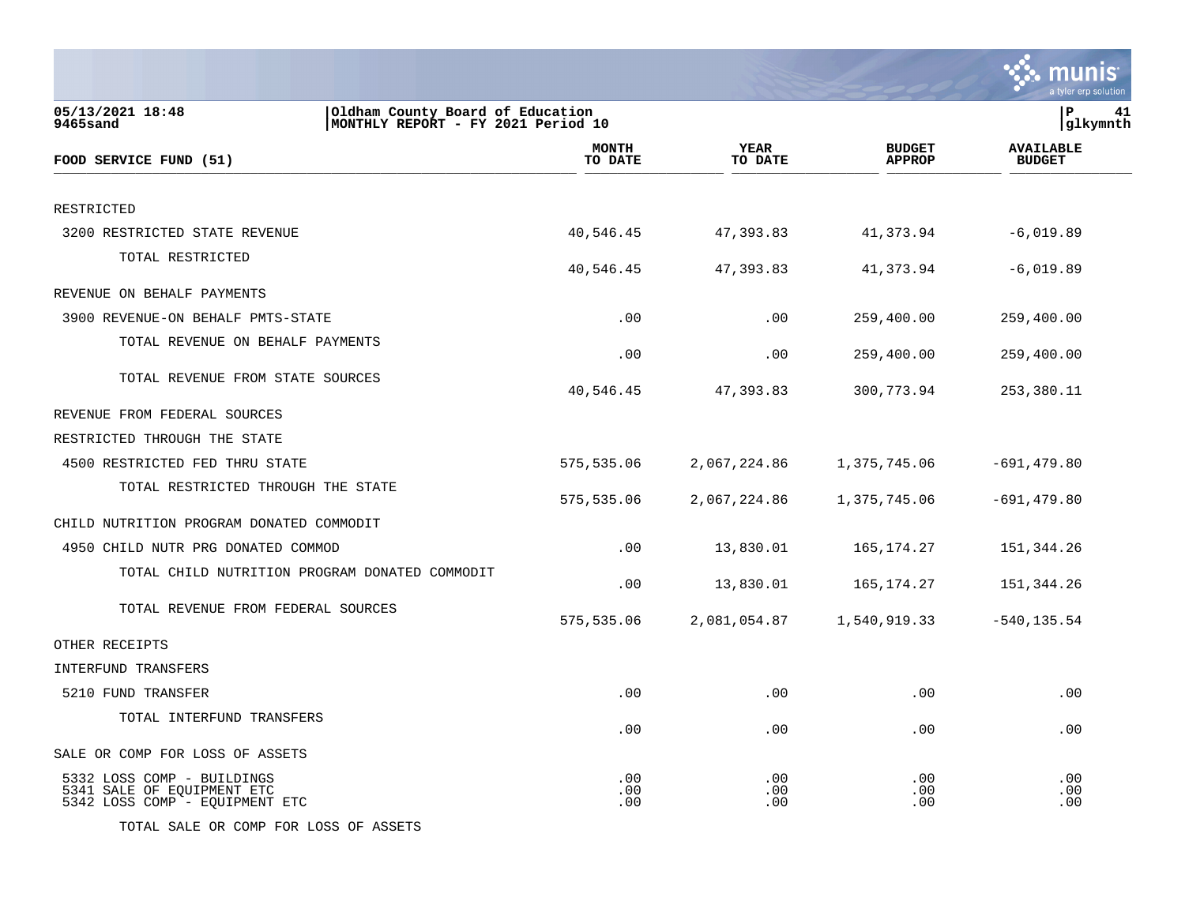|                                                                                                        |                         |                        |                                | a tyler erp solution              |
|--------------------------------------------------------------------------------------------------------|-------------------------|------------------------|--------------------------------|-----------------------------------|
| 05/13/2021 18:48<br>Oldham County Board of Education<br>9465sand<br>MONTHLY REPORT - FY 2021 Period 10 |                         |                        |                                | P<br>41<br>glkymnth               |
| FOOD SERVICE FUND (51)                                                                                 | <b>MONTH</b><br>TO DATE | <b>YEAR</b><br>TO DATE | <b>BUDGET</b><br><b>APPROP</b> | <b>AVAILABLE</b><br><b>BUDGET</b> |
| RESTRICTED                                                                                             |                         |                        |                                |                                   |
| 3200 RESTRICTED STATE REVENUE                                                                          | 40,546.45               | 47,393.83              | 41,373.94                      | $-6,019.89$                       |
| TOTAL RESTRICTED                                                                                       | 40,546.45               | 47,393.83              | 41,373.94                      | $-6,019.89$                       |
| REVENUE ON BEHALF PAYMENTS                                                                             |                         |                        |                                |                                   |
| 3900 REVENUE-ON BEHALF PMTS-STATE                                                                      | .00                     | .00                    | 259,400.00                     | 259,400.00                        |
| TOTAL REVENUE ON BEHALF PAYMENTS                                                                       | .00                     | .00                    | 259,400.00                     | 259,400.00                        |
| TOTAL REVENUE FROM STATE SOURCES                                                                       | 40,546.45               | 47,393.83              | 300,773.94                     | 253,380.11                        |
| REVENUE FROM FEDERAL SOURCES                                                                           |                         |                        |                                |                                   |
| RESTRICTED THROUGH THE STATE                                                                           |                         |                        |                                |                                   |
| 4500 RESTRICTED FED THRU STATE                                                                         | 575,535.06              | 2,067,224.86           | 1,375,745.06                   | $-691, 479.80$                    |
| TOTAL RESTRICTED THROUGH THE STATE                                                                     | 575,535.06              | 2,067,224.86           | 1,375,745.06                   | $-691, 479.80$                    |
| CHILD NUTRITION PROGRAM DONATED COMMODIT                                                               |                         |                        |                                |                                   |
| 4950 CHILD NUTR PRG DONATED COMMOD                                                                     | .00                     | 13,830.01              | 165,174.27                     | 151,344.26                        |
| TOTAL CHILD NUTRITION PROGRAM DONATED COMMODIT                                                         | .00                     | 13,830.01              | 165,174.27                     | 151,344.26                        |
| TOTAL REVENUE FROM FEDERAL SOURCES                                                                     | 575,535.06              | 2,081,054.87           | 1,540,919.33                   | $-540, 135.54$                    |
| OTHER RECEIPTS                                                                                         |                         |                        |                                |                                   |
| INTERFUND TRANSFERS                                                                                    |                         |                        |                                |                                   |
| 5210 FUND TRANSFER                                                                                     | .00                     | .00                    | .00                            | .00                               |
| TOTAL INTERFUND TRANSFERS                                                                              | .00                     | .00                    | .00                            | .00                               |
| SALE OR COMP FOR LOSS OF ASSETS                                                                        |                         |                        |                                |                                   |
| 5332 LOSS COMP - BUILDINGS<br>5341 SALE OF EQUIPMENT ETC<br>5342 LOSS COMP - EQUIPMENT ETC             | .00<br>.00<br>.00       | .00<br>.00<br>.00      | .00<br>.00<br>.00              | .00<br>.00<br>.00                 |

TOTAL SALE OR COMP FOR LOSS OF ASSETS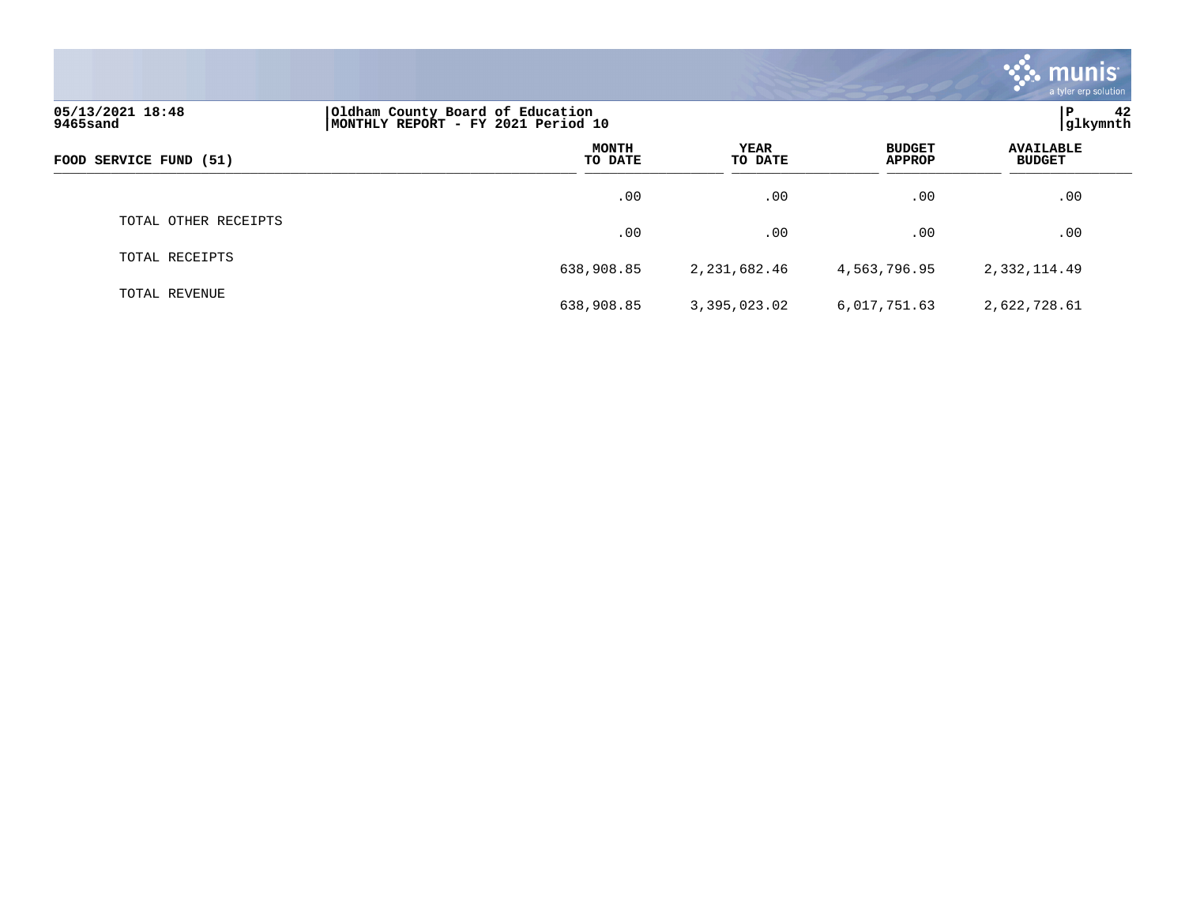|                              |                                                                        |                 |                                | <b>munis</b><br>a tyler erp solution |
|------------------------------|------------------------------------------------------------------------|-----------------|--------------------------------|--------------------------------------|
| 05/13/2021 18:48<br>9465sand | Oldham County Board of Education<br>MONTHLY REPORT - FY 2021 Period 10 |                 |                                | 42<br>P<br>glkymnth                  |
| FOOD SERVICE FUND (51)       | <b>MONTH</b><br>TO DATE                                                | YEAR<br>TO DATE | <b>BUDGET</b><br><b>APPROP</b> | <b>AVAILABLE</b><br><b>BUDGET</b>    |
|                              | .00                                                                    | .00             | .00                            | .00                                  |
| TOTAL OTHER RECEIPTS         | .00                                                                    | .00             | .00                            | .00                                  |
| TOTAL RECEIPTS               | 638,908.85                                                             | 2,231,682.46    | 4,563,796.95                   | 2,332,114.49                         |
| TOTAL REVENUE                | 638,908.85                                                             | 3,395,023.02    | 6,017,751.63                   | 2,622,728.61                         |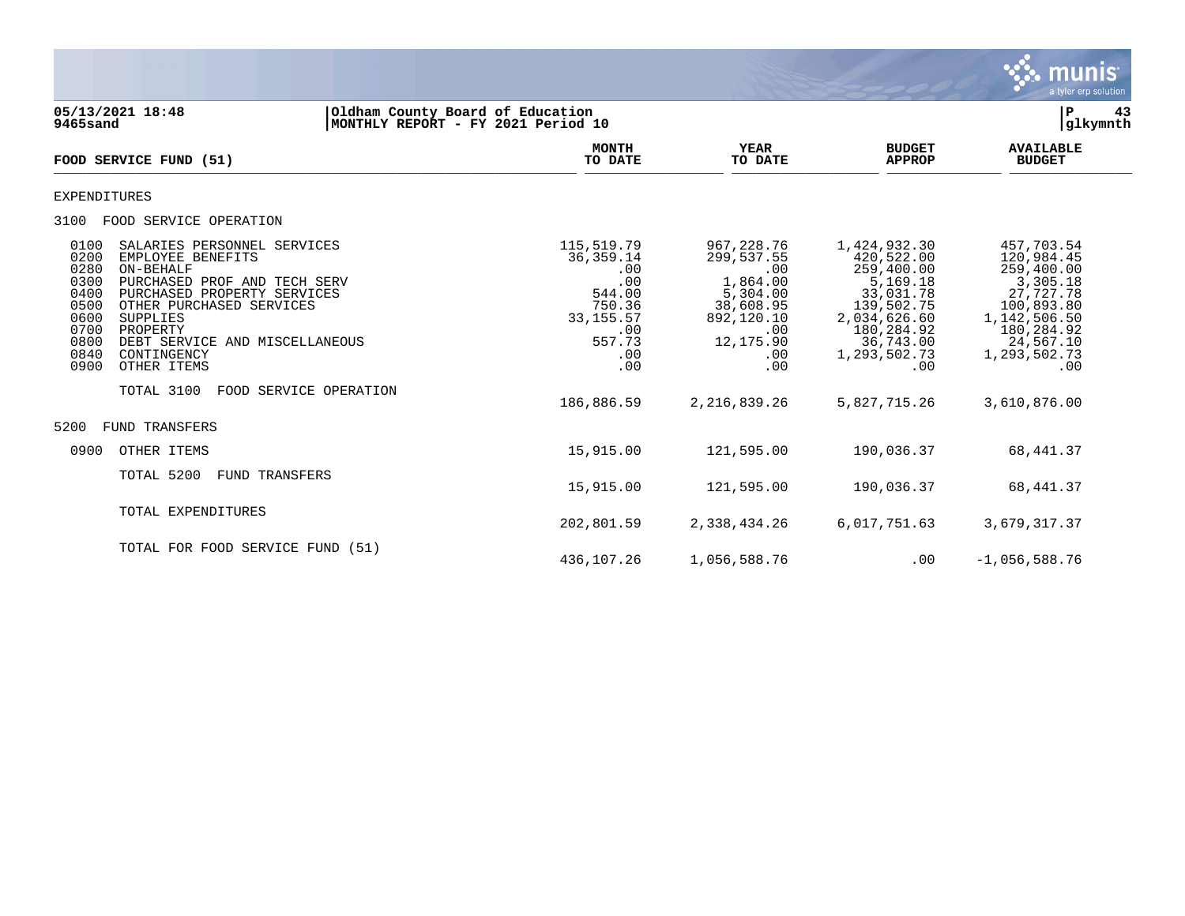

| 9465sand                                                                             | 05/13/2021 18:48                                                                                                                                                                                                                                 | Oldham County Board of Education<br> MONTHLY REPORT - FY 2021 Period 10 |                                                                                                           |                                                                                                                      |                                                                                                                                                   | ${\bf P}$<br>glkymnth                                                                                                                           | 43 |
|--------------------------------------------------------------------------------------|--------------------------------------------------------------------------------------------------------------------------------------------------------------------------------------------------------------------------------------------------|-------------------------------------------------------------------------|-----------------------------------------------------------------------------------------------------------|----------------------------------------------------------------------------------------------------------------------|---------------------------------------------------------------------------------------------------------------------------------------------------|-------------------------------------------------------------------------------------------------------------------------------------------------|----|
|                                                                                      | FOOD SERVICE FUND (51)                                                                                                                                                                                                                           |                                                                         | <b>MONTH</b><br>TO DATE                                                                                   | <b>YEAR</b><br>TO DATE                                                                                               | <b>BUDGET</b><br><b>APPROP</b>                                                                                                                    | <b>AVAILABLE</b><br><b>BUDGET</b>                                                                                                               |    |
| EXPENDITURES                                                                         |                                                                                                                                                                                                                                                  |                                                                         |                                                                                                           |                                                                                                                      |                                                                                                                                                   |                                                                                                                                                 |    |
| 3100                                                                                 | FOOD SERVICE OPERATION                                                                                                                                                                                                                           |                                                                         |                                                                                                           |                                                                                                                      |                                                                                                                                                   |                                                                                                                                                 |    |
| 0100<br>0200<br>0280<br>0300<br>0400<br>0500<br>0600<br>0700<br>0800<br>0840<br>0900 | SALARIES PERSONNEL SERVICES<br>EMPLOYEE BENEFITS<br>ON-BEHALF<br>PURCHASED PROF AND TECH SERV<br>PURCHASED PROPERTY SERVICES<br>OTHER PURCHASED SERVICES<br>SUPPLIES<br>PROPERTY<br>DEBT SERVICE AND MISCELLANEOUS<br>CONTINGENCY<br>OTHER ITEMS |                                                                         | 115,519.79<br>36, 359. 14<br>.00<br>.00<br>544.00<br>750.36<br>33, 155. 57<br>.00<br>557.73<br>.00<br>.00 | 967,228.76<br>299,537.55<br>.00<br>1,864.00<br>5,304.00<br>38,608.95<br>892,120.10<br>.00<br>12,175.90<br>.00<br>.00 | 1,424,932.30<br>420,522.00<br>259,400.00<br>5,169.18<br>33,031.78<br>139,502.75<br>2,034,626.60<br>180,284.92<br>36,743.00<br>1,293,502.73<br>.00 | 457,703.54<br>120,984.45<br>259,400.00<br>3,305.18<br>27,727.78<br>100,893.80<br>1,142,506.50<br>180,284.92<br>24,567.10<br>1,293,502.73<br>.00 |    |
|                                                                                      | TOTAL 3100                                                                                                                                                                                                                                       | FOOD SERVICE OPERATION                                                  | 186,886.59                                                                                                | 2, 216, 839. 26                                                                                                      | 5,827,715.26                                                                                                                                      | 3,610,876.00                                                                                                                                    |    |
| 5200                                                                                 | FUND TRANSFERS                                                                                                                                                                                                                                   |                                                                         |                                                                                                           |                                                                                                                      |                                                                                                                                                   |                                                                                                                                                 |    |
| 0900                                                                                 | OTHER ITEMS                                                                                                                                                                                                                                      |                                                                         | 15,915.00                                                                                                 | 121,595.00                                                                                                           | 190,036.37                                                                                                                                        | 68,441.37                                                                                                                                       |    |
|                                                                                      | TOTAL 5200<br>FUND TRANSFERS                                                                                                                                                                                                                     |                                                                         | 15,915.00                                                                                                 | 121,595.00                                                                                                           | 190,036.37                                                                                                                                        | 68,441.37                                                                                                                                       |    |
|                                                                                      | TOTAL EXPENDITURES                                                                                                                                                                                                                               |                                                                         | 202,801.59                                                                                                | 2,338,434.26                                                                                                         | 6,017,751.63                                                                                                                                      | 3,679,317.37                                                                                                                                    |    |
|                                                                                      | TOTAL FOR FOOD SERVICE FUND (51)                                                                                                                                                                                                                 |                                                                         | 436,107.26                                                                                                | 1,056,588.76                                                                                                         | .00                                                                                                                                               | $-1,056,588.76$                                                                                                                                 |    |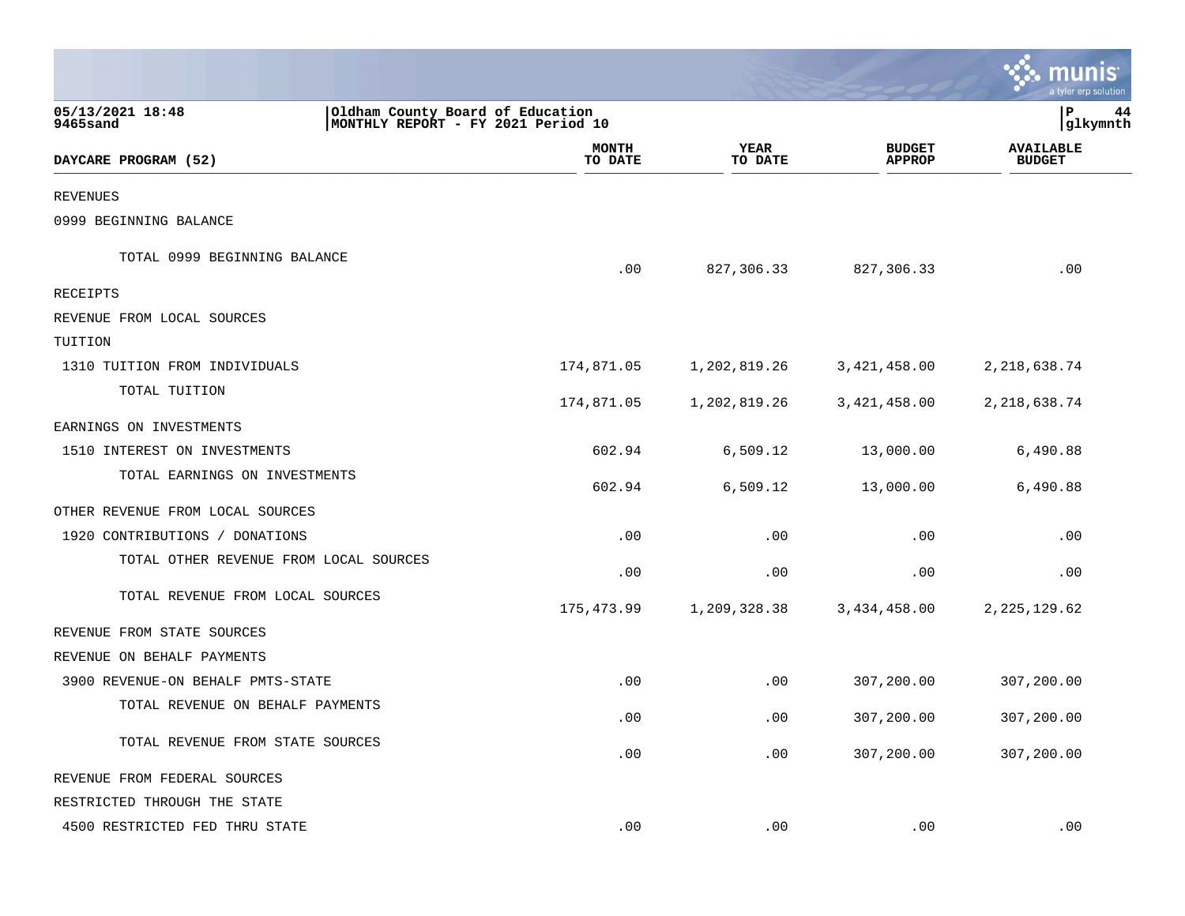|                                        |                                                                        |                         |                        |                                | tyler erp solutior                |
|----------------------------------------|------------------------------------------------------------------------|-------------------------|------------------------|--------------------------------|-----------------------------------|
| 05/13/2021 18:48<br>9465sand           | Oldham County Board of Education<br>MONTHLY REPORT - FY 2021 Period 10 |                         |                        |                                | ΙP<br>44<br> glkymnth             |
| DAYCARE PROGRAM (52)                   |                                                                        | <b>MONTH</b><br>TO DATE | <b>YEAR</b><br>TO DATE | <b>BUDGET</b><br><b>APPROP</b> | <b>AVAILABLE</b><br><b>BUDGET</b> |
| <b>REVENUES</b>                        |                                                                        |                         |                        |                                |                                   |
| 0999 BEGINNING BALANCE                 |                                                                        |                         |                        |                                |                                   |
| TOTAL 0999 BEGINNING BALANCE           |                                                                        | .00                     | 827,306.33             | 827,306.33                     | .00                               |
| <b>RECEIPTS</b>                        |                                                                        |                         |                        |                                |                                   |
| REVENUE FROM LOCAL SOURCES             |                                                                        |                         |                        |                                |                                   |
| TUITION                                |                                                                        |                         |                        |                                |                                   |
| 1310 TUITION FROM INDIVIDUALS          |                                                                        | 174,871.05              | 1,202,819.26           | 3,421,458.00                   | 2,218,638.74                      |
| TOTAL TUITION                          |                                                                        | 174,871.05              | 1,202,819.26           | 3,421,458.00                   | 2, 218, 638.74                    |
| EARNINGS ON INVESTMENTS                |                                                                        |                         |                        |                                |                                   |
| 1510 INTEREST ON INVESTMENTS           |                                                                        | 602.94                  | 6,509.12               | 13,000.00                      | 6,490.88                          |
| TOTAL EARNINGS ON INVESTMENTS          |                                                                        | 602.94                  | 6,509.12               | 13,000.00                      | 6,490.88                          |
| OTHER REVENUE FROM LOCAL SOURCES       |                                                                        |                         |                        |                                |                                   |
| 1920 CONTRIBUTIONS / DONATIONS         |                                                                        | .00                     | .00                    | .00                            | .00                               |
| TOTAL OTHER REVENUE FROM LOCAL SOURCES |                                                                        | .00                     | .00                    | .00                            | .00                               |
| TOTAL REVENUE FROM LOCAL SOURCES       |                                                                        | 175,473.99              | 1,209,328.38           | 3,434,458.00                   | 2, 225, 129.62                    |
| REVENUE FROM STATE SOURCES             |                                                                        |                         |                        |                                |                                   |
| REVENUE ON BEHALF PAYMENTS             |                                                                        |                         |                        |                                |                                   |
| 3900 REVENUE-ON BEHALF PMTS-STATE      |                                                                        | .00                     | .00                    | 307,200.00                     | 307,200.00                        |
| TOTAL REVENUE ON BEHALF PAYMENTS       |                                                                        | .00                     | .00                    | 307,200.00                     | 307,200.00                        |
| TOTAL REVENUE FROM STATE SOURCES       |                                                                        | .00                     | .00                    | 307,200.00                     | 307,200.00                        |
| REVENUE FROM FEDERAL SOURCES           |                                                                        |                         |                        |                                |                                   |
| RESTRICTED THROUGH THE STATE           |                                                                        |                         |                        |                                |                                   |
| 4500 RESTRICTED FED THRU STATE         |                                                                        | .00                     | .00                    | .00                            | .00                               |

 $\mathcal{L}^{\text{max}}$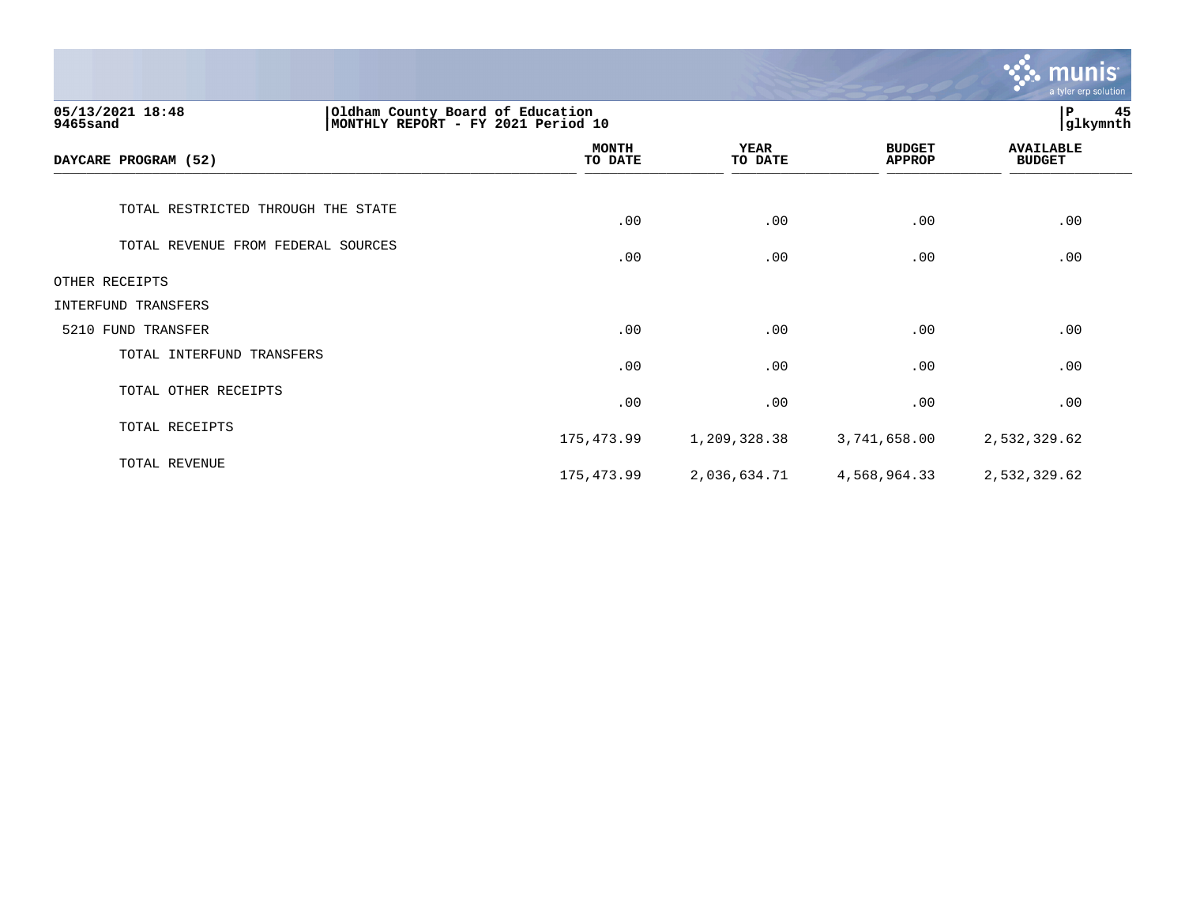|                                                                                                        |                         |                        |                                | munis<br>a tyler erp solution     |
|--------------------------------------------------------------------------------------------------------|-------------------------|------------------------|--------------------------------|-----------------------------------|
| 05/13/2021 18:48<br>Oldham County Board of Education<br>MONTHLY REPORT - FY 2021 Period 10<br>9465sand |                         |                        |                                | 45<br>${\bf P}$<br>glkymnth       |
| DAYCARE PROGRAM (52)                                                                                   | <b>MONTH</b><br>TO DATE | <b>YEAR</b><br>TO DATE | <b>BUDGET</b><br><b>APPROP</b> | <b>AVAILABLE</b><br><b>BUDGET</b> |
| TOTAL RESTRICTED THROUGH THE STATE                                                                     | .00                     | .00                    | .00                            | .00                               |
| TOTAL REVENUE FROM FEDERAL SOURCES                                                                     | .00                     | .00                    | .00                            | .00                               |
| OTHER RECEIPTS                                                                                         |                         |                        |                                |                                   |
| INTERFUND TRANSFERS                                                                                    |                         |                        |                                |                                   |
| 5210 FUND TRANSFER                                                                                     | .00                     | .00                    | .00                            | .00                               |
| TOTAL INTERFUND TRANSFERS                                                                              | .00                     | .00                    | .00                            | .00                               |
| TOTAL OTHER RECEIPTS                                                                                   | .00                     | .00                    | .00                            | .00                               |
| TOTAL RECEIPTS                                                                                         | 175,473.99              | 1,209,328.38           | 3,741,658.00                   | 2,532,329.62                      |
| TOTAL REVENUE                                                                                          | 175,473.99              | 2,036,634.71           | 4,568,964.33                   | 2,532,329.62                      |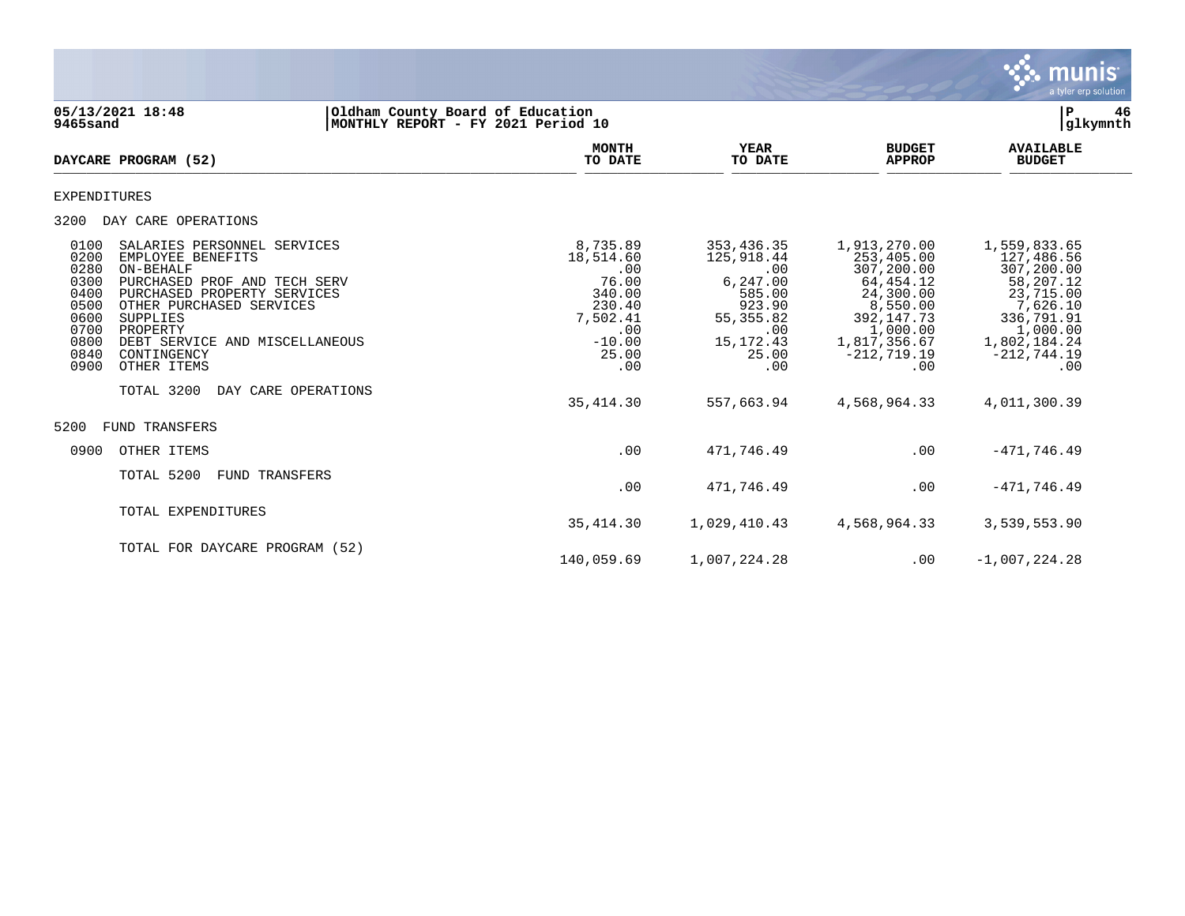

| 05/13/2021 18:48<br>9465sand                                                                                                                                                               | Oldham County Board of Education<br>MONTHLY REPORT - FY 2021 Period 10                                                                                                          |                                                                                                          |                                                                                                                     |                                                                                                                                                  | P<br>glkymnth                                                                                                                                    | 46 |
|--------------------------------------------------------------------------------------------------------------------------------------------------------------------------------------------|---------------------------------------------------------------------------------------------------------------------------------------------------------------------------------|----------------------------------------------------------------------------------------------------------|---------------------------------------------------------------------------------------------------------------------|--------------------------------------------------------------------------------------------------------------------------------------------------|--------------------------------------------------------------------------------------------------------------------------------------------------|----|
| DAYCARE PROGRAM (52)                                                                                                                                                                       |                                                                                                                                                                                 | <b>MONTH</b><br>TO DATE                                                                                  | <b>YEAR</b><br>TO DATE                                                                                              | <b>BUDGET</b><br><b>APPROP</b>                                                                                                                   | <b>AVAILABLE</b><br><b>BUDGET</b>                                                                                                                |    |
| EXPENDITURES                                                                                                                                                                               |                                                                                                                                                                                 |                                                                                                          |                                                                                                                     |                                                                                                                                                  |                                                                                                                                                  |    |
| 3200<br>DAY CARE OPERATIONS                                                                                                                                                                |                                                                                                                                                                                 |                                                                                                          |                                                                                                                     |                                                                                                                                                  |                                                                                                                                                  |    |
| 0100<br>0200<br>EMPLOYEE BENEFITS<br>0280<br>ON-BEHALF<br>0300<br>0400<br>0500<br>0600<br>SUPPLIES<br>0700<br>PROPERTY<br>0800<br>0840<br>CONTINGENCY<br>0900<br>OTHER ITEMS<br>TOTAL 3200 | SALARIES PERSONNEL SERVICES<br>PURCHASED PROF AND TECH SERV<br>PURCHASED PROPERTY SERVICES<br>OTHER PURCHASED SERVICES<br>DEBT SERVICE AND MISCELLANEOUS<br>DAY CARE OPERATIONS | 8,735.89<br>18,514.60<br>.00<br>76.00<br>340.00<br>230.40<br>7,502.41<br>.00<br>$-10.00$<br>25.00<br>.00 | 353,436.35<br>125,918.44<br>.00<br>6,247.00<br>585.00<br>923.90<br>55, 355.82<br>.00<br>15, 172. 43<br>25.00<br>.00 | 1,913,270.00<br>253,405.00<br>307,200.00<br>64,454.12<br>24,300.00<br>8,550.00<br>392,147.73<br>1,000.00<br>1,817,356.67<br>$-212,719.19$<br>.00 | 1,559,833.65<br>127,486.56<br>307,200.00<br>58,207.12<br>23,715.00<br>7,626.10<br>336,791.91<br>1,000.00<br>1,802,184.24<br>$-212,744.19$<br>.00 |    |
|                                                                                                                                                                                            |                                                                                                                                                                                 | 35,414.30                                                                                                | 557,663.94                                                                                                          | 4,568,964.33                                                                                                                                     | 4,011,300.39                                                                                                                                     |    |
| 5200<br><b>FUND TRANSFERS</b>                                                                                                                                                              |                                                                                                                                                                                 |                                                                                                          |                                                                                                                     |                                                                                                                                                  |                                                                                                                                                  |    |
| 0900<br>OTHER ITEMS                                                                                                                                                                        |                                                                                                                                                                                 | .00                                                                                                      | 471,746.49                                                                                                          | .00                                                                                                                                              | $-471,746.49$                                                                                                                                    |    |
| TOTAL 5200                                                                                                                                                                                 | <b>FUND TRANSFERS</b>                                                                                                                                                           | .00                                                                                                      | 471,746.49                                                                                                          | .00                                                                                                                                              | $-471,746.49$                                                                                                                                    |    |
|                                                                                                                                                                                            | TOTAL EXPENDITURES                                                                                                                                                              | 35,414.30                                                                                                | 1,029,410.43                                                                                                        | 4,568,964.33                                                                                                                                     | 3,539,553.90                                                                                                                                     |    |
|                                                                                                                                                                                            | TOTAL FOR DAYCARE PROGRAM (52)                                                                                                                                                  | 140,059.69                                                                                               | 1,007,224.28                                                                                                        | .00                                                                                                                                              | $-1,007,224.28$                                                                                                                                  |    |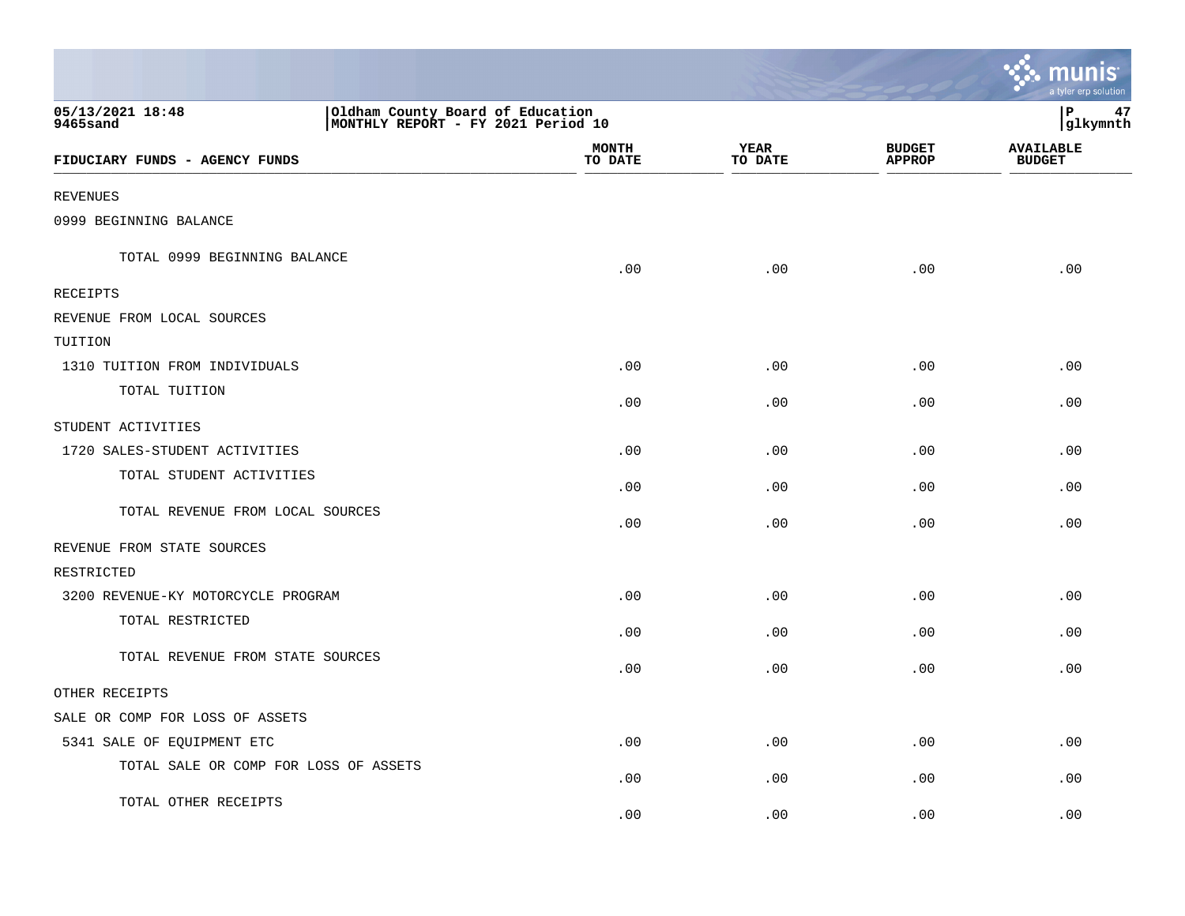|                                       |                                                                        |                         |                        |                                | nıs<br>m<br>a tyler erp solution  |
|---------------------------------------|------------------------------------------------------------------------|-------------------------|------------------------|--------------------------------|-----------------------------------|
| 05/13/2021 18:48<br>9465sand          | Oldham County Board of Education<br>MONTHLY REPORT - FY 2021 Period 10 |                         |                        |                                | P<br>47<br>glkymnth               |
| FIDUCIARY FUNDS - AGENCY FUNDS        |                                                                        | <b>MONTH</b><br>TO DATE | <b>YEAR</b><br>TO DATE | <b>BUDGET</b><br><b>APPROP</b> | <b>AVAILABLE</b><br><b>BUDGET</b> |
| <b>REVENUES</b>                       |                                                                        |                         |                        |                                |                                   |
| 0999 BEGINNING BALANCE                |                                                                        |                         |                        |                                |                                   |
| TOTAL 0999 BEGINNING BALANCE          |                                                                        | .00                     | .00                    | .00                            | .00                               |
| <b>RECEIPTS</b>                       |                                                                        |                         |                        |                                |                                   |
| REVENUE FROM LOCAL SOURCES            |                                                                        |                         |                        |                                |                                   |
| TUITION                               |                                                                        |                         |                        |                                |                                   |
| 1310 TUITION FROM INDIVIDUALS         |                                                                        | .00                     | .00                    | .00                            | .00                               |
| TOTAL TUITION                         |                                                                        | .00                     | .00                    | .00                            | .00                               |
| STUDENT ACTIVITIES                    |                                                                        |                         |                        |                                |                                   |
| 1720 SALES-STUDENT ACTIVITIES         |                                                                        | .00                     | .00                    | .00                            | .00                               |
| TOTAL STUDENT ACTIVITIES              |                                                                        | .00                     | .00                    | .00                            | .00                               |
| TOTAL REVENUE FROM LOCAL SOURCES      |                                                                        | .00                     | .00                    | .00                            | .00                               |
| REVENUE FROM STATE SOURCES            |                                                                        |                         |                        |                                |                                   |
| RESTRICTED                            |                                                                        |                         |                        |                                |                                   |
| 3200 REVENUE-KY MOTORCYCLE PROGRAM    |                                                                        | .00                     | .00                    | .00                            | .00                               |
| TOTAL RESTRICTED                      |                                                                        | .00                     | .00                    | .00                            | .00                               |
| TOTAL REVENUE FROM STATE SOURCES      |                                                                        | .00                     | .00                    | .00                            | .00                               |
| OTHER RECEIPTS                        |                                                                        |                         |                        |                                |                                   |
| SALE OR COMP FOR LOSS OF ASSETS       |                                                                        |                         |                        |                                |                                   |
| 5341 SALE OF EQUIPMENT ETC            |                                                                        | .00                     | .00                    | .00                            | .00                               |
| TOTAL SALE OR COMP FOR LOSS OF ASSETS |                                                                        | .00                     | .00                    | .00                            | .00                               |
| TOTAL OTHER RECEIPTS                  |                                                                        | .00                     | .00                    | .00                            | .00                               |

**The State**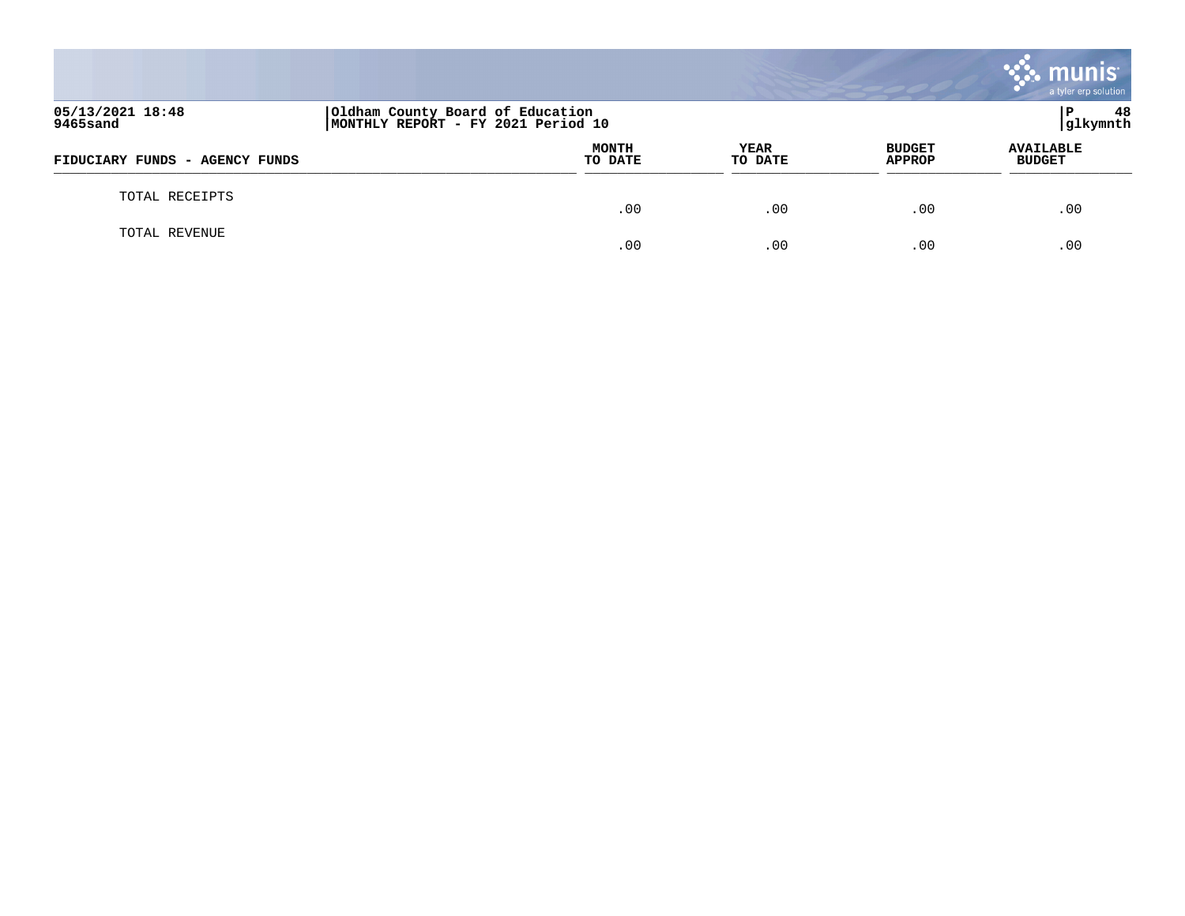|                                |                                                                        |                 |                                | munis<br>a tyler erp solution     |
|--------------------------------|------------------------------------------------------------------------|-----------------|--------------------------------|-----------------------------------|
| 05/13/2021 18:48<br>9465sand   | Oldham County Board of Education<br>MONTHLY REPORT - FY 2021 Period 10 |                 |                                | 48<br>l P<br>glkymnth             |
| FIDUCIARY FUNDS - AGENCY FUNDS | <b>MONTH</b><br>TO DATE                                                | YEAR<br>TO DATE | <b>BUDGET</b><br><b>APPROP</b> | <b>AVAILABLE</b><br><b>BUDGET</b> |
| TOTAL RECEIPTS                 | .00                                                                    | .00             | .00                            | .00                               |
| TOTAL REVENUE                  | .00                                                                    | .00             | .00                            | .00                               |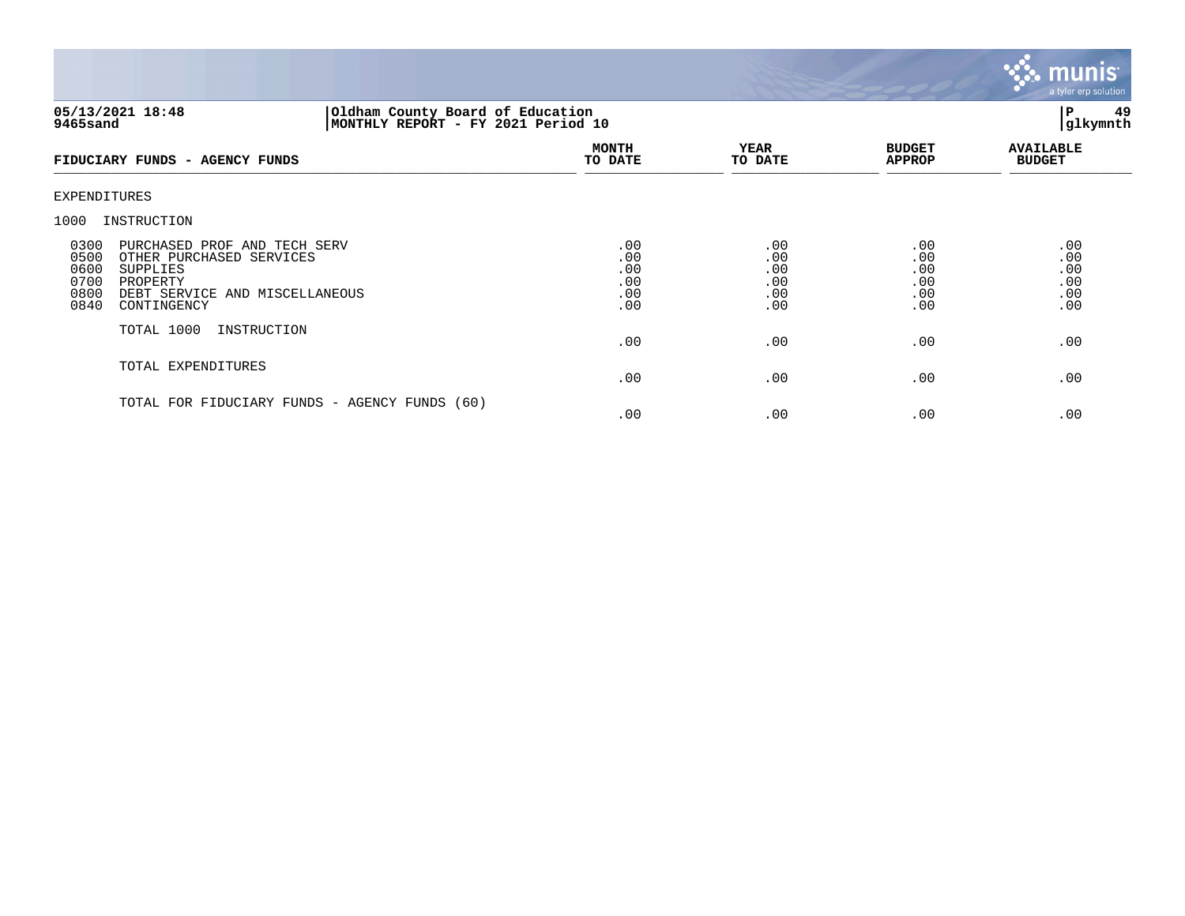

## **05/13/2021 18:48 |Oldham County Board of Education |P 49 9465sand |MONTHLY REPORT - FY 2021 Period 10 |glkymnth**

| FIDUCIARY FUNDS - AGENCY FUNDS                                                                                                                                                    | <b>MONTH</b><br>TO DATE                | <b>YEAR</b><br>TO DATE                 | <b>BUDGET</b><br><b>APPROP</b>         | <b>AVAILABLE</b><br><b>BUDGET</b>      |
|-----------------------------------------------------------------------------------------------------------------------------------------------------------------------------------|----------------------------------------|----------------------------------------|----------------------------------------|----------------------------------------|
| EXPENDITURES                                                                                                                                                                      |                                        |                                        |                                        |                                        |
| INSTRUCTION<br>1000                                                                                                                                                               |                                        |                                        |                                        |                                        |
| 0300<br>PURCHASED PROF AND TECH SERV<br>0500<br>OTHER PURCHASED SERVICES<br>0600<br>SUPPLIES<br>0700<br>PROPERTY<br>0800<br>DEBT SERVICE AND MISCELLANEOUS<br>0840<br>CONTINGENCY | .00<br>.00<br>.00<br>.00<br>.00<br>.00 | .00<br>.00<br>.00<br>.00<br>.00<br>.00 | .00<br>.00<br>.00<br>.00<br>.00<br>.00 | .00<br>.00<br>.00<br>.00<br>.00<br>.00 |
| TOTAL 1000<br>INSTRUCTION                                                                                                                                                         | .00                                    | .00                                    | .00                                    | .00                                    |
| TOTAL EXPENDITURES                                                                                                                                                                | .00                                    | .00                                    | .00                                    | .00                                    |
| TOTAL FOR FIDUCIARY FUNDS - AGENCY FUNDS (60)                                                                                                                                     | .00                                    | .00                                    | .00                                    | .00                                    |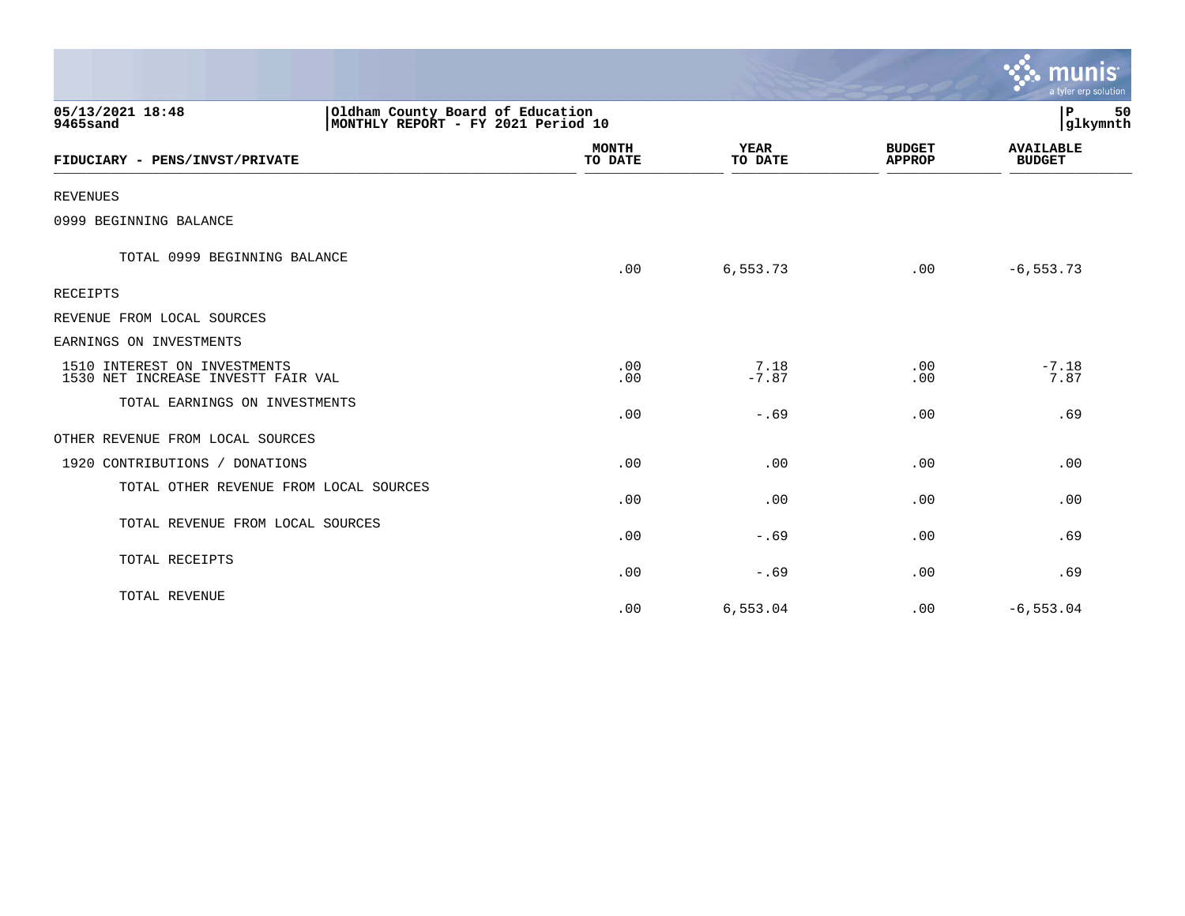|                                                                    |                                                                        |                         |                        |                                | $\mathbf{C}$ munis<br>a tyler erp solution |
|--------------------------------------------------------------------|------------------------------------------------------------------------|-------------------------|------------------------|--------------------------------|--------------------------------------------|
| 05/13/2021 18:48<br>9465sand                                       | Oldham County Board of Education<br>MONTHLY REPORT - FY 2021 Period 10 |                         |                        |                                | l P<br>50<br> glkymnth                     |
| FIDUCIARY - PENS/INVST/PRIVATE                                     |                                                                        | <b>MONTH</b><br>TO DATE | <b>YEAR</b><br>TO DATE | <b>BUDGET</b><br><b>APPROP</b> | <b>AVAILABLE</b><br><b>BUDGET</b>          |
| <b>REVENUES</b>                                                    |                                                                        |                         |                        |                                |                                            |
| 0999 BEGINNING BALANCE                                             |                                                                        |                         |                        |                                |                                            |
| TOTAL 0999 BEGINNING BALANCE                                       |                                                                        | .00                     | 6,553.73               | .00                            | $-6, 553.73$                               |
| <b>RECEIPTS</b>                                                    |                                                                        |                         |                        |                                |                                            |
| REVENUE FROM LOCAL SOURCES                                         |                                                                        |                         |                        |                                |                                            |
| EARNINGS ON INVESTMENTS                                            |                                                                        |                         |                        |                                |                                            |
| 1510 INTEREST ON INVESTMENTS<br>1530 NET INCREASE INVESTT FAIR VAL |                                                                        | .00<br>.00              | 7.18<br>$-7.87$        | .00<br>.00                     | $-7.18$<br>7.87                            |
| TOTAL EARNINGS ON INVESTMENTS                                      |                                                                        | .00                     | $-.69$                 | .00                            | .69                                        |
| OTHER REVENUE FROM LOCAL SOURCES                                   |                                                                        |                         |                        |                                |                                            |
| 1920 CONTRIBUTIONS / DONATIONS                                     |                                                                        | .00                     | .00                    | .00                            | .00                                        |
| TOTAL OTHER REVENUE FROM LOCAL SOURCES                             |                                                                        | .00                     | .00                    | .00                            | .00                                        |
| TOTAL REVENUE FROM LOCAL SOURCES                                   |                                                                        | .00                     | $-.69$                 | .00                            | .69                                        |
| TOTAL RECEIPTS                                                     |                                                                        | .00                     | $-.69$                 | .00                            | .69                                        |
| TOTAL REVENUE                                                      |                                                                        | .00                     | 6,553.04               | .00                            | $-6, 553.04$                               |

 $\sim$   $\sim$   $\sim$   $\sim$   $\sim$   $\sim$   $\sim$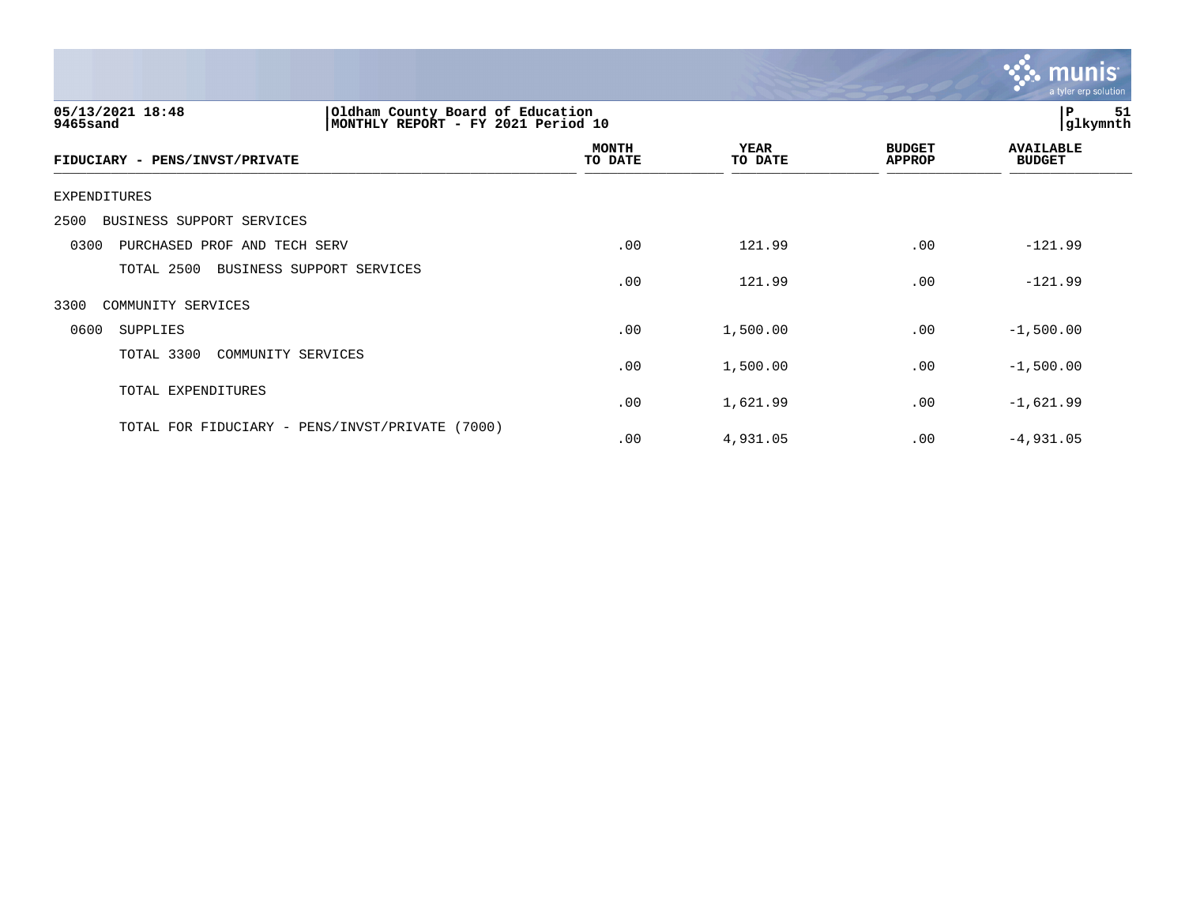

| 05/13/2021 18:48<br>Oldham County Board of Education<br>9465sand<br>MONTHLY REPORT - FY | 2021 Period 10          |                        | 51<br>P<br>glkymnth            |                                   |
|-----------------------------------------------------------------------------------------|-------------------------|------------------------|--------------------------------|-----------------------------------|
| FIDUCIARY - PENS/INVST/PRIVATE                                                          | <b>MONTH</b><br>TO DATE | <b>YEAR</b><br>TO DATE | <b>BUDGET</b><br><b>APPROP</b> | <b>AVAILABLE</b><br><b>BUDGET</b> |
| EXPENDITURES                                                                            |                         |                        |                                |                                   |
| 2500<br>BUSINESS SUPPORT SERVICES                                                       |                         |                        |                                |                                   |
| 0300<br>PURCHASED PROF AND TECH SERV                                                    | .00                     | 121.99                 | .00                            | $-121.99$                         |
| TOTAL 2500<br>BUSINESS SUPPORT SERVICES                                                 | .00                     | 121.99                 | .00                            | $-121.99$                         |
| 3300<br>COMMUNITY SERVICES                                                              |                         |                        |                                |                                   |
| 0600<br>SUPPLIES                                                                        | .00                     | 1,500.00               | .00                            | $-1,500.00$                       |
| TOTAL 3300<br>COMMUNITY SERVICES                                                        | .00                     | 1,500.00               | .00                            | $-1,500.00$                       |
| TOTAL EXPENDITURES                                                                      | .00                     | 1,621.99               | .00                            | $-1,621.99$                       |
| TOTAL FOR FIDUCIARY - PENS/INVST/PRIVATE<br>(7000)                                      | .00                     | 4,931.05               | .00                            | $-4,931.05$                       |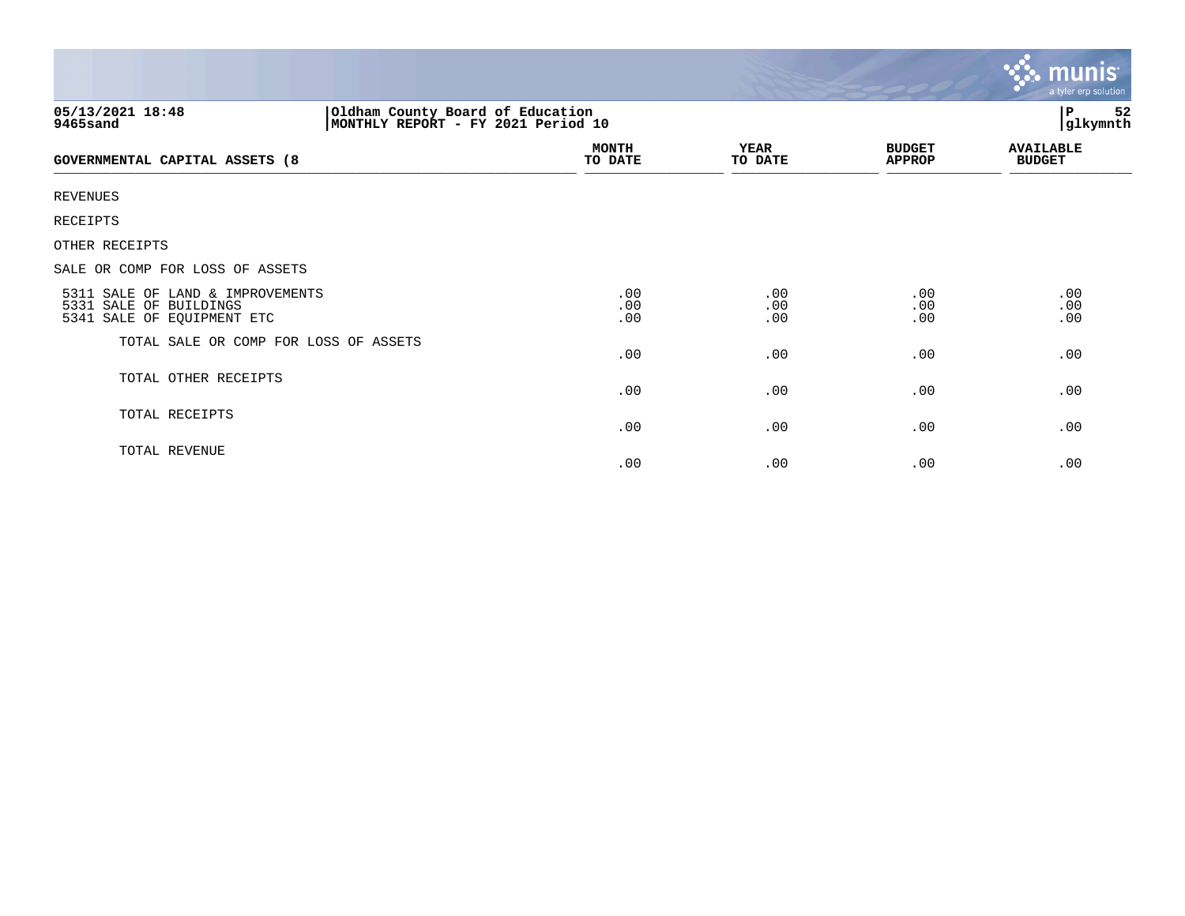|                                                                                                         |                         |                        |                                | <b>munis</b><br>a tyler erp solution |  |
|---------------------------------------------------------------------------------------------------------|-------------------------|------------------------|--------------------------------|--------------------------------------|--|
| Oldham County Board of Education<br> MONTHLY REPORT - FY 2021 Period 10<br>05/13/2021 18:48<br>9465sand |                         |                        |                                | 52<br>P<br>glkymnth                  |  |
| GOVERNMENTAL CAPITAL ASSETS (8                                                                          | <b>MONTH</b><br>TO DATE | <b>YEAR</b><br>TO DATE | <b>BUDGET</b><br><b>APPROP</b> | <b>AVAILABLE</b><br><b>BUDGET</b>    |  |
| <b>REVENUES</b>                                                                                         |                         |                        |                                |                                      |  |
| <b>RECEIPTS</b>                                                                                         |                         |                        |                                |                                      |  |
| OTHER RECEIPTS                                                                                          |                         |                        |                                |                                      |  |
| SALE OR COMP FOR LOSS OF ASSETS                                                                         |                         |                        |                                |                                      |  |
| 5311 SALE OF LAND & IMPROVEMENTS<br>5331 SALE OF BUILDINGS<br>5341 SALE OF EQUIPMENT ETC                | .00<br>.00<br>.00       | .00<br>.00<br>.00      | .00<br>.00<br>.00              | .00<br>.00<br>.00                    |  |
| TOTAL SALE OR COMP FOR LOSS OF ASSETS                                                                   | .00                     | .00                    | .00                            | .00                                  |  |
| TOTAL OTHER RECEIPTS                                                                                    | .00                     | .00                    | .00                            | .00                                  |  |
| TOTAL RECEIPTS                                                                                          | .00                     | .00                    | .00                            | .00                                  |  |
| TOTAL REVENUE                                                                                           | .00                     | .00                    | .00                            | .00                                  |  |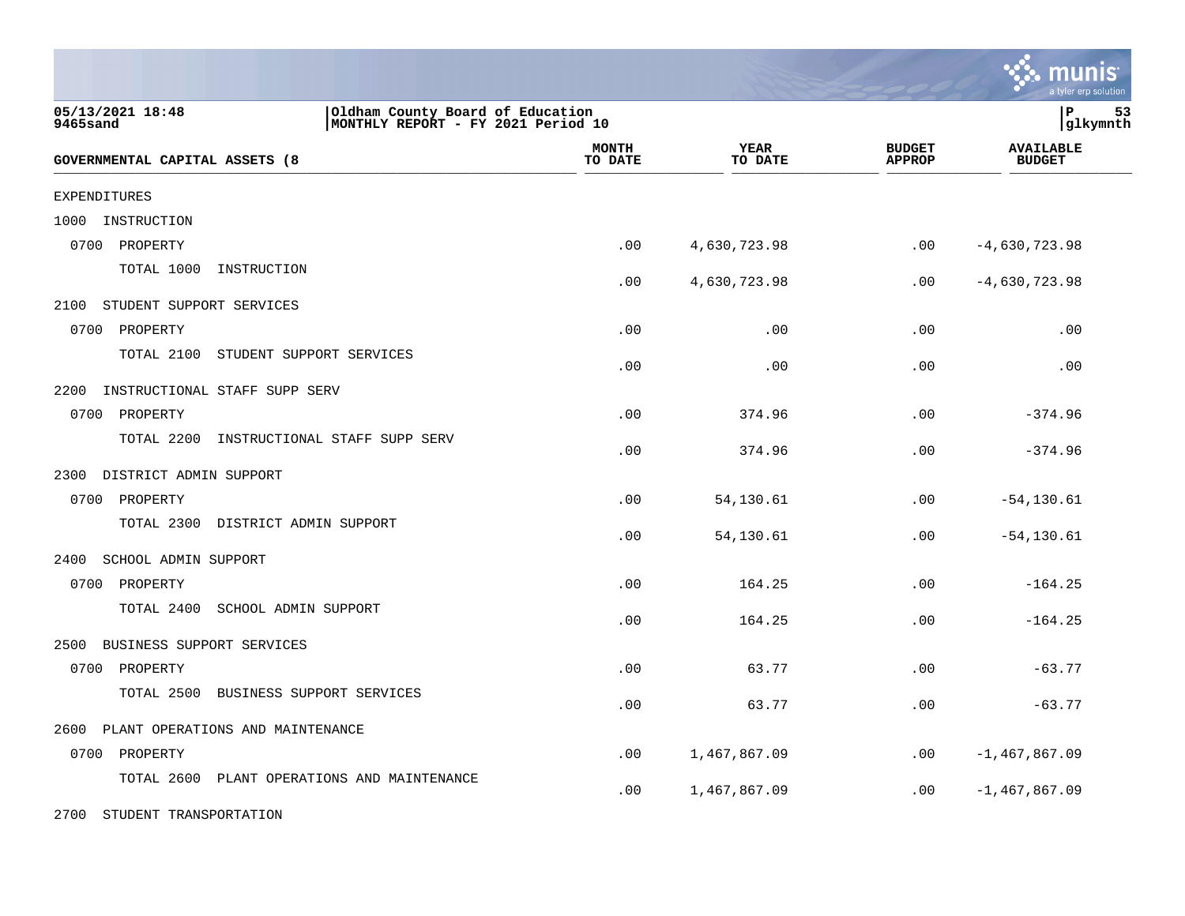|                                                |                                                                        |                 |                                | munis<br>a tyler erp solution     |
|------------------------------------------------|------------------------------------------------------------------------|-----------------|--------------------------------|-----------------------------------|
| 05/13/2021 18:48<br>9465sand                   | Oldham County Board of Education<br>MONTHLY REPORT - FY 2021 Period 10 |                 |                                | lР<br>53<br> glkymnth             |
| GOVERNMENTAL CAPITAL ASSETS (8                 | <b>MONTH</b><br>TO DATE                                                | YEAR<br>TO DATE | <b>BUDGET</b><br><b>APPROP</b> | <b>AVAILABLE</b><br><b>BUDGET</b> |
| <b>EXPENDITURES</b>                            |                                                                        |                 |                                |                                   |
| 1000<br>INSTRUCTION                            |                                                                        |                 |                                |                                   |
| 0700<br>PROPERTY                               | .00                                                                    | 4,630,723.98    | .00                            | $-4,630,723.98$                   |
| TOTAL 1000<br>INSTRUCTION                      | .00                                                                    | 4,630,723.98    | .00                            | $-4,630,723.98$                   |
| 2100<br>STUDENT SUPPORT SERVICES               |                                                                        |                 |                                |                                   |
| 0700<br>PROPERTY                               | .00                                                                    | .00             | .00                            | .00                               |
| TOTAL 2100<br>STUDENT SUPPORT SERVICES         | .00                                                                    | .00             | .00                            | .00                               |
| 2200<br>INSTRUCTIONAL STAFF SUPP SERV          |                                                                        |                 |                                |                                   |
| 0700<br>PROPERTY                               | .00                                                                    | 374.96          | .00                            | $-374.96$                         |
| TOTAL 2200<br>INSTRUCTIONAL STAFF SUPP SERV    | .00                                                                    | 374.96          | .00                            | $-374.96$                         |
| 2300<br>DISTRICT ADMIN SUPPORT                 |                                                                        |                 |                                |                                   |
| 0700 PROPERTY                                  | .00                                                                    | 54,130.61       | .00                            | $-54, 130.61$                     |
| TOTAL 2300<br>DISTRICT ADMIN SUPPORT           | .00                                                                    | 54,130.61       | .00                            | $-54, 130.61$                     |
| 2400<br>SCHOOL ADMIN SUPPORT                   |                                                                        |                 |                                |                                   |
| 0700 PROPERTY                                  | .00                                                                    | 164.25          | .00                            | $-164.25$                         |
| TOTAL 2400<br>SCHOOL ADMIN SUPPORT             | .00                                                                    | 164.25          | .00                            | $-164.25$                         |
| 2500<br>BUSINESS SUPPORT SERVICES              |                                                                        |                 |                                |                                   |
| 0700<br>PROPERTY                               | .00                                                                    | 63.77           | .00                            | $-63.77$                          |
| TOTAL 2500<br>BUSINESS SUPPORT SERVICES        | .00                                                                    | 63.77           | .00                            | $-63.77$                          |
| 2600<br>PLANT OPERATIONS AND MAINTENANCE       |                                                                        |                 |                                |                                   |
| 0700<br>PROPERTY                               | .00                                                                    | 1,467,867.09    | $.00 \,$                       | $-1,467,867.09$                   |
| TOTAL 2600<br>PLANT OPERATIONS AND MAINTENANCE | .00                                                                    | 1,467,867.09    | $.00 \,$                       | $-1,467,867.09$                   |

2700 STUDENT TRANSPORTATION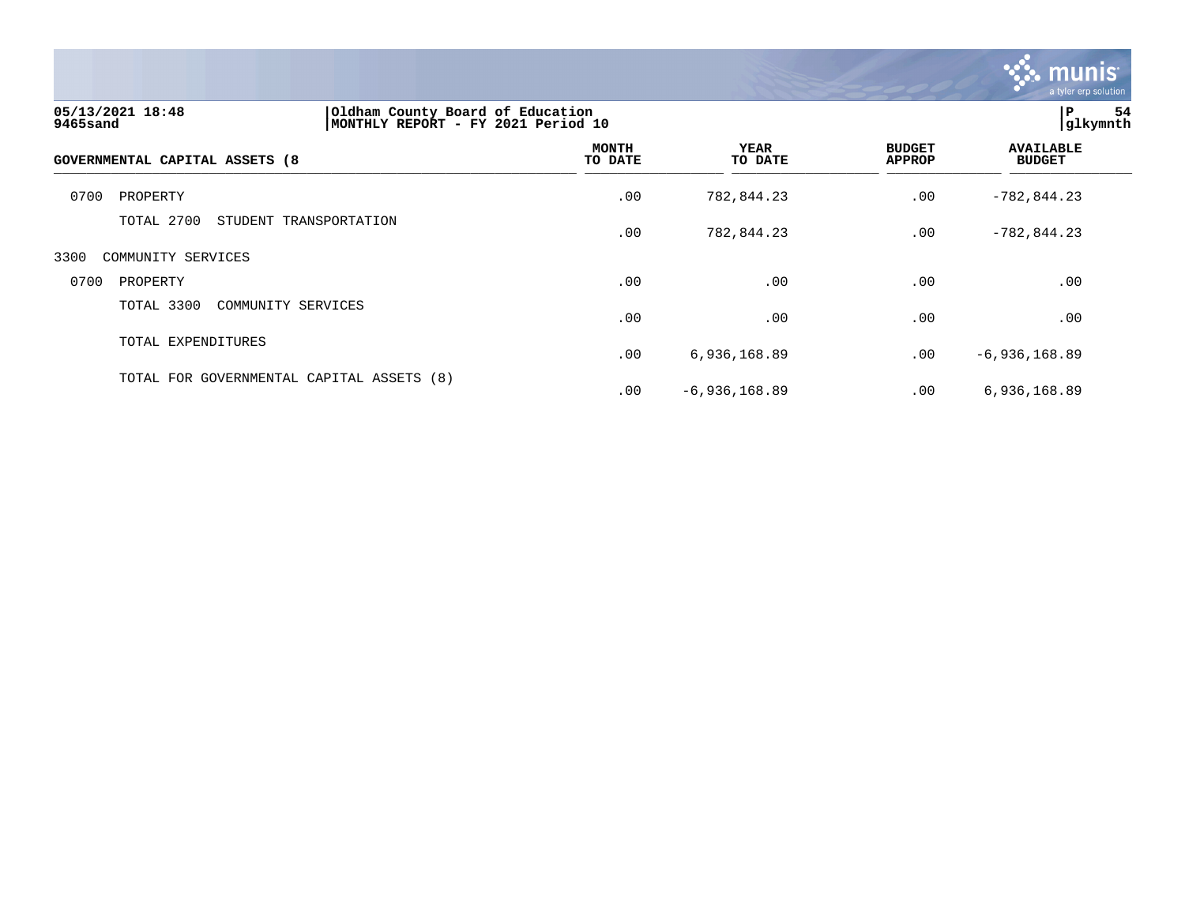

| 05/13/2021 18:48<br>9465sand   | Oldham County Board of Education<br>MONTHLY REPORT - FY 2021 Period 10 |                         |                        |                                |                                   | ΙP.<br>54<br>glkymnth |  |
|--------------------------------|------------------------------------------------------------------------|-------------------------|------------------------|--------------------------------|-----------------------------------|-----------------------|--|
| GOVERNMENTAL CAPITAL ASSETS (8 |                                                                        | <b>MONTH</b><br>TO DATE | <b>YEAR</b><br>TO DATE | <b>BUDGET</b><br><b>APPROP</b> | <b>AVAILABLE</b><br><b>BUDGET</b> |                       |  |
| 0700<br>PROPERTY               |                                                                        | .00                     | 782,844.23             | .00                            | $-782, 844.23$                    |                       |  |
| TOTAL 2700                     | STUDENT TRANSPORTATION                                                 | .00                     | 782,844.23             | .00                            | $-782,844.23$                     |                       |  |
| 3300<br>COMMUNITY SERVICES     |                                                                        |                         |                        |                                |                                   |                       |  |
| 0700<br>PROPERTY               |                                                                        | .00                     | .00                    | .00                            | .00                               |                       |  |
| TOTAL 3300                     | COMMUNITY SERVICES                                                     | .00                     | .00                    | .00                            | .00                               |                       |  |
| TOTAL EXPENDITURES             |                                                                        | .00                     | 6,936,168.89           | .00                            | $-6,936,168.89$                   |                       |  |
|                                | TOTAL FOR GOVERNMENTAL CAPITAL ASSETS (8)                              | .00                     | $-6,936,168.89$        | .00                            | 6,936,168.89                      |                       |  |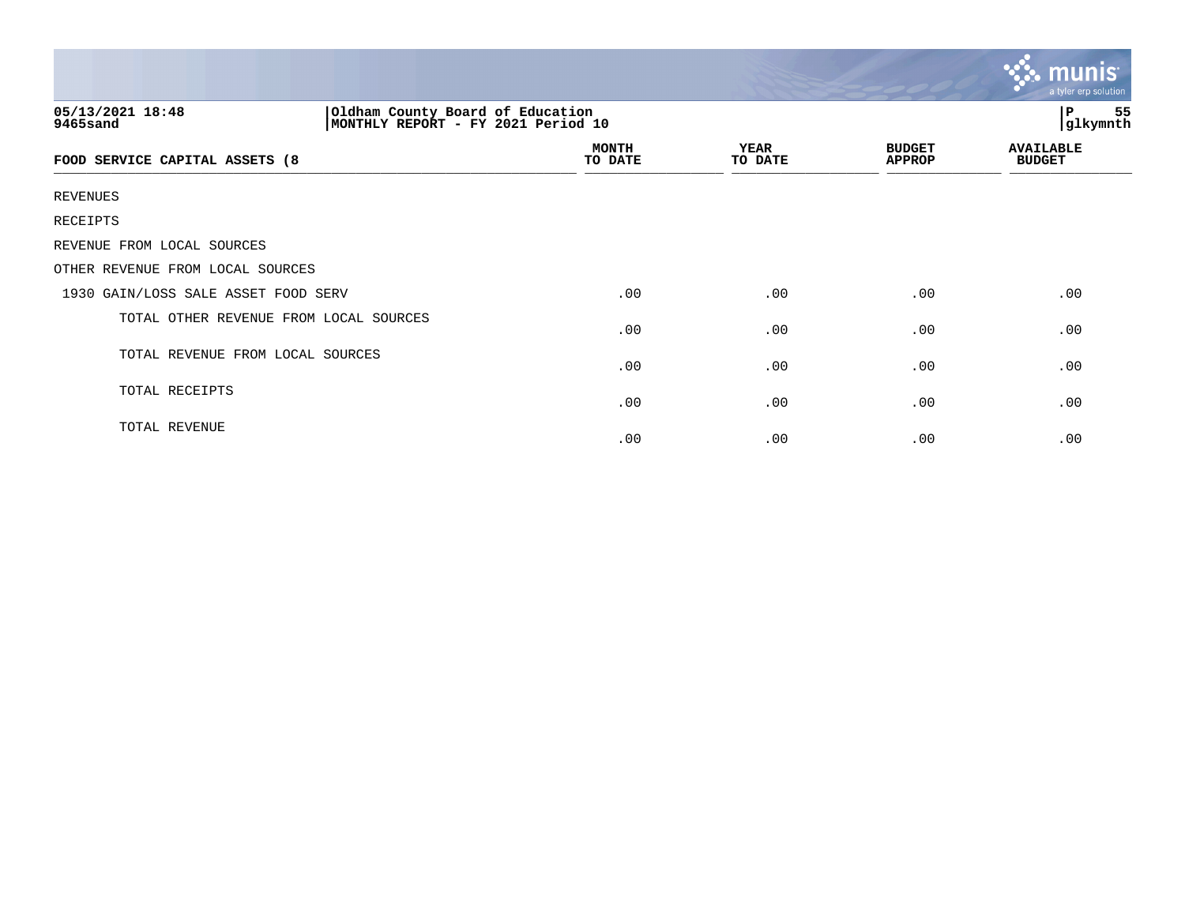|                                                                                                        |                         |                 |                                | munis <sup>.</sup><br>a tyler erp solution |  |
|--------------------------------------------------------------------------------------------------------|-------------------------|-----------------|--------------------------------|--------------------------------------------|--|
| 05/13/2021 18:48<br>Oldham County Board of Education<br>MONTHLY REPORT - FY 2021 Period 10<br>9465sand |                         |                 |                                | 55<br>Р<br>glkymnth                        |  |
| FOOD SERVICE CAPITAL ASSETS (8                                                                         | <b>MONTH</b><br>TO DATE | YEAR<br>TO DATE | <b>BUDGET</b><br><b>APPROP</b> | <b>AVAILABLE</b><br><b>BUDGET</b>          |  |
| <b>REVENUES</b>                                                                                        |                         |                 |                                |                                            |  |
| RECEIPTS                                                                                               |                         |                 |                                |                                            |  |
| REVENUE FROM LOCAL SOURCES                                                                             |                         |                 |                                |                                            |  |
| OTHER REVENUE FROM LOCAL SOURCES                                                                       |                         |                 |                                |                                            |  |
| 1930 GAIN/LOSS SALE ASSET FOOD SERV                                                                    | .00                     | .00             | .00                            | .00                                        |  |
| TOTAL OTHER REVENUE FROM LOCAL SOURCES                                                                 | .00                     | .00             | .00                            | .00                                        |  |
| TOTAL REVENUE FROM LOCAL SOURCES                                                                       | .00                     | .00             | .00                            | .00                                        |  |
| TOTAL RECEIPTS                                                                                         | .00                     | .00             | .00                            | .00                                        |  |
| TOTAL REVENUE                                                                                          | .00                     | .00             | .00                            | .00                                        |  |

the contract of the contract of the contract of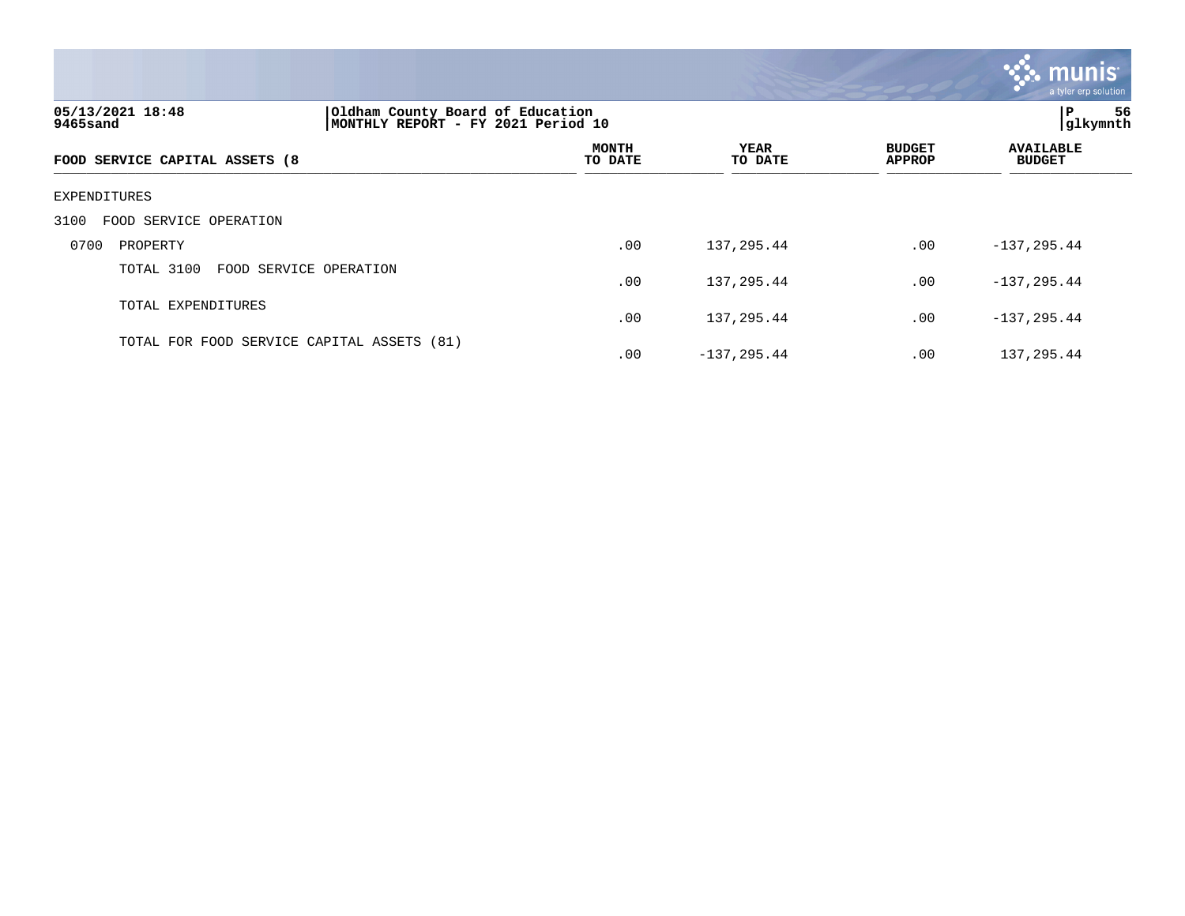|                                            |                                                                        |                        |                                | munis<br>a tyler erp solution     |
|--------------------------------------------|------------------------------------------------------------------------|------------------------|--------------------------------|-----------------------------------|
| 05/13/2021 18:48<br>9465sand               | Oldham County Board of Education<br>MONTHLY REPORT - FY 2021 Period 10 |                        |                                | P 56<br>glkymnth                  |
| FOOD SERVICE CAPITAL ASSETS (8             | <b>MONTH</b><br>TO DATE                                                | <b>YEAR</b><br>TO DATE | <b>BUDGET</b><br><b>APPROP</b> | <b>AVAILABLE</b><br><b>BUDGET</b> |
| EXPENDITURES                               |                                                                        |                        |                                |                                   |
| 3100<br>FOOD SERVICE OPERATION             |                                                                        |                        |                                |                                   |
| 0700<br>PROPERTY                           | .00                                                                    | 137,295.44             | .00                            | $-137, 295.44$                    |
| TOTAL 3100<br>FOOD SERVICE OPERATION       | .00                                                                    | 137,295.44             | .00                            | $-137, 295.44$                    |
| TOTAL EXPENDITURES                         | .00                                                                    | 137,295.44             | .00                            | $-137, 295.44$                    |
| TOTAL FOR FOOD SERVICE CAPITAL ASSETS (81) | .00                                                                    | $-137, 295.44$         | .00                            | 137, 295.44                       |